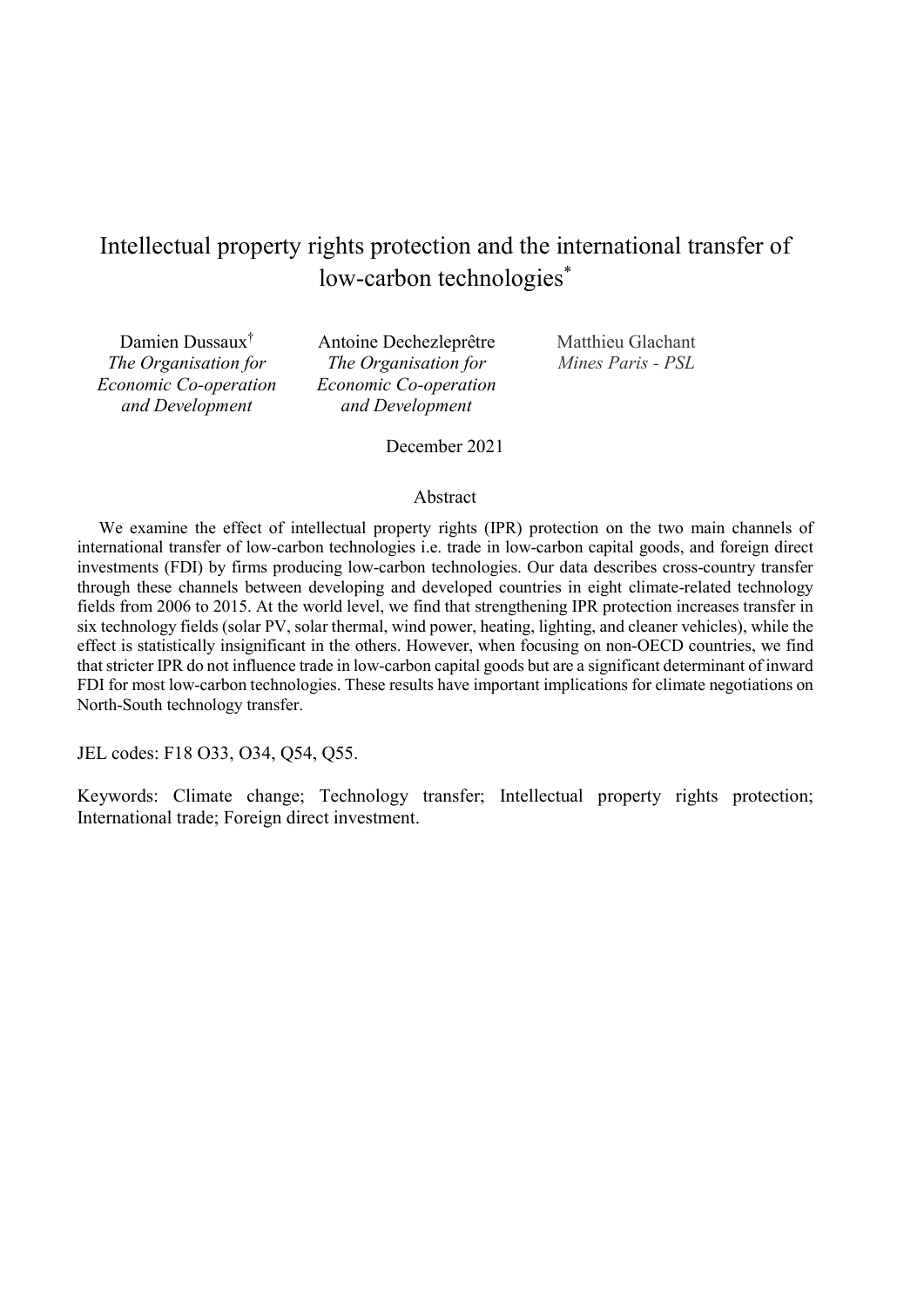# Intellectual property rights protection and the international transfer of low-carbon technologies<sup>\*</sup>

Damien Dussaux† The Organisation for Economic Co-operation and Development

Antoine Dechezleprêtre The Organisation for Economic Co-operation and Development

Matthieu Glachant Mines Paris - PSL

December 2021

#### Abstract

We examine the effect of intellectual property rights (IPR) protection on the two main channels of international transfer of low-carbon technologies i.e. trade in low-carbon capital goods, and foreign direct investments (FDI) by firms producing low-carbon technologies. Our data describes cross-country transfer through these channels between developing and developed countries in eight climate-related technology fields from 2006 to 2015. At the world level, we find that strengthening IPR protection increases transfer in six technology fields (solar PV, solar thermal, wind power, heating, lighting, and cleaner vehicles), while the effect is statistically insignificant in the others. However, when focusing on non-OECD countries, we find that stricter IPR do not influence trade in low-carbon capital goods but are a significant determinant of inward FDI for most low-carbon technologies. These results have important implications for climate negotiations on North-South technology transfer.

JEL codes: F18 O33, O34, Q54, Q55.

Keywords: Climate change; Technology transfer; Intellectual property rights protection; International trade; Foreign direct investment.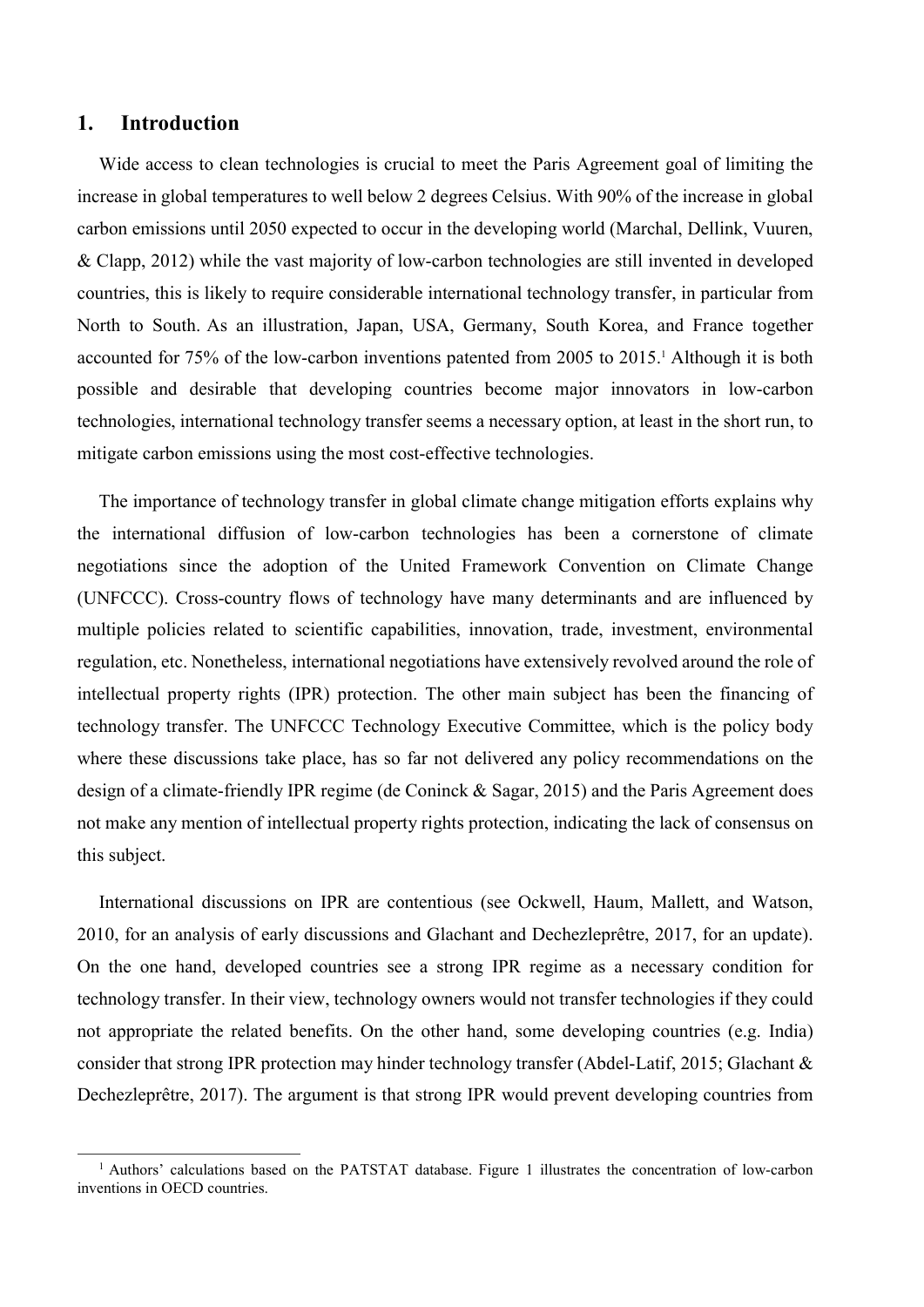## 1. Introduction

 $\overline{a}$ 

Wide access to clean technologies is crucial to meet the Paris Agreement goal of limiting the increase in global temperatures to well below 2 degrees Celsius. With 90% of the increase in global carbon emissions until 2050 expected to occur in the developing world (Marchal, Dellink, Vuuren, & Clapp, 2012) while the vast majority of low-carbon technologies are still invented in developed countries, this is likely to require considerable international technology transfer, in particular from North to South. As an illustration, Japan, USA, Germany, South Korea, and France together accounted for 75% of the low-carbon inventions patented from 2005 to 2015.<sup>1</sup> Although it is both possible and desirable that developing countries become major innovators in low-carbon technologies, international technology transfer seems a necessary option, at least in the short run, to mitigate carbon emissions using the most cost-effective technologies.

The importance of technology transfer in global climate change mitigation efforts explains why the international diffusion of low-carbon technologies has been a cornerstone of climate negotiations since the adoption of the United Framework Convention on Climate Change (UNFCCC). Cross-country flows of technology have many determinants and are influenced by multiple policies related to scientific capabilities, innovation, trade, investment, environmental regulation, etc. Nonetheless, international negotiations have extensively revolved around the role of intellectual property rights (IPR) protection. The other main subject has been the financing of technology transfer. The UNFCCC Technology Executive Committee, which is the policy body where these discussions take place, has so far not delivered any policy recommendations on the design of a climate-friendly IPR regime (de Coninck & Sagar, 2015) and the Paris Agreement does not make any mention of intellectual property rights protection, indicating the lack of consensus on this subject.

International discussions on IPR are contentious (see Ockwell, Haum, Mallett, and Watson, 2010, for an analysis of early discussions and Glachant and Dechezleprêtre, 2017, for an update). On the one hand, developed countries see a strong IPR regime as a necessary condition for technology transfer. In their view, technology owners would not transfer technologies if they could not appropriate the related benefits. On the other hand, some developing countries (e.g. India) consider that strong IPR protection may hinder technology transfer (Abdel-Latif, 2015; Glachant & Dechezleprêtre, 2017). The argument is that strong IPR would prevent developing countries from

<sup>&</sup>lt;sup>1</sup> Authors' calculations based on the PATSTAT database. Figure 1 illustrates the concentration of low-carbon inventions in OECD countries.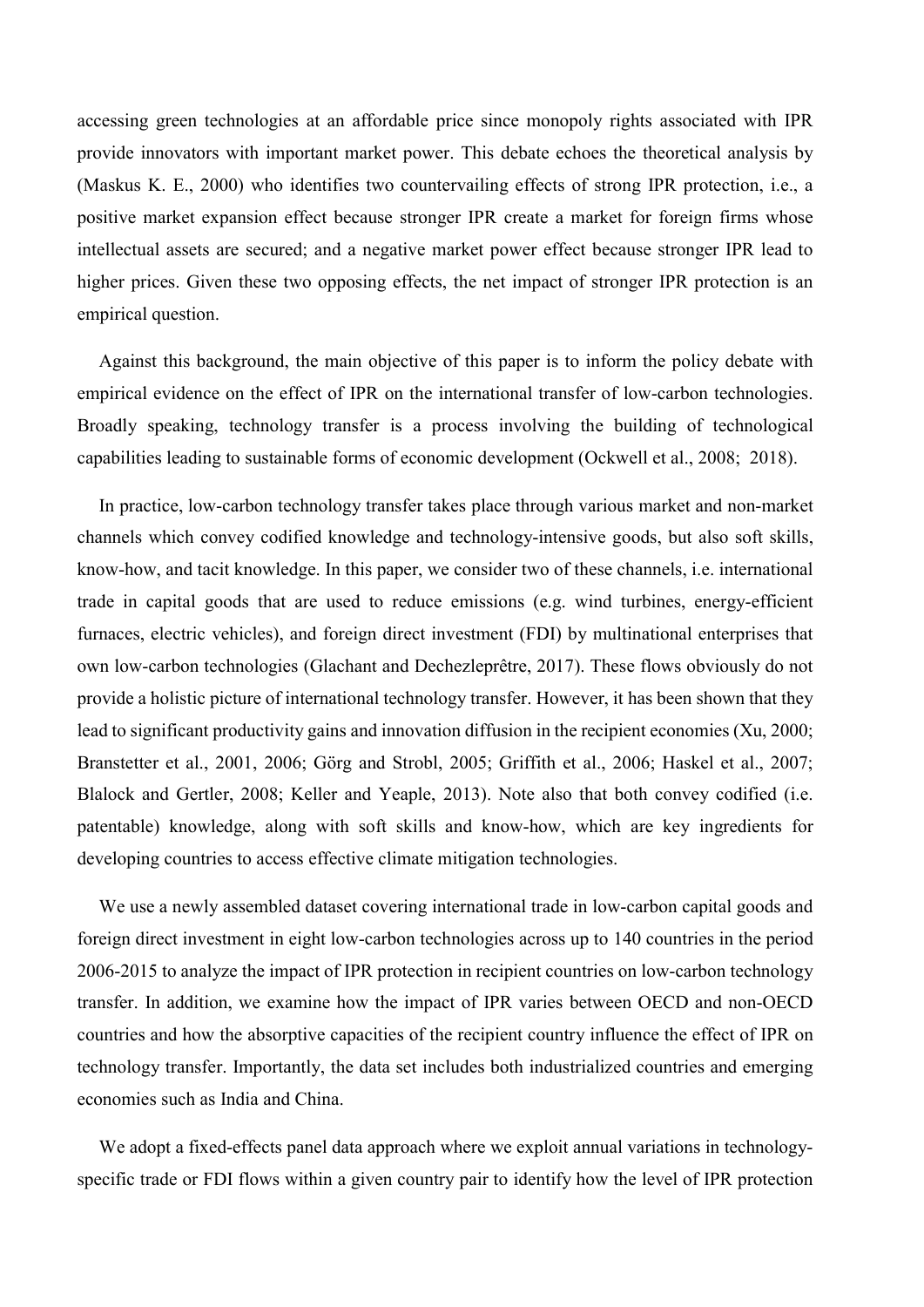accessing green technologies at an affordable price since monopoly rights associated with IPR provide innovators with important market power. This debate echoes the theoretical analysis by (Maskus K. E., 2000) who identifies two countervailing effects of strong IPR protection, i.e., a positive market expansion effect because stronger IPR create a market for foreign firms whose intellectual assets are secured; and a negative market power effect because stronger IPR lead to higher prices. Given these two opposing effects, the net impact of stronger IPR protection is an empirical question.

Against this background, the main objective of this paper is to inform the policy debate with empirical evidence on the effect of IPR on the international transfer of low-carbon technologies. Broadly speaking, technology transfer is a process involving the building of technological capabilities leading to sustainable forms of economic development (Ockwell et al., 2008; 2018).

In practice, low-carbon technology transfer takes place through various market and non-market channels which convey codified knowledge and technology-intensive goods, but also soft skills, know-how, and tacit knowledge. In this paper, we consider two of these channels, i.e. international trade in capital goods that are used to reduce emissions (e.g. wind turbines, energy-efficient furnaces, electric vehicles), and foreign direct investment (FDI) by multinational enterprises that own low-carbon technologies (Glachant and Dechezleprêtre, 2017). These flows obviously do not provide a holistic picture of international technology transfer. However, it has been shown that they lead to significant productivity gains and innovation diffusion in the recipient economies (Xu, 2000; Branstetter et al., 2001, 2006; Görg and Strobl, 2005; Griffith et al., 2006; Haskel et al., 2007; Blalock and Gertler, 2008; Keller and Yeaple, 2013). Note also that both convey codified (i.e. patentable) knowledge, along with soft skills and know-how, which are key ingredients for developing countries to access effective climate mitigation technologies.

We use a newly assembled dataset covering international trade in low-carbon capital goods and foreign direct investment in eight low-carbon technologies across up to 140 countries in the period 2006-2015 to analyze the impact of IPR protection in recipient countries on low-carbon technology transfer. In addition, we examine how the impact of IPR varies between OECD and non-OECD countries and how the absorptive capacities of the recipient country influence the effect of IPR on technology transfer. Importantly, the data set includes both industrialized countries and emerging economies such as India and China.

We adopt a fixed-effects panel data approach where we exploit annual variations in technologyspecific trade or FDI flows within a given country pair to identify how the level of IPR protection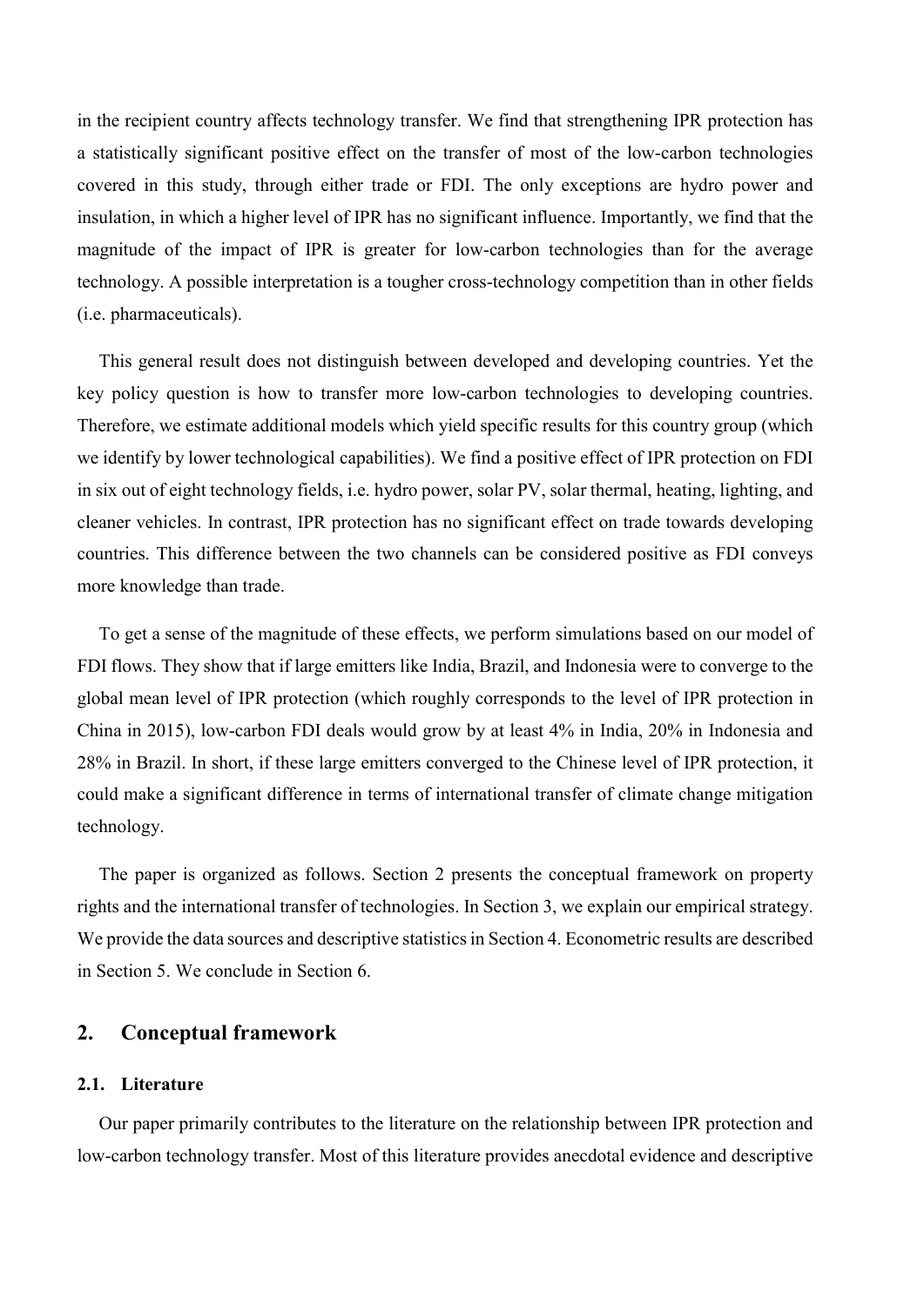in the recipient country affects technology transfer. We find that strengthening IPR protection has a statistically significant positive effect on the transfer of most of the low-carbon technologies covered in this study, through either trade or FDI. The only exceptions are hydro power and insulation, in which a higher level of IPR has no significant influence. Importantly, we find that the magnitude of the impact of IPR is greater for low-carbon technologies than for the average technology. A possible interpretation is a tougher cross-technology competition than in other fields (i.e. pharmaceuticals).

This general result does not distinguish between developed and developing countries. Yet the key policy question is how to transfer more low-carbon technologies to developing countries. Therefore, we estimate additional models which yield specific results for this country group (which we identify by lower technological capabilities). We find a positive effect of IPR protection on FDI in six out of eight technology fields, i.e. hydro power, solar PV, solar thermal, heating, lighting, and cleaner vehicles. In contrast, IPR protection has no significant effect on trade towards developing countries. This difference between the two channels can be considered positive as FDI conveys more knowledge than trade.

To get a sense of the magnitude of these effects, we perform simulations based on our model of FDI flows. They show that if large emitters like India, Brazil, and Indonesia were to converge to the global mean level of IPR protection (which roughly corresponds to the level of IPR protection in China in 2015), low-carbon FDI deals would grow by at least 4% in India, 20% in Indonesia and 28% in Brazil. In short, if these large emitters converged to the Chinese level of IPR protection, it could make a significant difference in terms of international transfer of climate change mitigation technology.

The paper is organized as follows. Section 2 presents the conceptual framework on property rights and the international transfer of technologies. In Section 3, we explain our empirical strategy. We provide the data sources and descriptive statistics in Section 4. Econometric results are described in Section 5. We conclude in Section 6.

# 2. Conceptual framework

## 2.1. Literature

Our paper primarily contributes to the literature on the relationship between IPR protection and low-carbon technology transfer. Most of this literature provides anecdotal evidence and descriptive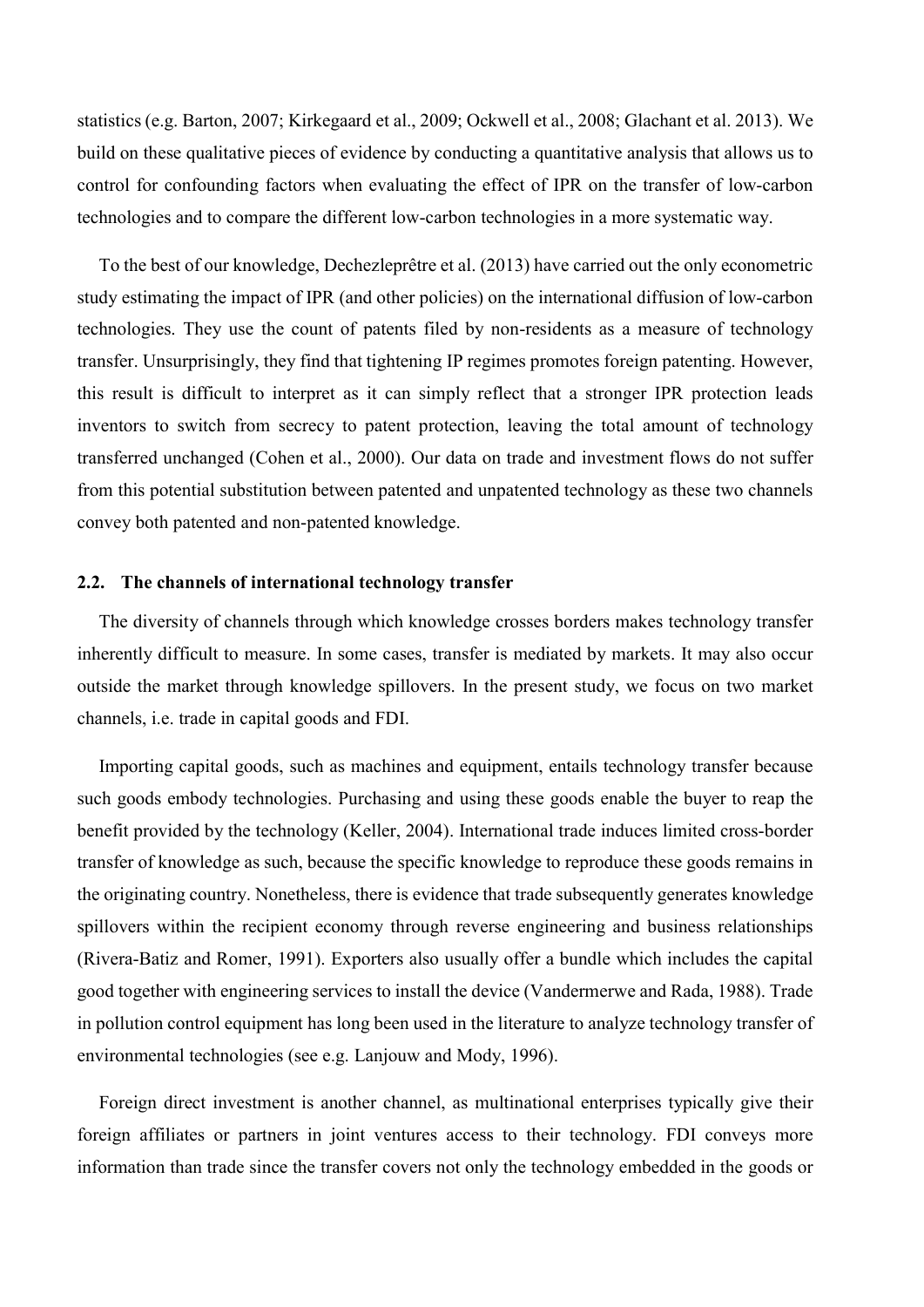statistics (e.g. Barton, 2007; Kirkegaard et al., 2009; Ockwell et al., 2008; Glachant et al. 2013). We build on these qualitative pieces of evidence by conducting a quantitative analysis that allows us to control for confounding factors when evaluating the effect of IPR on the transfer of low-carbon technologies and to compare the different low-carbon technologies in a more systematic way.

To the best of our knowledge, Dechezleprêtre et al. (2013) have carried out the only econometric study estimating the impact of IPR (and other policies) on the international diffusion of low-carbon technologies. They use the count of patents filed by non-residents as a measure of technology transfer. Unsurprisingly, they find that tightening IP regimes promotes foreign patenting. However, this result is difficult to interpret as it can simply reflect that a stronger IPR protection leads inventors to switch from secrecy to patent protection, leaving the total amount of technology transferred unchanged (Cohen et al., 2000). Our data on trade and investment flows do not suffer from this potential substitution between patented and unpatented technology as these two channels convey both patented and non-patented knowledge.

### 2.2. The channels of international technology transfer

The diversity of channels through which knowledge crosses borders makes technology transfer inherently difficult to measure. In some cases, transfer is mediated by markets. It may also occur outside the market through knowledge spillovers. In the present study, we focus on two market channels, i.e. trade in capital goods and FDI.

Importing capital goods, such as machines and equipment, entails technology transfer because such goods embody technologies. Purchasing and using these goods enable the buyer to reap the benefit provided by the technology (Keller, 2004). International trade induces limited cross-border transfer of knowledge as such, because the specific knowledge to reproduce these goods remains in the originating country. Nonetheless, there is evidence that trade subsequently generates knowledge spillovers within the recipient economy through reverse engineering and business relationships (Rivera-Batiz and Romer, 1991). Exporters also usually offer a bundle which includes the capital good together with engineering services to install the device (Vandermerwe and Rada, 1988). Trade in pollution control equipment has long been used in the literature to analyze technology transfer of environmental technologies (see e.g. Lanjouw and Mody, 1996).

Foreign direct investment is another channel, as multinational enterprises typically give their foreign affiliates or partners in joint ventures access to their technology. FDI conveys more information than trade since the transfer covers not only the technology embedded in the goods or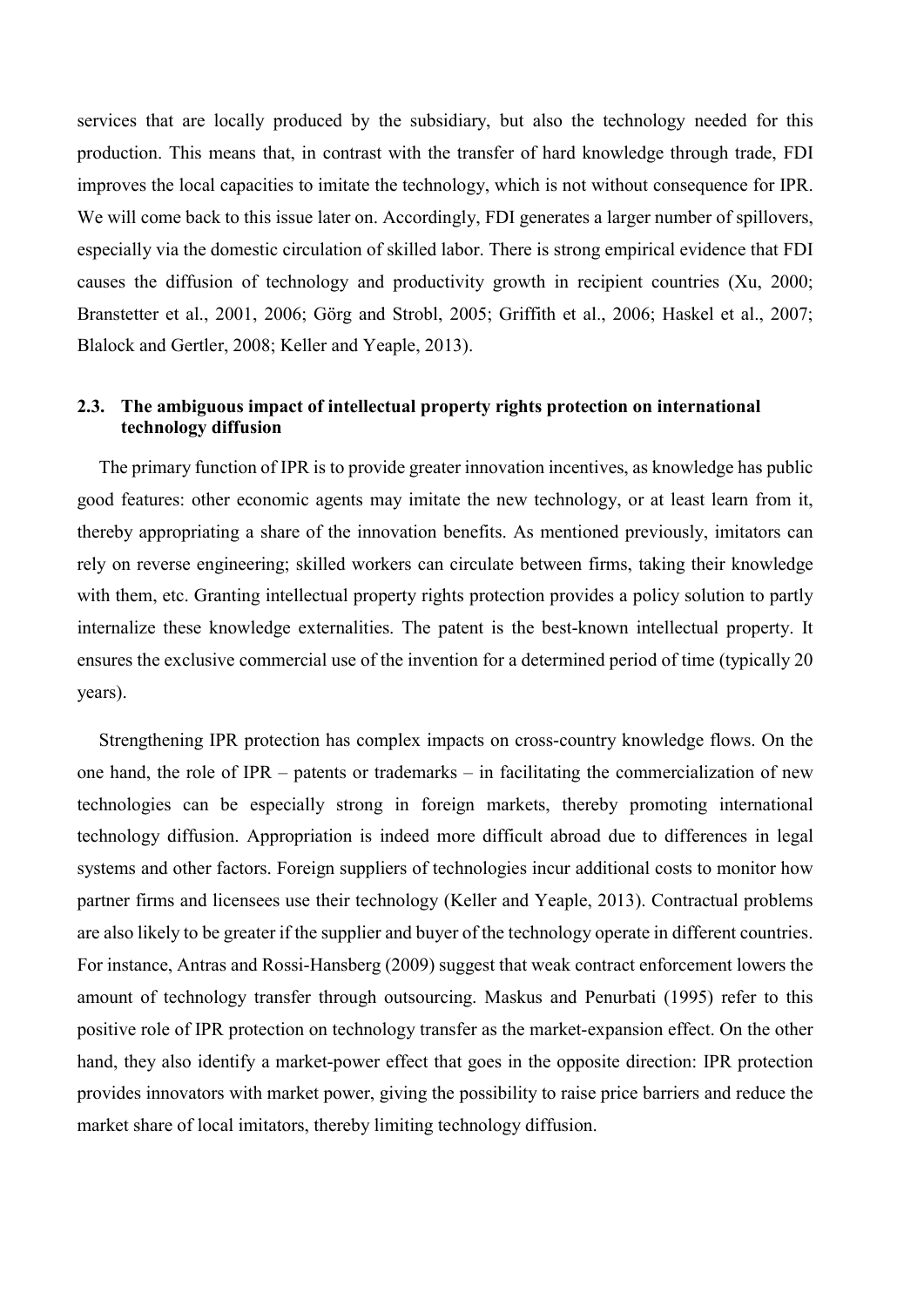services that are locally produced by the subsidiary, but also the technology needed for this production. This means that, in contrast with the transfer of hard knowledge through trade, FDI improves the local capacities to imitate the technology, which is not without consequence for IPR. We will come back to this issue later on. Accordingly, FDI generates a larger number of spillovers, especially via the domestic circulation of skilled labor. There is strong empirical evidence that FDI causes the diffusion of technology and productivity growth in recipient countries (Xu, 2000; Branstetter et al., 2001, 2006; Görg and Strobl, 2005; Griffith et al., 2006; Haskel et al., 2007; Blalock and Gertler, 2008; Keller and Yeaple, 2013).

## 2.3. The ambiguous impact of intellectual property rights protection on international technology diffusion

The primary function of IPR is to provide greater innovation incentives, as knowledge has public good features: other economic agents may imitate the new technology, or at least learn from it, thereby appropriating a share of the innovation benefits. As mentioned previously, imitators can rely on reverse engineering; skilled workers can circulate between firms, taking their knowledge with them, etc. Granting intellectual property rights protection provides a policy solution to partly internalize these knowledge externalities. The patent is the best-known intellectual property. It ensures the exclusive commercial use of the invention for a determined period of time (typically 20 years).

Strengthening IPR protection has complex impacts on cross-country knowledge flows. On the one hand, the role of IPR – patents or trademarks – in facilitating the commercialization of new technologies can be especially strong in foreign markets, thereby promoting international technology diffusion. Appropriation is indeed more difficult abroad due to differences in legal systems and other factors. Foreign suppliers of technologies incur additional costs to monitor how partner firms and licensees use their technology (Keller and Yeaple, 2013). Contractual problems are also likely to be greater if the supplier and buyer of the technology operate in different countries. For instance, Antras and Rossi-Hansberg (2009) suggest that weak contract enforcement lowers the amount of technology transfer through outsourcing. Maskus and Penurbati (1995) refer to this positive role of IPR protection on technology transfer as the market-expansion effect. On the other hand, they also identify a market-power effect that goes in the opposite direction: IPR protection provides innovators with market power, giving the possibility to raise price barriers and reduce the market share of local imitators, thereby limiting technology diffusion.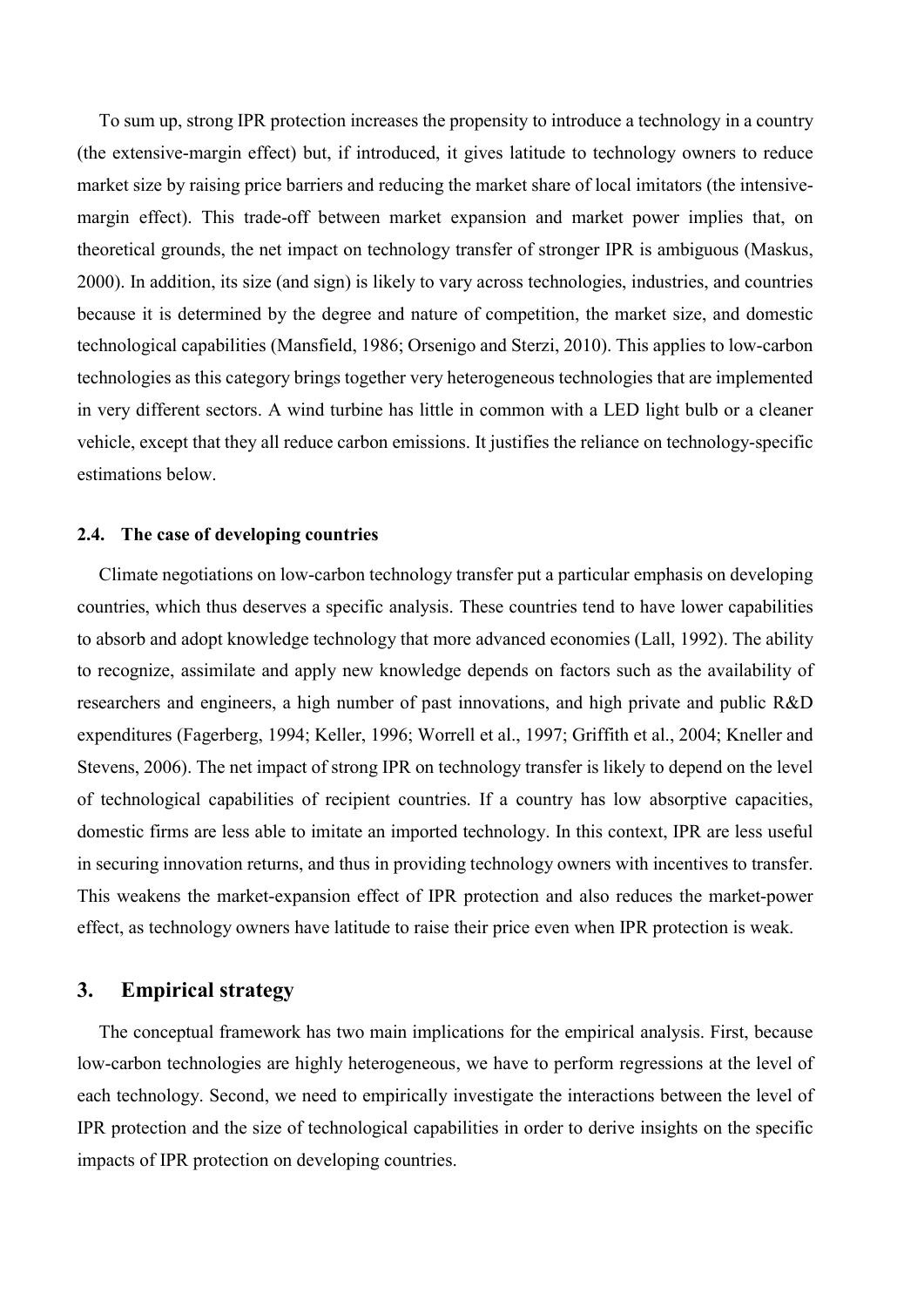To sum up, strong IPR protection increases the propensity to introduce a technology in a country (the extensive-margin effect) but, if introduced, it gives latitude to technology owners to reduce market size by raising price barriers and reducing the market share of local imitators (the intensivemargin effect). This trade-off between market expansion and market power implies that, on theoretical grounds, the net impact on technology transfer of stronger IPR is ambiguous (Maskus, 2000). In addition, its size (and sign) is likely to vary across technologies, industries, and countries because it is determined by the degree and nature of competition, the market size, and domestic technological capabilities (Mansfield, 1986; Orsenigo and Sterzi, 2010). This applies to low-carbon technologies as this category brings together very heterogeneous technologies that are implemented in very different sectors. A wind turbine has little in common with a LED light bulb or a cleaner vehicle, except that they all reduce carbon emissions. It justifies the reliance on technology-specific estimations below.

#### 2.4. The case of developing countries

Climate negotiations on low-carbon technology transfer put a particular emphasis on developing countries, which thus deserves a specific analysis. These countries tend to have lower capabilities to absorb and adopt knowledge technology that more advanced economies (Lall, 1992). The ability to recognize, assimilate and apply new knowledge depends on factors such as the availability of researchers and engineers, a high number of past innovations, and high private and public R&D expenditures (Fagerberg, 1994; Keller, 1996; Worrell et al., 1997; Griffith et al., 2004; Kneller and Stevens, 2006). The net impact of strong IPR on technology transfer is likely to depend on the level of technological capabilities of recipient countries. If a country has low absorptive capacities, domestic firms are less able to imitate an imported technology. In this context, IPR are less useful in securing innovation returns, and thus in providing technology owners with incentives to transfer. This weakens the market-expansion effect of IPR protection and also reduces the market-power effect, as technology owners have latitude to raise their price even when IPR protection is weak.

## 3. Empirical strategy

The conceptual framework has two main implications for the empirical analysis. First, because low-carbon technologies are highly heterogeneous, we have to perform regressions at the level of each technology. Second, we need to empirically investigate the interactions between the level of IPR protection and the size of technological capabilities in order to derive insights on the specific impacts of IPR protection on developing countries.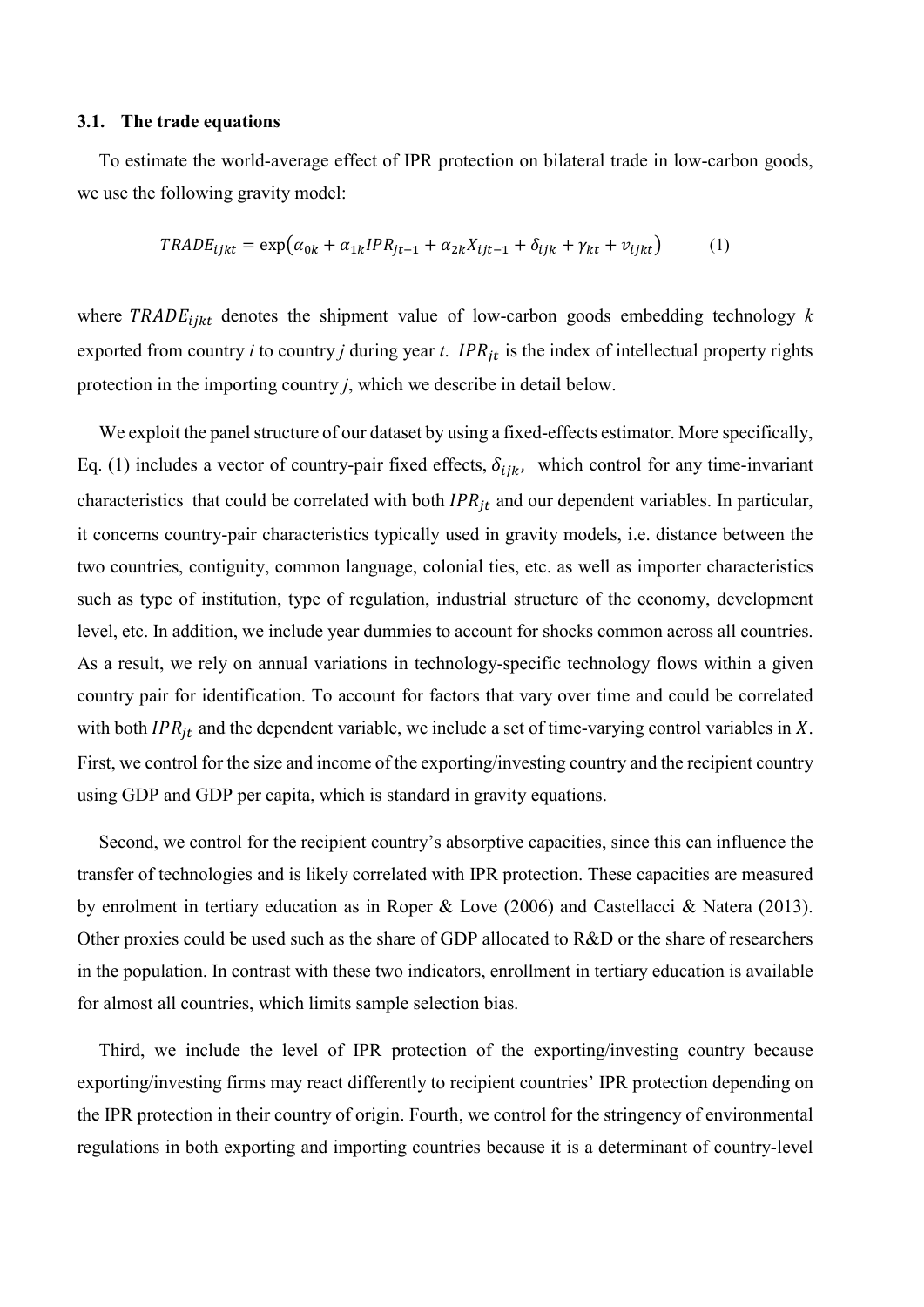#### 3.1. The trade equations

To estimate the world-average effect of IPR protection on bilateral trade in low-carbon goods, we use the following gravity model:

$$
TRADE_{ijkt} = \exp(\alpha_{0k} + \alpha_{1k} IPR_{jt-1} + \alpha_{2k} X_{ijt-1} + \delta_{ijk} + \gamma_{kt} + \nu_{ijkt})
$$
 (1)

where TRADE<sub>ijkt</sub> denotes the shipment value of low-carbon goods embedding technology k exported from country *i* to country *j* during year *t*. *IPR<sub>it</sub>* is the index of intellectual property rights protection in the importing country j, which we describe in detail below.

We exploit the panel structure of our dataset by using a fixed-effects estimator. More specifically, Eq. (1) includes a vector of country-pair fixed effects,  $\delta_{ijk}$ , which control for any time-invariant characteristics that could be correlated with both  $IPR_{it}$  and our dependent variables. In particular, it concerns country-pair characteristics typically used in gravity models, i.e. distance between the two countries, contiguity, common language, colonial ties, etc. as well as importer characteristics such as type of institution, type of regulation, industrial structure of the economy, development level, etc. In addition, we include year dummies to account for shocks common across all countries. As a result, we rely on annual variations in technology-specific technology flows within a given country pair for identification. To account for factors that vary over time and could be correlated with both  $IPR_{jt}$  and the dependent variable, we include a set of time-varying control variables in X. First, we control for the size and income of the exporting/investing country and the recipient country using GDP and GDP per capita, which is standard in gravity equations.

Second, we control for the recipient country's absorptive capacities, since this can influence the transfer of technologies and is likely correlated with IPR protection. These capacities are measured by enrolment in tertiary education as in Roper & Love (2006) and Castellacci & Natera (2013). Other proxies could be used such as the share of GDP allocated to R&D or the share of researchers in the population. In contrast with these two indicators, enrollment in tertiary education is available for almost all countries, which limits sample selection bias.

Third, we include the level of IPR protection of the exporting/investing country because exporting/investing firms may react differently to recipient countries' IPR protection depending on the IPR protection in their country of origin. Fourth, we control for the stringency of environmental regulations in both exporting and importing countries because it is a determinant of country-level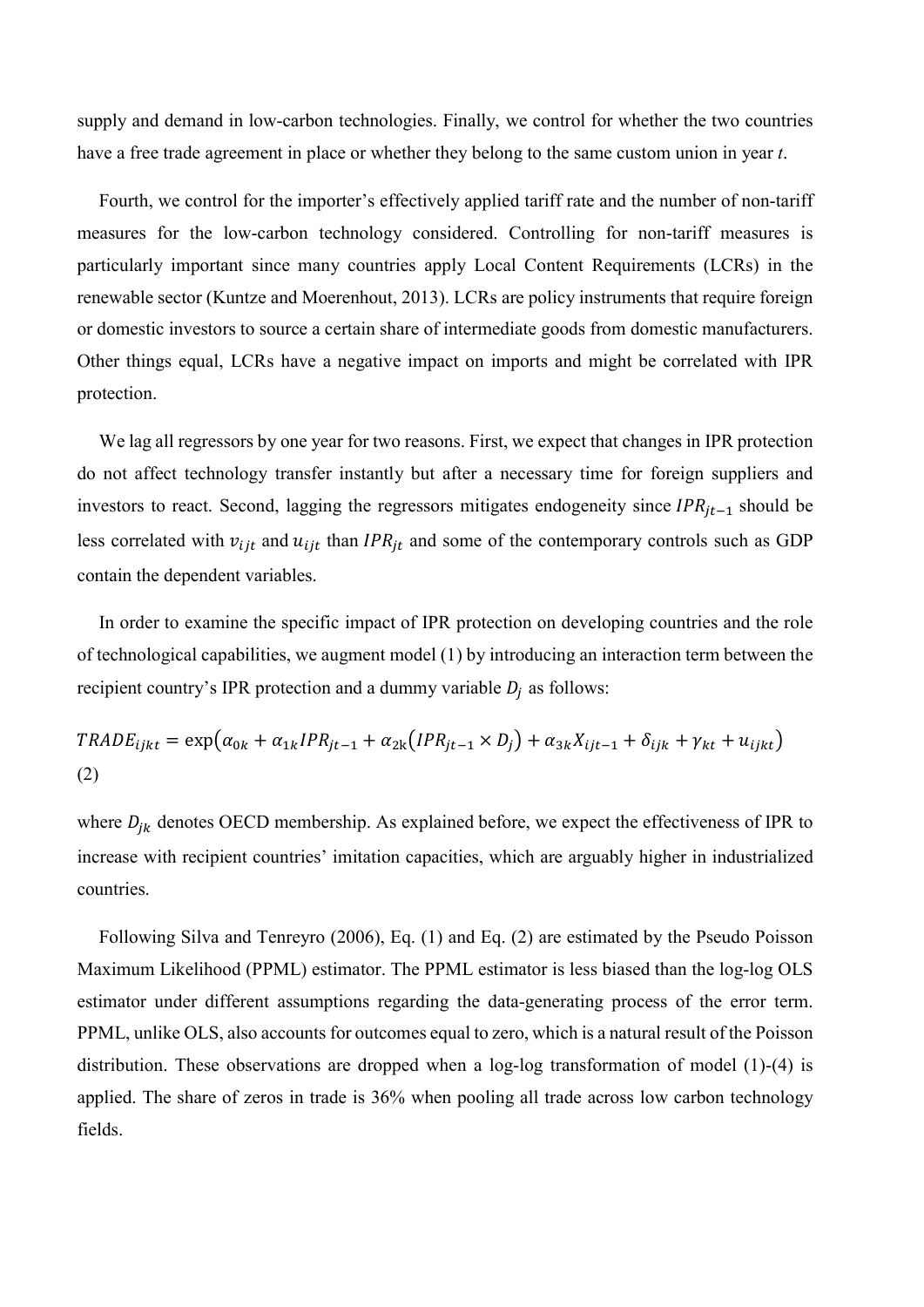supply and demand in low-carbon technologies. Finally, we control for whether the two countries have a free trade agreement in place or whether they belong to the same custom union in year t.

Fourth, we control for the importer's effectively applied tariff rate and the number of non-tariff measures for the low-carbon technology considered. Controlling for non-tariff measures is particularly important since many countries apply Local Content Requirements (LCRs) in the renewable sector (Kuntze and Moerenhout, 2013). LCRs are policy instruments that require foreign or domestic investors to source a certain share of intermediate goods from domestic manufacturers. Other things equal, LCRs have a negative impact on imports and might be correlated with IPR protection.

We lag all regressors by one year for two reasons. First, we expect that changes in IPR protection do not affect technology transfer instantly but after a necessary time for foreign suppliers and investors to react. Second, lagging the regressors mitigates endogeneity since  $IPR_{it-1}$  should be less correlated with  $v_{ijt}$  and  $u_{ijt}$  than IPR<sub>it</sub> and some of the contemporary controls such as GDP contain the dependent variables.

In order to examine the specific impact of IPR protection on developing countries and the role of technological capabilities, we augment model (1) by introducing an interaction term between the recipient country's IPR protection and a dummy variable  $D_j$  as follows:

$$
TRADE_{ijkt} = \exp(\alpha_{0k} + \alpha_{1k} IPR_{jt-1} + \alpha_{2k} (IPR_{jt-1} \times D_j) + \alpha_{3k} X_{ijt-1} + \delta_{ijk} + \gamma_{kt} + u_{ijkt})
$$
\n(2)

where  $D_{jk}$  denotes OECD membership. As explained before, we expect the effectiveness of IPR to increase with recipient countries' imitation capacities, which are arguably higher in industrialized countries.

Following Silva and Tenreyro (2006), Eq. (1) and Eq. (2) are estimated by the Pseudo Poisson Maximum Likelihood (PPML) estimator. The PPML estimator is less biased than the log-log OLS estimator under different assumptions regarding the data-generating process of the error term. PPML, unlike OLS, also accounts for outcomes equal to zero, which is a natural result of the Poisson distribution. These observations are dropped when a log-log transformation of model (1)-(4) is applied. The share of zeros in trade is 36% when pooling all trade across low carbon technology fields.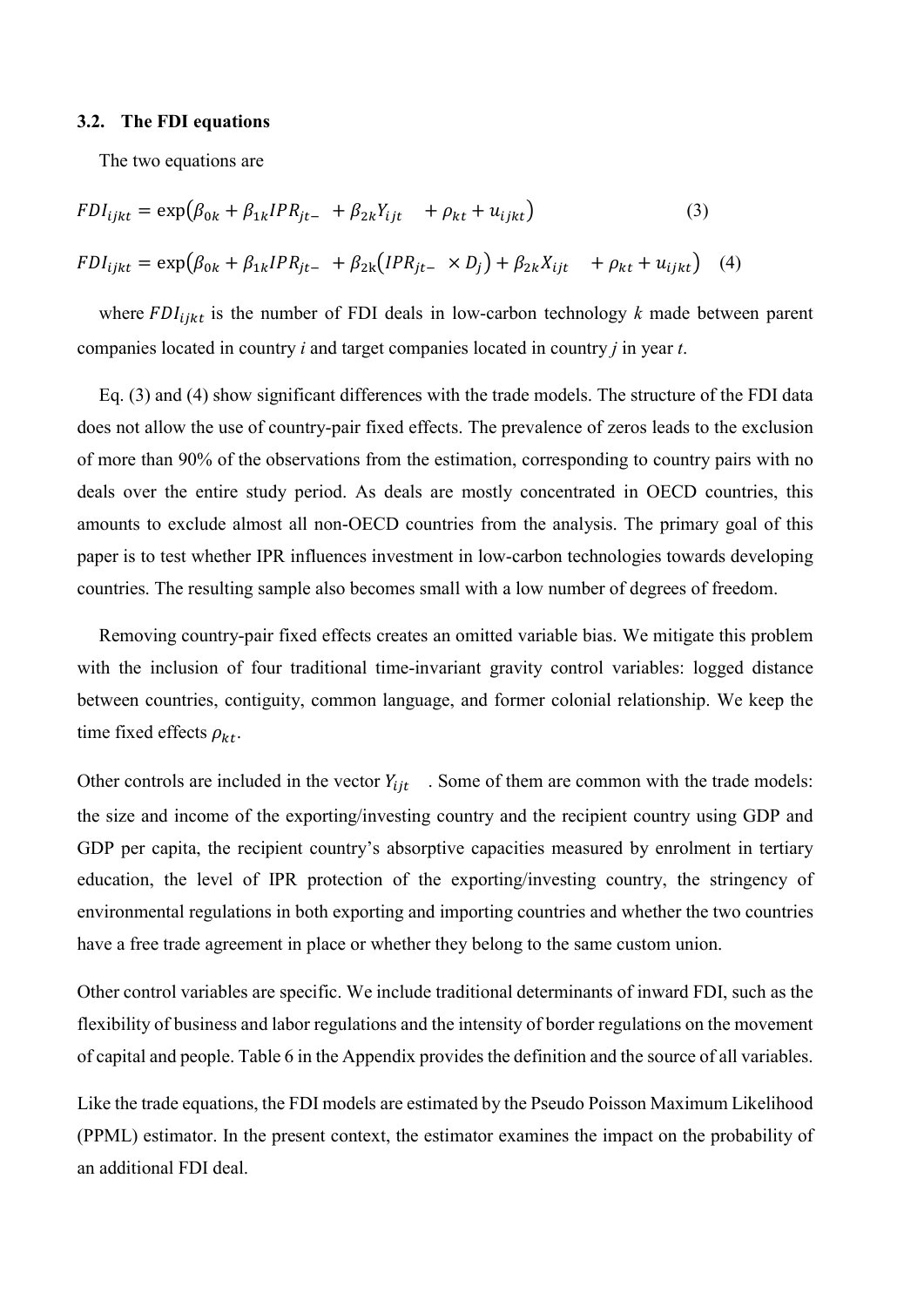#### 3.2. The FDI equations

The two equations are

$$
FDI_{ijkt} = \exp(\beta_{0k} + \beta_{1k} IPR_{jt-} + \beta_{2k} Y_{ijt} + \rho_{kt} + u_{ijkt})
$$
(3)  

$$
FDI_{ijkt} = \exp(\beta_{0k} + \beta_{1k} IPR_{jt-} + \beta_{2k} (IPR_{jt-} \times D_j) + \beta_{2k} X_{ijt} + \rho_{kt} + u_{ijkt})
$$
(4)

where  $FDI_{iikt}$  is the number of FDI deals in low-carbon technology k made between parent companies located in country *i* and target companies located in country *j* in year *t*.

Eq. (3) and (4) show significant differences with the trade models. The structure of the FDI data does not allow the use of country-pair fixed effects. The prevalence of zeros leads to the exclusion of more than 90% of the observations from the estimation, corresponding to country pairs with no deals over the entire study period. As deals are mostly concentrated in OECD countries, this amounts to exclude almost all non-OECD countries from the analysis. The primary goal of this paper is to test whether IPR influences investment in low-carbon technologies towards developing countries. The resulting sample also becomes small with a low number of degrees of freedom.

Removing country-pair fixed effects creates an omitted variable bias. We mitigate this problem with the inclusion of four traditional time-invariant gravity control variables: logged distance between countries, contiguity, common language, and former colonial relationship. We keep the time fixed effects  $\rho_{kt}$ .

Other controls are included in the vector  $Y_{i}$ . Some of them are common with the trade models: the size and income of the exporting/investing country and the recipient country using GDP and GDP per capita, the recipient country's absorptive capacities measured by enrolment in tertiary education, the level of IPR protection of the exporting/investing country, the stringency of environmental regulations in both exporting and importing countries and whether the two countries have a free trade agreement in place or whether they belong to the same custom union.

Other control variables are specific. We include traditional determinants of inward FDI, such as the flexibility of business and labor regulations and the intensity of border regulations on the movement of capital and people. Table 6 in the Appendix provides the definition and the source of all variables.

Like the trade equations, the FDI models are estimated by the Pseudo Poisson Maximum Likelihood (PPML) estimator. In the present context, the estimator examines the impact on the probability of an additional FDI deal.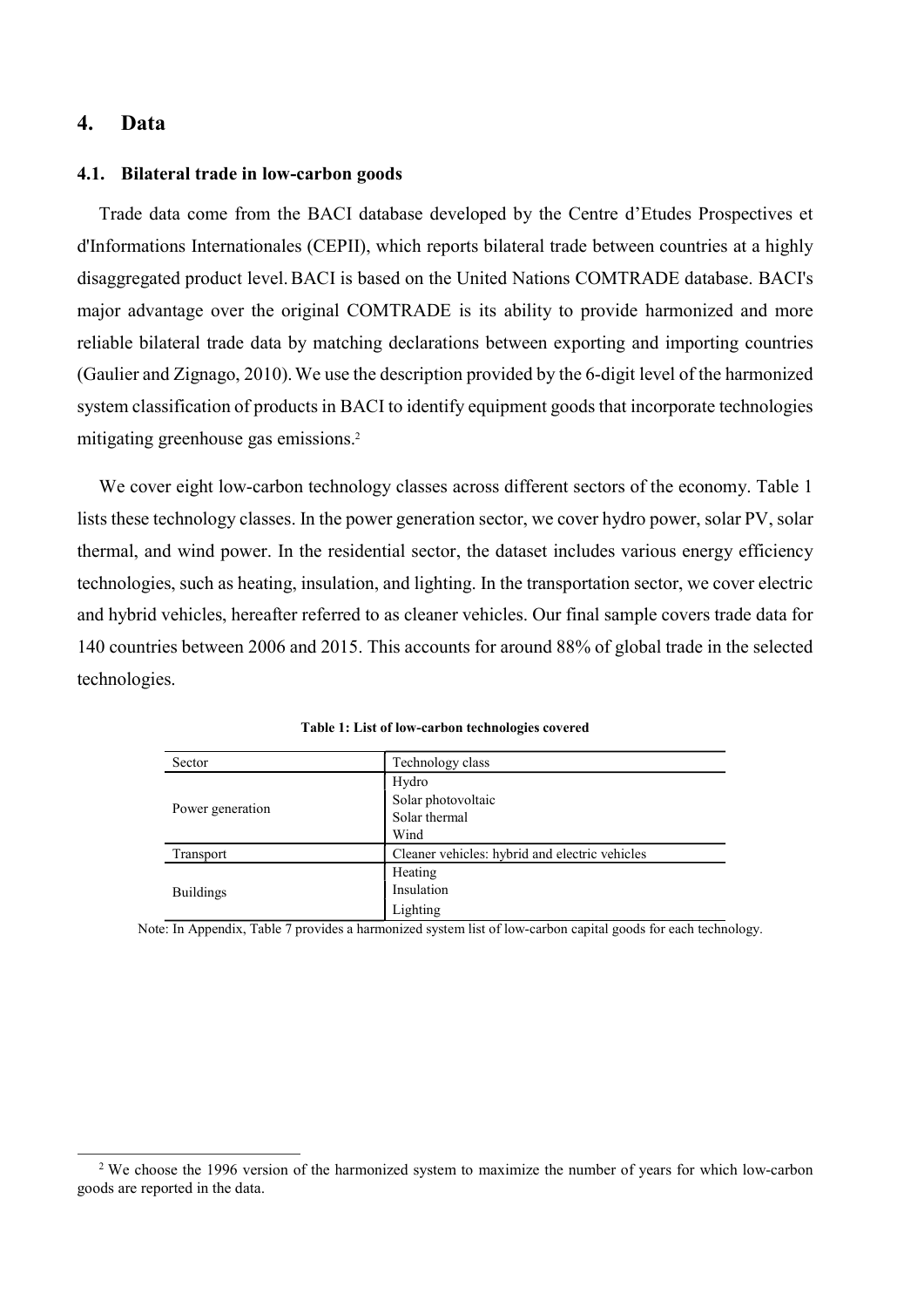## 4. Data

 $\overline{a}$ 

#### 4.1. Bilateral trade in low-carbon goods

Trade data come from the BACI database developed by the Centre d'Etudes Prospectives et d'Informations Internationales (CEPII), which reports bilateral trade between countries at a highly disaggregated product level.BACI is based on the United Nations COMTRADE database. BACI's major advantage over the original COMTRADE is its ability to provide harmonized and more reliable bilateral trade data by matching declarations between exporting and importing countries (Gaulier and Zignago, 2010).We use the description provided by the 6-digit level of the harmonized system classification of products in BACI to identify equipment goods that incorporate technologies mitigating greenhouse gas emissions.<sup>2</sup>

We cover eight low-carbon technology classes across different sectors of the economy. Table 1 lists these technology classes. In the power generation sector, we cover hydro power, solar PV, solar thermal, and wind power. In the residential sector, the dataset includes various energy efficiency technologies, such as heating, insulation, and lighting. In the transportation sector, we cover electric and hybrid vehicles, hereafter referred to as cleaner vehicles. Our final sample covers trade data for 140 countries between 2006 and 2015. This accounts for around 88% of global trade in the selected technologies.

| Sector           | Technology class                               |
|------------------|------------------------------------------------|
|                  | Hydro                                          |
|                  | Solar photovoltaic                             |
| Power generation | Solar thermal                                  |
|                  | Wind                                           |
| Transport        | Cleaner vehicles: hybrid and electric vehicles |
|                  | Heating                                        |
| <b>Buildings</b> | Insulation                                     |
|                  | Lighting                                       |

Table 1: List of low-carbon technologies covered

Note: In Appendix, Table 7 provides a harmonized system list of low-carbon capital goods for each technology.

<sup>&</sup>lt;sup>2</sup> We choose the 1996 version of the harmonized system to maximize the number of years for which low-carbon goods are reported in the data.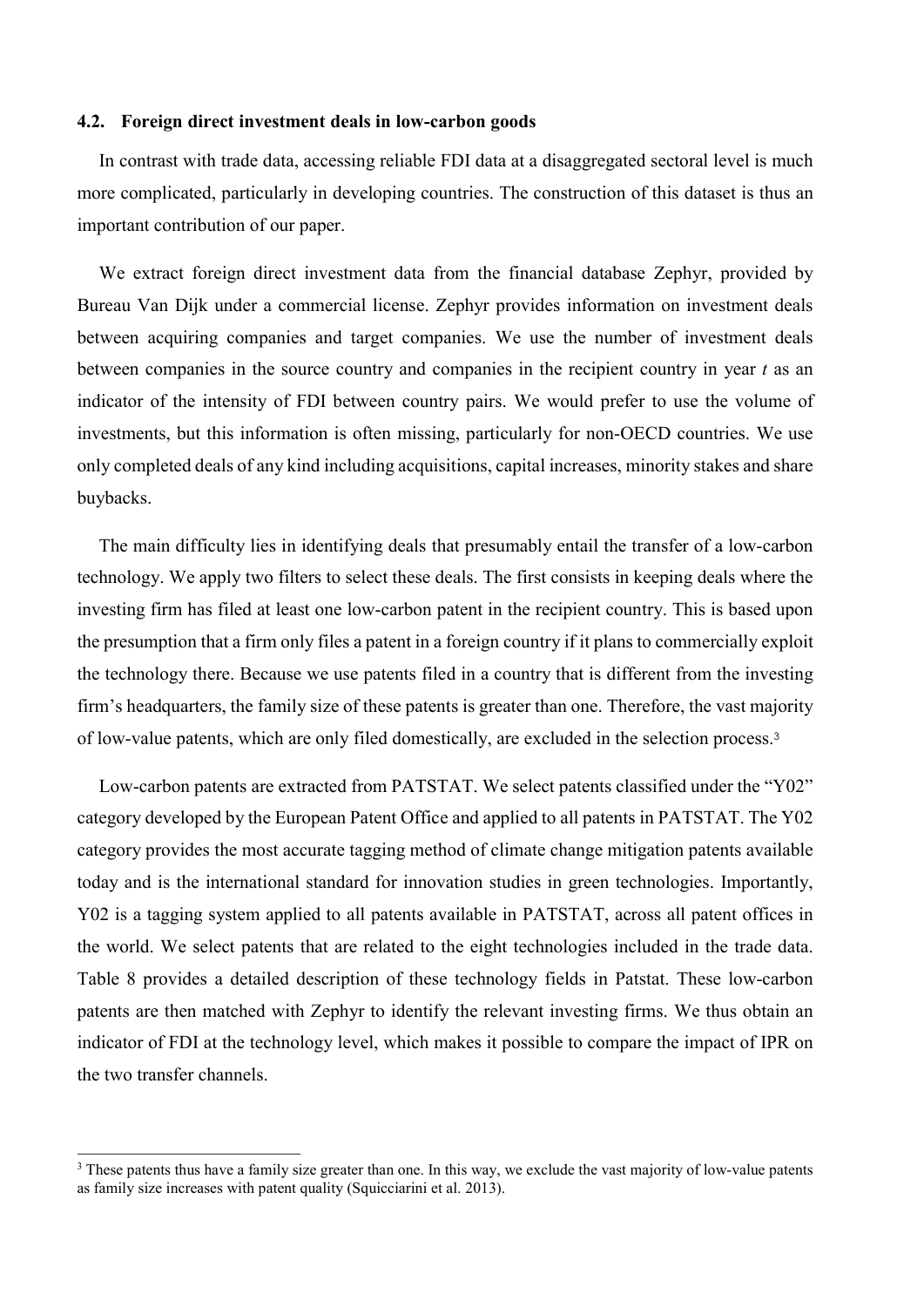## 4.2. Foreign direct investment deals in low-carbon goods

In contrast with trade data, accessing reliable FDI data at a disaggregated sectoral level is much more complicated, particularly in developing countries. The construction of this dataset is thus an important contribution of our paper.

We extract foreign direct investment data from the financial database Zephyr, provided by Bureau Van Dijk under a commercial license. Zephyr provides information on investment deals between acquiring companies and target companies. We use the number of investment deals between companies in the source country and companies in the recipient country in year t as an indicator of the intensity of FDI between country pairs. We would prefer to use the volume of investments, but this information is often missing, particularly for non-OECD countries. We use only completed deals of any kind including acquisitions, capital increases, minority stakes and share buybacks.

The main difficulty lies in identifying deals that presumably entail the transfer of a low-carbon technology. We apply two filters to select these deals. The first consists in keeping deals where the investing firm has filed at least one low-carbon patent in the recipient country. This is based upon the presumption that a firm only files a patent in a foreign country if it plans to commercially exploit the technology there. Because we use patents filed in a country that is different from the investing firm's headquarters, the family size of these patents is greater than one. Therefore, the vast majority of low-value patents, which are only filed domestically, are excluded in the selection process.<sup>3</sup>

Low-carbon patents are extracted from PATSTAT. We select patents classified under the "Y02" category developed by the European Patent Office and applied to all patents in PATSTAT. The Y02 category provides the most accurate tagging method of climate change mitigation patents available today and is the international standard for innovation studies in green technologies. Importantly, Y02 is a tagging system applied to all patents available in PATSTAT, across all patent offices in the world. We select patents that are related to the eight technologies included in the trade data. Table 8 provides a detailed description of these technology fields in Patstat. These low-carbon patents are then matched with Zephyr to identify the relevant investing firms. We thus obtain an indicator of FDI at the technology level, which makes it possible to compare the impact of IPR on the two transfer channels.

 $\overline{a}$ 

<sup>&</sup>lt;sup>3</sup> These patents thus have a family size greater than one. In this way, we exclude the vast majority of low-value patents as family size increases with patent quality (Squicciarini et al. 2013).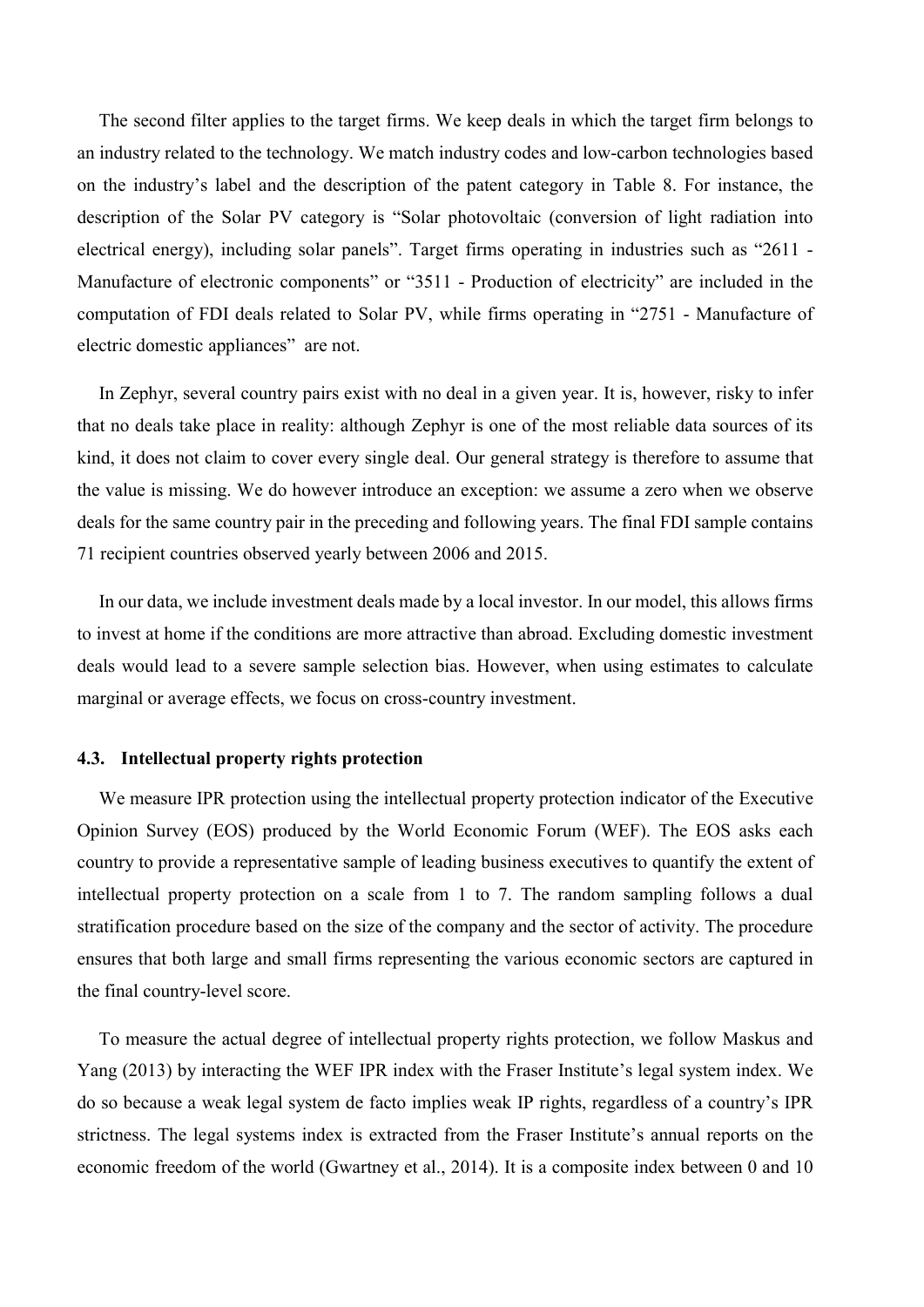The second filter applies to the target firms. We keep deals in which the target firm belongs to an industry related to the technology. We match industry codes and low-carbon technologies based on the industry's label and the description of the patent category in Table 8. For instance, the description of the Solar PV category is "Solar photovoltaic (conversion of light radiation into electrical energy), including solar panels". Target firms operating in industries such as "2611 - Manufacture of electronic components" or "3511 - Production of electricity" are included in the computation of FDI deals related to Solar PV, while firms operating in "2751 - Manufacture of electric domestic appliances" are not.

In Zephyr, several country pairs exist with no deal in a given year. It is, however, risky to infer that no deals take place in reality: although Zephyr is one of the most reliable data sources of its kind, it does not claim to cover every single deal. Our general strategy is therefore to assume that the value is missing. We do however introduce an exception: we assume a zero when we observe deals for the same country pair in the preceding and following years. The final FDI sample contains 71 recipient countries observed yearly between 2006 and 2015.

In our data, we include investment deals made by a local investor. In our model, this allows firms to invest at home if the conditions are more attractive than abroad. Excluding domestic investment deals would lead to a severe sample selection bias. However, when using estimates to calculate marginal or average effects, we focus on cross-country investment.

## 4.3. Intellectual property rights protection

We measure IPR protection using the intellectual property protection indicator of the Executive Opinion Survey (EOS) produced by the World Economic Forum (WEF). The EOS asks each country to provide a representative sample of leading business executives to quantify the extent of intellectual property protection on a scale from 1 to 7. The random sampling follows a dual stratification procedure based on the size of the company and the sector of activity. The procedure ensures that both large and small firms representing the various economic sectors are captured in the final country-level score.

To measure the actual degree of intellectual property rights protection, we follow Maskus and Yang (2013) by interacting the WEF IPR index with the Fraser Institute's legal system index. We do so because a weak legal system de facto implies weak IP rights, regardless of a country's IPR strictness. The legal systems index is extracted from the Fraser Institute's annual reports on the economic freedom of the world (Gwartney et al., 2014). It is a composite index between 0 and 10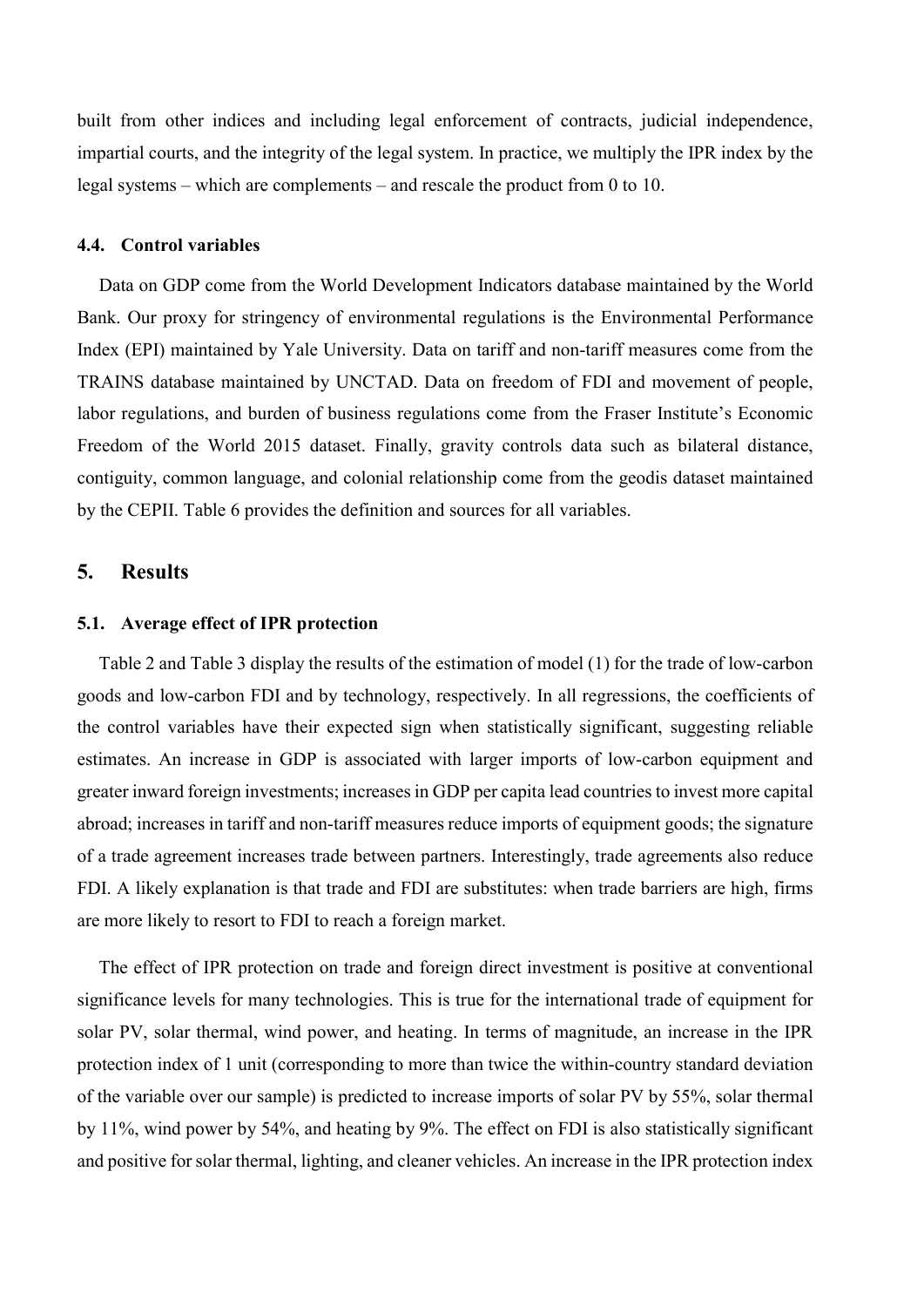built from other indices and including legal enforcement of contracts, judicial independence, impartial courts, and the integrity of the legal system. In practice, we multiply the IPR index by the legal systems – which are complements – and rescale the product from 0 to 10.

## 4.4. Control variables

Data on GDP come from the World Development Indicators database maintained by the World Bank. Our proxy for stringency of environmental regulations is the Environmental Performance Index (EPI) maintained by Yale University. Data on tariff and non-tariff measures come from the TRAINS database maintained by UNCTAD. Data on freedom of FDI and movement of people, labor regulations, and burden of business regulations come from the Fraser Institute's Economic Freedom of the World 2015 dataset. Finally, gravity controls data such as bilateral distance, contiguity, common language, and colonial relationship come from the geodis dataset maintained by the CEPII. Table 6 provides the definition and sources for all variables.

## 5. Results

## 5.1. Average effect of IPR protection

Table 2 and Table 3 display the results of the estimation of model (1) for the trade of low-carbon goods and low-carbon FDI and by technology, respectively. In all regressions, the coefficients of the control variables have their expected sign when statistically significant, suggesting reliable estimates. An increase in GDP is associated with larger imports of low-carbon equipment and greater inward foreign investments; increases in GDP per capita lead countries to invest more capital abroad; increases in tariff and non-tariff measures reduce imports of equipment goods; the signature of a trade agreement increases trade between partners. Interestingly, trade agreements also reduce FDI. A likely explanation is that trade and FDI are substitutes: when trade barriers are high, firms are more likely to resort to FDI to reach a foreign market.

The effect of IPR protection on trade and foreign direct investment is positive at conventional significance levels for many technologies. This is true for the international trade of equipment for solar PV, solar thermal, wind power, and heating. In terms of magnitude, an increase in the IPR protection index of 1 unit (corresponding to more than twice the within-country standard deviation of the variable over our sample) is predicted to increase imports of solar PV by 55%, solar thermal by 11%, wind power by 54%, and heating by 9%. The effect on FDI is also statistically significant and positive for solar thermal, lighting, and cleaner vehicles. An increase in the IPR protection index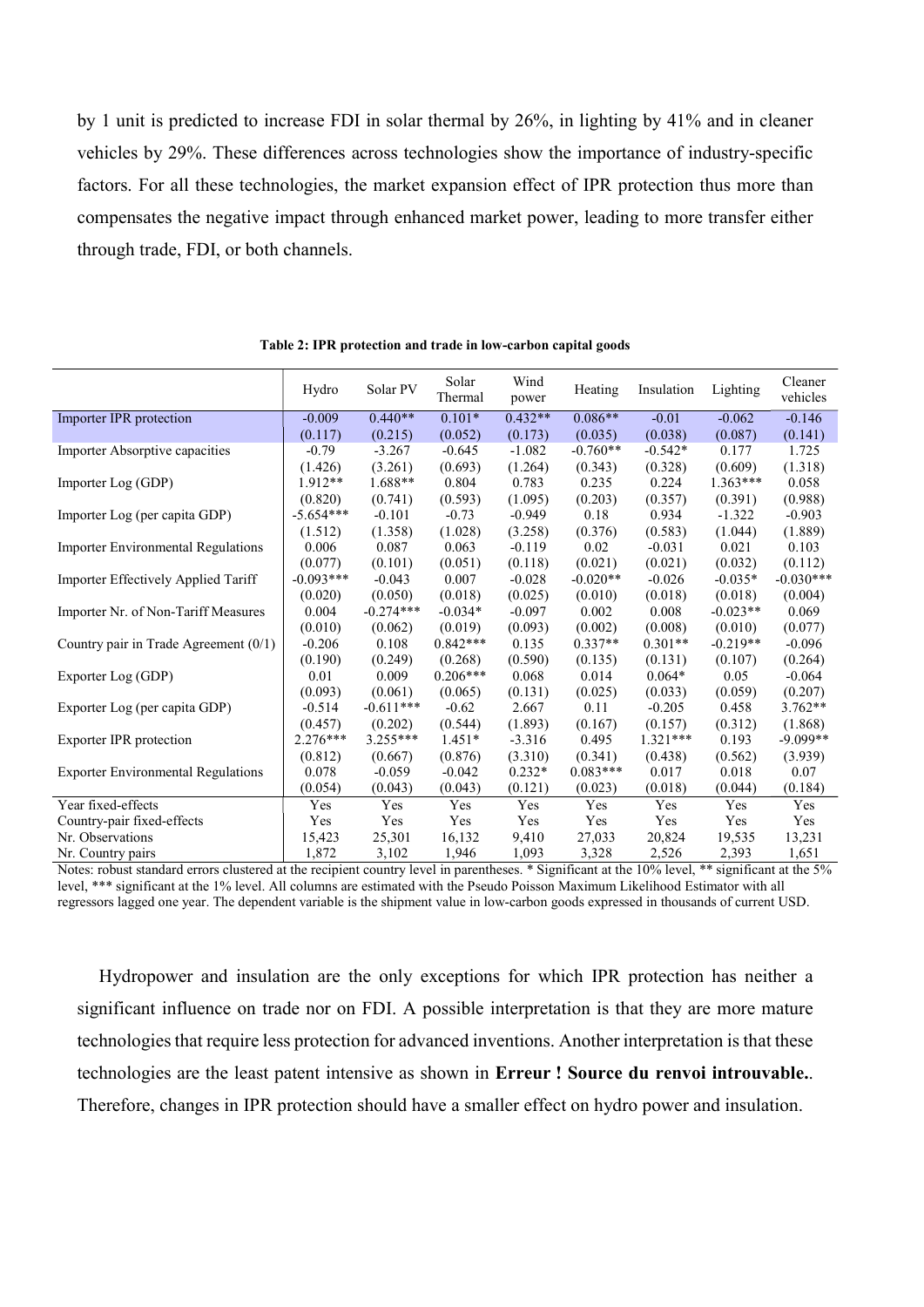by 1 unit is predicted to increase FDI in solar thermal by 26%, in lighting by 41% and in cleaner vehicles by 29%. These differences across technologies show the importance of industry-specific factors. For all these technologies, the market expansion effect of IPR protection thus more than compensates the negative impact through enhanced market power, leading to more transfer either through trade, FDI, or both channels.

|                                           | Hydro       | Solar PV    | Solar<br>Thermal | Wind<br>power | Heating    | Insulation | Lighting   | Cleaner<br>vehicles |
|-------------------------------------------|-------------|-------------|------------------|---------------|------------|------------|------------|---------------------|
| Importer IPR protection                   | $-0.009$    | $0.440**$   | $0.101*$         | $0.432**$     | $0.086**$  | $-0.01$    | $-0.062$   | $-0.146$            |
|                                           | (0.117)     | (0.215)     | (0.052)          | (0.173)       | (0.035)    | (0.038)    | (0.087)    | (0.141)             |
| Importer Absorptive capacities            | $-0.79$     | $-3.267$    | $-0.645$         | $-1.082$      | $-0.760**$ | $-0.542*$  | 0.177      | 1.725               |
|                                           | (1.426)     | (3.261)     | (0.693)          | (1.264)       | (0.343)    | (0.328)    | (0.609)    | (1.318)             |
| Importer Log (GDP)                        | $1.912**$   | $1.688**$   | 0.804            | 0.783         | 0.235      | 0.224      | $1.363***$ | 0.058               |
|                                           | (0.820)     | (0.741)     | (0.593)          | (1.095)       | (0.203)    | (0.357)    | (0.391)    | (0.988)             |
| Importer Log (per capita GDP)             | $-5.654***$ | $-0.101$    | $-0.73$          | $-0.949$      | 0.18       | 0.934      | $-1.322$   | $-0.903$            |
|                                           | (1.512)     | (1.358)     | (1.028)          | (3.258)       | (0.376)    | (0.583)    | (1.044)    | (1.889)             |
| <b>Importer Environmental Regulations</b> | 0.006       | 0.087       | 0.063            | $-0.119$      | 0.02       | $-0.031$   | 0.021      | 0.103               |
|                                           | (0.077)     | (0.101)     | (0.051)          | (0.118)       | (0.021)    | (0.021)    | (0.032)    | (0.112)             |
| Importer Effectively Applied Tariff       | $-0.093***$ | $-0.043$    | 0.007            | $-0.028$      | $-0.020**$ | $-0.026$   | $-0.035*$  | $-0.030***$         |
|                                           | (0.020)     | (0.050)     | (0.018)          | (0.025)       | (0.010)    | (0.018)    | (0.018)    | (0.004)             |
| Importer Nr. of Non-Tariff Measures       | 0.004       | $-0.274***$ | $-0.034*$        | $-0.097$      | 0.002      | 0.008      | $-0.023**$ | 0.069               |
|                                           | (0.010)     | (0.062)     | (0.019)          | (0.093)       | (0.002)    | (0.008)    | (0.010)    | (0.077)             |
| Country pair in Trade Agreement $(0/1)$   | $-0.206$    | 0.108       | $0.842***$       | 0.135         | $0.337**$  | $0.301**$  | $-0.219**$ | $-0.096$            |
|                                           | (0.190)     | (0.249)     | (0.268)          | (0.590)       | (0.135)    | (0.131)    | (0.107)    | (0.264)             |
| Exporter Log (GDP)                        | 0.01        | 0.009       | $0.206***$       | 0.068         | 0.014      | $0.064*$   | 0.05       | $-0.064$            |
|                                           | (0.093)     | (0.061)     | (0.065)          | (0.131)       | (0.025)    | (0.033)    | (0.059)    | (0.207)             |
| Exporter Log (per capita GDP)             | $-0.514$    | $-0.611***$ | $-0.62$          | 2.667         | 0.11       | $-0.205$   | 0.458      | $3.762**$           |
|                                           | (0.457)     | (0.202)     | (0.544)          | (1.893)       | (0.167)    | (0.157)    | (0.312)    | (1.868)             |
| Exporter IPR protection                   | 2.276***    | $3.255***$  | $1.451*$         | $-3.316$      | 0.495      | $1.321***$ | 0.193      | $-9.099**$          |
|                                           | (0.812)     | (0.667)     | (0.876)          | (3.310)       | (0.341)    | (0.438)    | (0.562)    | (3.939)             |
| <b>Exporter Environmental Regulations</b> | 0.078       | $-0.059$    | $-0.042$         | $0.232*$      | $0.083***$ | 0.017      | 0.018      | 0.07                |
|                                           | (0.054)     | (0.043)     | (0.043)          | (0.121)       | (0.023)    | (0.018)    | (0.044)    | (0.184)             |
| Year fixed-effects                        | Yes         | Yes         | Yes              | Yes           | Yes        | Yes        | Yes        | Yes                 |
| Country-pair fixed-effects                | Yes         | Yes         | Yes              | Yes           | Yes        | Yes        | Yes        | Yes                 |
| Nr. Observations                          | 15,423      | 25,301      | 16,132           | 9,410         | 27,033     | 20,824     | 19,535     | 13,231              |
| Nr. Country pairs                         | 1,872       | 3,102       | 1,946            | 1,093         | 3,328      | 2,526      | 2,393      | 1,651               |

Table 2: IPR protection and trade in low-carbon capital goods

Notes: robust standard errors clustered at the recipient country level in parentheses. \* Significant at the 10% level, \*\* significant at the 5% level, \*\*\* significant at the 1% level. All columns are estimated with the Pseudo Poisson Maximum Likelihood Estimator with all regressors lagged one year. The dependent variable is the shipment value in low-carbon goods expressed in thousands of current USD.

Hydropower and insulation are the only exceptions for which IPR protection has neither a significant influence on trade nor on FDI. A possible interpretation is that they are more mature technologies that require less protection for advanced inventions. Another interpretation is that these technologies are the least patent intensive as shown in Erreur ! Source du renvoi introuvable.. Therefore, changes in IPR protection should have a smaller effect on hydro power and insulation.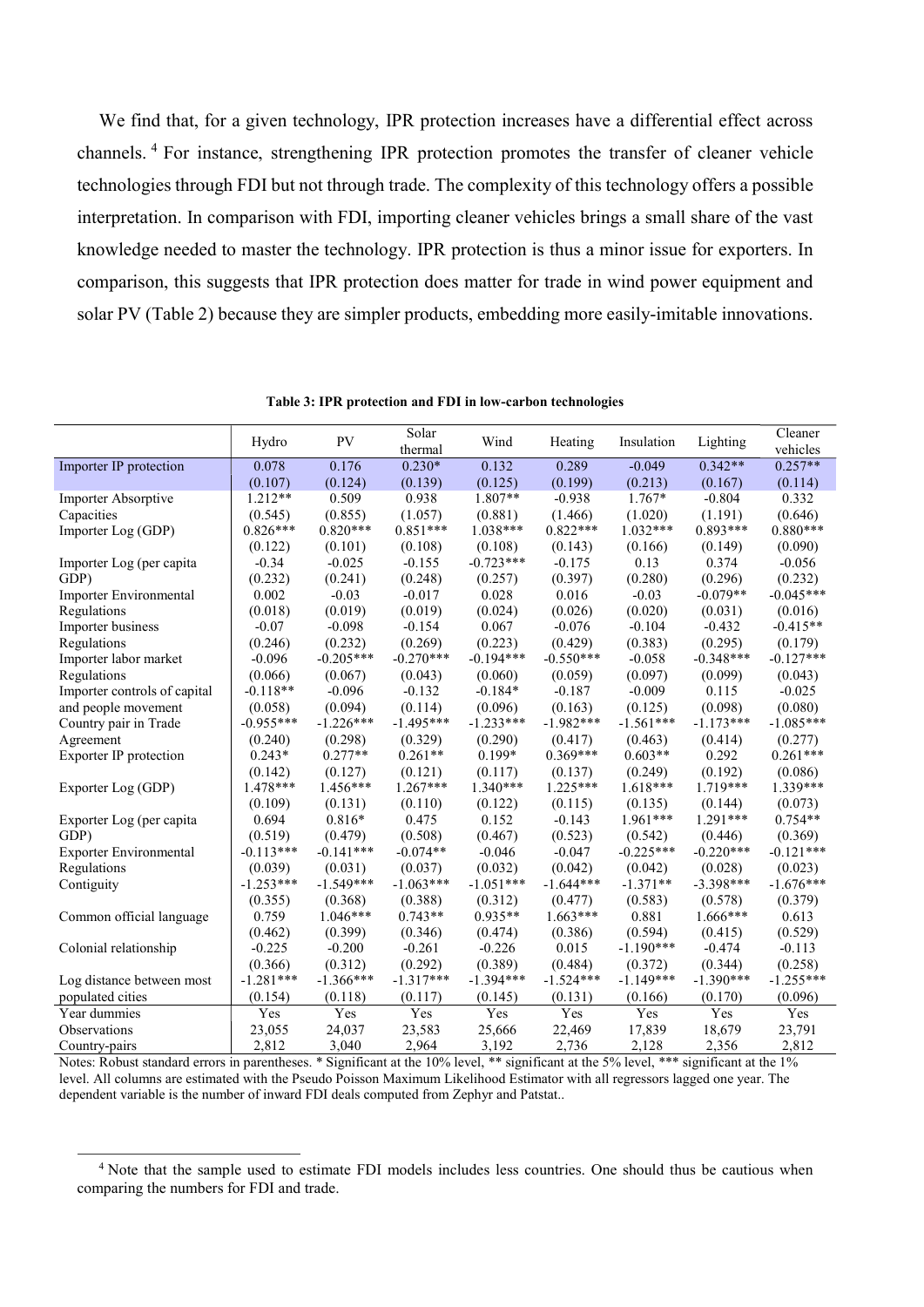We find that, for a given technology, IPR protection increases have a differential effect across channels.<sup>4</sup> For instance, strengthening IPR protection promotes the transfer of cleaner vehicle technologies through FDI but not through trade. The complexity of this technology offers a possible interpretation. In comparison with FDI, importing cleaner vehicles brings a small share of the vast knowledge needed to master the technology. IPR protection is thus a minor issue for exporters. In comparison, this suggests that IPR protection does matter for trade in wind power equipment and solar PV (Table 2) because they are simpler products, embedding more easily-imitable innovations.

| $0.342**$<br>$0.257**$<br>0.078<br>0.176<br>$0.230*$<br>0.132<br>0.289<br>$-0.049$<br>Importer IP protection<br>(0.125)<br>(0.107)<br>(0.124)<br>(0.139)<br>(0.199)<br>(0.213)<br>(0.167)<br>(0.114)<br>0.509<br>0.938<br>$1.807**$<br>$1.767*$<br>$-0.804$<br>Importer Absorptive<br>$1.212**$<br>$-0.938$<br>0.332<br>(1.057)<br>(0.646)<br>Capacities<br>(0.545)<br>(0.855)<br>(0.881)<br>(1.466)<br>(1.020)<br>(1.191)<br>$0.822***$<br>$1.032***$<br>$0.893***$<br>$0.880***$<br>$0.826***$<br>$0.820***$<br>$0.851***$<br>$1.038***$<br>Importer Log (GDP)<br>(0.122)<br>(0.101)<br>(0.108)<br>(0.108)<br>(0.143)<br>(0.166)<br>(0.090)<br>(0.149)<br>$-0.723***$<br>$-0.34$<br>$-0.025$<br>$-0.155$<br>0.13<br>0.374<br>$-0.056$<br>$-0.175$<br>Importer Log (per capita<br>(0.241)<br>(0.248)<br>(0.280)<br>(0.296)<br>(0.232)<br>GDP)<br>(0.232)<br>(0.257)<br>(0.397)<br>$-0.045***$<br>$-0.03$<br>0.028<br>0.016<br>$-0.03$<br>$-0.079**$<br>0.002<br>$-0.017$<br>Importer Environmental<br>(0.019)<br>(0.024)<br>(0.018)<br>(0.019)<br>(0.026)<br>(0.020)<br>Regulations<br>(0.031)<br>(0.016)<br>$-0.415**$<br>$-0.07$<br>$-0.098$<br>$-0.154$<br>0.067<br>$-0.076$<br>$-0.104$<br>$-0.432$<br>Importer business<br>Regulations<br>(0.246)<br>(0.232)<br>(0.269)<br>(0.223)<br>(0.429)<br>(0.383)<br>(0.295)<br>(0.179)<br>$-0.205***$<br>$-0.270***$<br>$-0.194***$<br>$-0.550***$<br>$-0.348***$<br>$-0.127***$<br>Importer labor market<br>$-0.096$<br>$-0.058$<br>(0.097)<br>Regulations<br>(0.066)<br>(0.067)<br>(0.043)<br>(0.060)<br>(0.059)<br>(0.099)<br>(0.043)<br>$-0.118**$<br>$-0.096$<br>$-0.132$<br>$-0.184*$<br>$-0.187$<br>$-0.009$<br>0.115<br>$-0.025$<br>Importer controls of capital<br>and people movement<br>(0.094)<br>(0.114)<br>(0.096)<br>(0.163)<br>(0.098)<br>(0.080)<br>(0.058)<br>(0.125)<br>$-0.955***$<br>$-1.226***$<br>$-1.495***$<br>$-1.233***$<br>$-1.982***$<br>$-1.561***$<br>$-1.173***$<br>$-1.085***$<br>Country pair in Trade<br>Agreement<br>(0.240)<br>(0.298)<br>(0.329)<br>(0.290)<br>(0.417)<br>(0.414)<br>(0.277)<br>(0.463)<br>$0.277**$<br>$0.199*$<br>$0.369***$<br>$0.603**$<br>$0.261***$<br>Exporter IP protection<br>$0.243*$<br>$0.261**$<br>0.292<br>(0.192)<br>(0.086)<br>(0.142)<br>(0.127)<br>(0.121)<br>(0.117)<br>(0.137)<br>(0.249)<br>$1.267***$<br>$1.618***$<br>1.719***<br>1.339***<br>1.478***<br>1.456***<br>$1.340***$<br>$1.225***$<br>Exporter Log (GDP)<br>(0.109)<br>(0.131)<br>(0.110)<br>(0.122)<br>(0.115)<br>(0.135)<br>(0.144)<br>(0.073)<br>$0.816*$<br>0.475<br>$1.961***$<br>$1.291***$<br>$0.754**$<br>0.694<br>0.152<br>$-0.143$<br>Exporter Log (per capita<br>(0.519)<br>(0.479)<br>(0.508)<br>(0.467)<br>(0.523)<br>(0.542)<br>(0.369)<br>GDP)<br>(0.446)<br>$-0.113***$<br>$-0.074**$<br>$-0.225***$<br>$-0.121***$<br>$-0.141***$<br>$-0.046$<br>$-0.047$<br>$-0.220***$<br>Exporter Environmental<br>Regulations<br>(0.037)<br>(0.032)<br>(0.042)<br>(0.042)<br>(0.028)<br>(0.023)<br>(0.039)<br>(0.031)<br>$-1.253***$<br>$-1.549***$<br>$-1.063***$<br>$-1.051***$<br>$-1.644***$<br>$-1.371**$<br>$-3.398***$<br>$-1.676***$<br>Contiguity<br>(0.355)<br>(0.583)<br>(0.368)<br>(0.388)<br>(0.312)<br>(0.477)<br>(0.578)<br>(0.379)<br>$1.046***$<br>$0.935**$<br>$1.663***$<br>0.759<br>$0.743**$<br>0.881<br>$1.666***$<br>Common official language<br>0.613<br>(0.462)<br>(0.399)<br>(0.346)<br>(0.474)<br>(0.386)<br>(0.594)<br>(0.415)<br>(0.529)<br>$-0.200$<br>$-0.226$<br>$-1.190***$<br>$-0.225$<br>$-0.261$<br>0.015<br>$-0.474$<br>$-0.113$<br>Colonial relationship<br>(0.389)<br>(0.484)<br>(0.258)<br>(0.366)<br>(0.312)<br>(0.292)<br>(0.372)<br>(0.344)<br>$-1.281***$<br>$-1.366***$<br>$-1.317***$<br>$-1.394***$<br>$-1.524***$<br>$-1.149***$<br>$-1.390***$<br>$-1.255***$<br>Log distance between most<br>populated cities<br>(0.154)<br>(0.118)<br>(0.145)<br>(0.131)<br>(0.166)<br>(0.170)<br>(0.096)<br>(0.117)<br>Yes<br>Yes<br>Year dummies<br>Yes<br>Yes<br>Yes<br>Yes<br>Yes<br>Yes<br>Observations<br>23,055<br>24,037<br>23,583<br>25,666<br>22,469<br>17,839<br>18,679<br>23,791 |               | Hydro | <b>PV</b> | Solar<br>thermal | Wind  | Heating | Insulation | Lighting | Cleaner<br>vehicles |
|-----------------------------------------------------------------------------------------------------------------------------------------------------------------------------------------------------------------------------------------------------------------------------------------------------------------------------------------------------------------------------------------------------------------------------------------------------------------------------------------------------------------------------------------------------------------------------------------------------------------------------------------------------------------------------------------------------------------------------------------------------------------------------------------------------------------------------------------------------------------------------------------------------------------------------------------------------------------------------------------------------------------------------------------------------------------------------------------------------------------------------------------------------------------------------------------------------------------------------------------------------------------------------------------------------------------------------------------------------------------------------------------------------------------------------------------------------------------------------------------------------------------------------------------------------------------------------------------------------------------------------------------------------------------------------------------------------------------------------------------------------------------------------------------------------------------------------------------------------------------------------------------------------------------------------------------------------------------------------------------------------------------------------------------------------------------------------------------------------------------------------------------------------------------------------------------------------------------------------------------------------------------------------------------------------------------------------------------------------------------------------------------------------------------------------------------------------------------------------------------------------------------------------------------------------------------------------------------------------------------------------------------------------------------------------------------------------------------------------------------------------------------------------------------------------------------------------------------------------------------------------------------------------------------------------------------------------------------------------------------------------------------------------------------------------------------------------------------------------------------------------------------------------------------------------------------------------------------------------------------------------------------------------------------------------------------------------------------------------------------------------------------------------------------------------------------------------------------------------------------------------------------------------------------------------------------------------------------------------------------------------------------------------------------------------------------------------------------------------------------------------------------------------------------------------------------------------------------------------------------------------------------------------------------------------------------------------------------------------------------------------------------------------------------------------------------------------------------------------------------------------|---------------|-------|-----------|------------------|-------|---------|------------|----------|---------------------|
|                                                                                                                                                                                                                                                                                                                                                                                                                                                                                                                                                                                                                                                                                                                                                                                                                                                                                                                                                                                                                                                                                                                                                                                                                                                                                                                                                                                                                                                                                                                                                                                                                                                                                                                                                                                                                                                                                                                                                                                                                                                                                                                                                                                                                                                                                                                                                                                                                                                                                                                                                                                                                                                                                                                                                                                                                                                                                                                                                                                                                                                                                                                                                                                                                                                                                                                                                                                                                                                                                                                                                                                                                                                                                                                                                                                                                                                                                                                                                                                                                                                                                                                             |               |       |           |                  |       |         |            |          |                     |
|                                                                                                                                                                                                                                                                                                                                                                                                                                                                                                                                                                                                                                                                                                                                                                                                                                                                                                                                                                                                                                                                                                                                                                                                                                                                                                                                                                                                                                                                                                                                                                                                                                                                                                                                                                                                                                                                                                                                                                                                                                                                                                                                                                                                                                                                                                                                                                                                                                                                                                                                                                                                                                                                                                                                                                                                                                                                                                                                                                                                                                                                                                                                                                                                                                                                                                                                                                                                                                                                                                                                                                                                                                                                                                                                                                                                                                                                                                                                                                                                                                                                                                                             |               |       |           |                  |       |         |            |          |                     |
|                                                                                                                                                                                                                                                                                                                                                                                                                                                                                                                                                                                                                                                                                                                                                                                                                                                                                                                                                                                                                                                                                                                                                                                                                                                                                                                                                                                                                                                                                                                                                                                                                                                                                                                                                                                                                                                                                                                                                                                                                                                                                                                                                                                                                                                                                                                                                                                                                                                                                                                                                                                                                                                                                                                                                                                                                                                                                                                                                                                                                                                                                                                                                                                                                                                                                                                                                                                                                                                                                                                                                                                                                                                                                                                                                                                                                                                                                                                                                                                                                                                                                                                             |               |       |           |                  |       |         |            |          |                     |
|                                                                                                                                                                                                                                                                                                                                                                                                                                                                                                                                                                                                                                                                                                                                                                                                                                                                                                                                                                                                                                                                                                                                                                                                                                                                                                                                                                                                                                                                                                                                                                                                                                                                                                                                                                                                                                                                                                                                                                                                                                                                                                                                                                                                                                                                                                                                                                                                                                                                                                                                                                                                                                                                                                                                                                                                                                                                                                                                                                                                                                                                                                                                                                                                                                                                                                                                                                                                                                                                                                                                                                                                                                                                                                                                                                                                                                                                                                                                                                                                                                                                                                                             |               |       |           |                  |       |         |            |          |                     |
|                                                                                                                                                                                                                                                                                                                                                                                                                                                                                                                                                                                                                                                                                                                                                                                                                                                                                                                                                                                                                                                                                                                                                                                                                                                                                                                                                                                                                                                                                                                                                                                                                                                                                                                                                                                                                                                                                                                                                                                                                                                                                                                                                                                                                                                                                                                                                                                                                                                                                                                                                                                                                                                                                                                                                                                                                                                                                                                                                                                                                                                                                                                                                                                                                                                                                                                                                                                                                                                                                                                                                                                                                                                                                                                                                                                                                                                                                                                                                                                                                                                                                                                             |               |       |           |                  |       |         |            |          |                     |
|                                                                                                                                                                                                                                                                                                                                                                                                                                                                                                                                                                                                                                                                                                                                                                                                                                                                                                                                                                                                                                                                                                                                                                                                                                                                                                                                                                                                                                                                                                                                                                                                                                                                                                                                                                                                                                                                                                                                                                                                                                                                                                                                                                                                                                                                                                                                                                                                                                                                                                                                                                                                                                                                                                                                                                                                                                                                                                                                                                                                                                                                                                                                                                                                                                                                                                                                                                                                                                                                                                                                                                                                                                                                                                                                                                                                                                                                                                                                                                                                                                                                                                                             |               |       |           |                  |       |         |            |          |                     |
|                                                                                                                                                                                                                                                                                                                                                                                                                                                                                                                                                                                                                                                                                                                                                                                                                                                                                                                                                                                                                                                                                                                                                                                                                                                                                                                                                                                                                                                                                                                                                                                                                                                                                                                                                                                                                                                                                                                                                                                                                                                                                                                                                                                                                                                                                                                                                                                                                                                                                                                                                                                                                                                                                                                                                                                                                                                                                                                                                                                                                                                                                                                                                                                                                                                                                                                                                                                                                                                                                                                                                                                                                                                                                                                                                                                                                                                                                                                                                                                                                                                                                                                             |               |       |           |                  |       |         |            |          |                     |
|                                                                                                                                                                                                                                                                                                                                                                                                                                                                                                                                                                                                                                                                                                                                                                                                                                                                                                                                                                                                                                                                                                                                                                                                                                                                                                                                                                                                                                                                                                                                                                                                                                                                                                                                                                                                                                                                                                                                                                                                                                                                                                                                                                                                                                                                                                                                                                                                                                                                                                                                                                                                                                                                                                                                                                                                                                                                                                                                                                                                                                                                                                                                                                                                                                                                                                                                                                                                                                                                                                                                                                                                                                                                                                                                                                                                                                                                                                                                                                                                                                                                                                                             |               |       |           |                  |       |         |            |          |                     |
|                                                                                                                                                                                                                                                                                                                                                                                                                                                                                                                                                                                                                                                                                                                                                                                                                                                                                                                                                                                                                                                                                                                                                                                                                                                                                                                                                                                                                                                                                                                                                                                                                                                                                                                                                                                                                                                                                                                                                                                                                                                                                                                                                                                                                                                                                                                                                                                                                                                                                                                                                                                                                                                                                                                                                                                                                                                                                                                                                                                                                                                                                                                                                                                                                                                                                                                                                                                                                                                                                                                                                                                                                                                                                                                                                                                                                                                                                                                                                                                                                                                                                                                             |               |       |           |                  |       |         |            |          |                     |
|                                                                                                                                                                                                                                                                                                                                                                                                                                                                                                                                                                                                                                                                                                                                                                                                                                                                                                                                                                                                                                                                                                                                                                                                                                                                                                                                                                                                                                                                                                                                                                                                                                                                                                                                                                                                                                                                                                                                                                                                                                                                                                                                                                                                                                                                                                                                                                                                                                                                                                                                                                                                                                                                                                                                                                                                                                                                                                                                                                                                                                                                                                                                                                                                                                                                                                                                                                                                                                                                                                                                                                                                                                                                                                                                                                                                                                                                                                                                                                                                                                                                                                                             |               |       |           |                  |       |         |            |          |                     |
|                                                                                                                                                                                                                                                                                                                                                                                                                                                                                                                                                                                                                                                                                                                                                                                                                                                                                                                                                                                                                                                                                                                                                                                                                                                                                                                                                                                                                                                                                                                                                                                                                                                                                                                                                                                                                                                                                                                                                                                                                                                                                                                                                                                                                                                                                                                                                                                                                                                                                                                                                                                                                                                                                                                                                                                                                                                                                                                                                                                                                                                                                                                                                                                                                                                                                                                                                                                                                                                                                                                                                                                                                                                                                                                                                                                                                                                                                                                                                                                                                                                                                                                             |               |       |           |                  |       |         |            |          |                     |
|                                                                                                                                                                                                                                                                                                                                                                                                                                                                                                                                                                                                                                                                                                                                                                                                                                                                                                                                                                                                                                                                                                                                                                                                                                                                                                                                                                                                                                                                                                                                                                                                                                                                                                                                                                                                                                                                                                                                                                                                                                                                                                                                                                                                                                                                                                                                                                                                                                                                                                                                                                                                                                                                                                                                                                                                                                                                                                                                                                                                                                                                                                                                                                                                                                                                                                                                                                                                                                                                                                                                                                                                                                                                                                                                                                                                                                                                                                                                                                                                                                                                                                                             |               |       |           |                  |       |         |            |          |                     |
|                                                                                                                                                                                                                                                                                                                                                                                                                                                                                                                                                                                                                                                                                                                                                                                                                                                                                                                                                                                                                                                                                                                                                                                                                                                                                                                                                                                                                                                                                                                                                                                                                                                                                                                                                                                                                                                                                                                                                                                                                                                                                                                                                                                                                                                                                                                                                                                                                                                                                                                                                                                                                                                                                                                                                                                                                                                                                                                                                                                                                                                                                                                                                                                                                                                                                                                                                                                                                                                                                                                                                                                                                                                                                                                                                                                                                                                                                                                                                                                                                                                                                                                             |               |       |           |                  |       |         |            |          |                     |
|                                                                                                                                                                                                                                                                                                                                                                                                                                                                                                                                                                                                                                                                                                                                                                                                                                                                                                                                                                                                                                                                                                                                                                                                                                                                                                                                                                                                                                                                                                                                                                                                                                                                                                                                                                                                                                                                                                                                                                                                                                                                                                                                                                                                                                                                                                                                                                                                                                                                                                                                                                                                                                                                                                                                                                                                                                                                                                                                                                                                                                                                                                                                                                                                                                                                                                                                                                                                                                                                                                                                                                                                                                                                                                                                                                                                                                                                                                                                                                                                                                                                                                                             |               |       |           |                  |       |         |            |          |                     |
|                                                                                                                                                                                                                                                                                                                                                                                                                                                                                                                                                                                                                                                                                                                                                                                                                                                                                                                                                                                                                                                                                                                                                                                                                                                                                                                                                                                                                                                                                                                                                                                                                                                                                                                                                                                                                                                                                                                                                                                                                                                                                                                                                                                                                                                                                                                                                                                                                                                                                                                                                                                                                                                                                                                                                                                                                                                                                                                                                                                                                                                                                                                                                                                                                                                                                                                                                                                                                                                                                                                                                                                                                                                                                                                                                                                                                                                                                                                                                                                                                                                                                                                             |               |       |           |                  |       |         |            |          |                     |
|                                                                                                                                                                                                                                                                                                                                                                                                                                                                                                                                                                                                                                                                                                                                                                                                                                                                                                                                                                                                                                                                                                                                                                                                                                                                                                                                                                                                                                                                                                                                                                                                                                                                                                                                                                                                                                                                                                                                                                                                                                                                                                                                                                                                                                                                                                                                                                                                                                                                                                                                                                                                                                                                                                                                                                                                                                                                                                                                                                                                                                                                                                                                                                                                                                                                                                                                                                                                                                                                                                                                                                                                                                                                                                                                                                                                                                                                                                                                                                                                                                                                                                                             |               |       |           |                  |       |         |            |          |                     |
|                                                                                                                                                                                                                                                                                                                                                                                                                                                                                                                                                                                                                                                                                                                                                                                                                                                                                                                                                                                                                                                                                                                                                                                                                                                                                                                                                                                                                                                                                                                                                                                                                                                                                                                                                                                                                                                                                                                                                                                                                                                                                                                                                                                                                                                                                                                                                                                                                                                                                                                                                                                                                                                                                                                                                                                                                                                                                                                                                                                                                                                                                                                                                                                                                                                                                                                                                                                                                                                                                                                                                                                                                                                                                                                                                                                                                                                                                                                                                                                                                                                                                                                             |               |       |           |                  |       |         |            |          |                     |
|                                                                                                                                                                                                                                                                                                                                                                                                                                                                                                                                                                                                                                                                                                                                                                                                                                                                                                                                                                                                                                                                                                                                                                                                                                                                                                                                                                                                                                                                                                                                                                                                                                                                                                                                                                                                                                                                                                                                                                                                                                                                                                                                                                                                                                                                                                                                                                                                                                                                                                                                                                                                                                                                                                                                                                                                                                                                                                                                                                                                                                                                                                                                                                                                                                                                                                                                                                                                                                                                                                                                                                                                                                                                                                                                                                                                                                                                                                                                                                                                                                                                                                                             |               |       |           |                  |       |         |            |          |                     |
|                                                                                                                                                                                                                                                                                                                                                                                                                                                                                                                                                                                                                                                                                                                                                                                                                                                                                                                                                                                                                                                                                                                                                                                                                                                                                                                                                                                                                                                                                                                                                                                                                                                                                                                                                                                                                                                                                                                                                                                                                                                                                                                                                                                                                                                                                                                                                                                                                                                                                                                                                                                                                                                                                                                                                                                                                                                                                                                                                                                                                                                                                                                                                                                                                                                                                                                                                                                                                                                                                                                                                                                                                                                                                                                                                                                                                                                                                                                                                                                                                                                                                                                             |               |       |           |                  |       |         |            |          |                     |
|                                                                                                                                                                                                                                                                                                                                                                                                                                                                                                                                                                                                                                                                                                                                                                                                                                                                                                                                                                                                                                                                                                                                                                                                                                                                                                                                                                                                                                                                                                                                                                                                                                                                                                                                                                                                                                                                                                                                                                                                                                                                                                                                                                                                                                                                                                                                                                                                                                                                                                                                                                                                                                                                                                                                                                                                                                                                                                                                                                                                                                                                                                                                                                                                                                                                                                                                                                                                                                                                                                                                                                                                                                                                                                                                                                                                                                                                                                                                                                                                                                                                                                                             |               |       |           |                  |       |         |            |          |                     |
|                                                                                                                                                                                                                                                                                                                                                                                                                                                                                                                                                                                                                                                                                                                                                                                                                                                                                                                                                                                                                                                                                                                                                                                                                                                                                                                                                                                                                                                                                                                                                                                                                                                                                                                                                                                                                                                                                                                                                                                                                                                                                                                                                                                                                                                                                                                                                                                                                                                                                                                                                                                                                                                                                                                                                                                                                                                                                                                                                                                                                                                                                                                                                                                                                                                                                                                                                                                                                                                                                                                                                                                                                                                                                                                                                                                                                                                                                                                                                                                                                                                                                                                             |               |       |           |                  |       |         |            |          |                     |
|                                                                                                                                                                                                                                                                                                                                                                                                                                                                                                                                                                                                                                                                                                                                                                                                                                                                                                                                                                                                                                                                                                                                                                                                                                                                                                                                                                                                                                                                                                                                                                                                                                                                                                                                                                                                                                                                                                                                                                                                                                                                                                                                                                                                                                                                                                                                                                                                                                                                                                                                                                                                                                                                                                                                                                                                                                                                                                                                                                                                                                                                                                                                                                                                                                                                                                                                                                                                                                                                                                                                                                                                                                                                                                                                                                                                                                                                                                                                                                                                                                                                                                                             |               |       |           |                  |       |         |            |          |                     |
|                                                                                                                                                                                                                                                                                                                                                                                                                                                                                                                                                                                                                                                                                                                                                                                                                                                                                                                                                                                                                                                                                                                                                                                                                                                                                                                                                                                                                                                                                                                                                                                                                                                                                                                                                                                                                                                                                                                                                                                                                                                                                                                                                                                                                                                                                                                                                                                                                                                                                                                                                                                                                                                                                                                                                                                                                                                                                                                                                                                                                                                                                                                                                                                                                                                                                                                                                                                                                                                                                                                                                                                                                                                                                                                                                                                                                                                                                                                                                                                                                                                                                                                             |               |       |           |                  |       |         |            |          |                     |
|                                                                                                                                                                                                                                                                                                                                                                                                                                                                                                                                                                                                                                                                                                                                                                                                                                                                                                                                                                                                                                                                                                                                                                                                                                                                                                                                                                                                                                                                                                                                                                                                                                                                                                                                                                                                                                                                                                                                                                                                                                                                                                                                                                                                                                                                                                                                                                                                                                                                                                                                                                                                                                                                                                                                                                                                                                                                                                                                                                                                                                                                                                                                                                                                                                                                                                                                                                                                                                                                                                                                                                                                                                                                                                                                                                                                                                                                                                                                                                                                                                                                                                                             |               |       |           |                  |       |         |            |          |                     |
|                                                                                                                                                                                                                                                                                                                                                                                                                                                                                                                                                                                                                                                                                                                                                                                                                                                                                                                                                                                                                                                                                                                                                                                                                                                                                                                                                                                                                                                                                                                                                                                                                                                                                                                                                                                                                                                                                                                                                                                                                                                                                                                                                                                                                                                                                                                                                                                                                                                                                                                                                                                                                                                                                                                                                                                                                                                                                                                                                                                                                                                                                                                                                                                                                                                                                                                                                                                                                                                                                                                                                                                                                                                                                                                                                                                                                                                                                                                                                                                                                                                                                                                             |               |       |           |                  |       |         |            |          |                     |
|                                                                                                                                                                                                                                                                                                                                                                                                                                                                                                                                                                                                                                                                                                                                                                                                                                                                                                                                                                                                                                                                                                                                                                                                                                                                                                                                                                                                                                                                                                                                                                                                                                                                                                                                                                                                                                                                                                                                                                                                                                                                                                                                                                                                                                                                                                                                                                                                                                                                                                                                                                                                                                                                                                                                                                                                                                                                                                                                                                                                                                                                                                                                                                                                                                                                                                                                                                                                                                                                                                                                                                                                                                                                                                                                                                                                                                                                                                                                                                                                                                                                                                                             |               |       |           |                  |       |         |            |          |                     |
|                                                                                                                                                                                                                                                                                                                                                                                                                                                                                                                                                                                                                                                                                                                                                                                                                                                                                                                                                                                                                                                                                                                                                                                                                                                                                                                                                                                                                                                                                                                                                                                                                                                                                                                                                                                                                                                                                                                                                                                                                                                                                                                                                                                                                                                                                                                                                                                                                                                                                                                                                                                                                                                                                                                                                                                                                                                                                                                                                                                                                                                                                                                                                                                                                                                                                                                                                                                                                                                                                                                                                                                                                                                                                                                                                                                                                                                                                                                                                                                                                                                                                                                             |               |       |           |                  |       |         |            |          |                     |
|                                                                                                                                                                                                                                                                                                                                                                                                                                                                                                                                                                                                                                                                                                                                                                                                                                                                                                                                                                                                                                                                                                                                                                                                                                                                                                                                                                                                                                                                                                                                                                                                                                                                                                                                                                                                                                                                                                                                                                                                                                                                                                                                                                                                                                                                                                                                                                                                                                                                                                                                                                                                                                                                                                                                                                                                                                                                                                                                                                                                                                                                                                                                                                                                                                                                                                                                                                                                                                                                                                                                                                                                                                                                                                                                                                                                                                                                                                                                                                                                                                                                                                                             |               |       |           |                  |       |         |            |          |                     |
|                                                                                                                                                                                                                                                                                                                                                                                                                                                                                                                                                                                                                                                                                                                                                                                                                                                                                                                                                                                                                                                                                                                                                                                                                                                                                                                                                                                                                                                                                                                                                                                                                                                                                                                                                                                                                                                                                                                                                                                                                                                                                                                                                                                                                                                                                                                                                                                                                                                                                                                                                                                                                                                                                                                                                                                                                                                                                                                                                                                                                                                                                                                                                                                                                                                                                                                                                                                                                                                                                                                                                                                                                                                                                                                                                                                                                                                                                                                                                                                                                                                                                                                             |               |       |           |                  |       |         |            |          |                     |
|                                                                                                                                                                                                                                                                                                                                                                                                                                                                                                                                                                                                                                                                                                                                                                                                                                                                                                                                                                                                                                                                                                                                                                                                                                                                                                                                                                                                                                                                                                                                                                                                                                                                                                                                                                                                                                                                                                                                                                                                                                                                                                                                                                                                                                                                                                                                                                                                                                                                                                                                                                                                                                                                                                                                                                                                                                                                                                                                                                                                                                                                                                                                                                                                                                                                                                                                                                                                                                                                                                                                                                                                                                                                                                                                                                                                                                                                                                                                                                                                                                                                                                                             |               |       |           |                  |       |         |            |          |                     |
|                                                                                                                                                                                                                                                                                                                                                                                                                                                                                                                                                                                                                                                                                                                                                                                                                                                                                                                                                                                                                                                                                                                                                                                                                                                                                                                                                                                                                                                                                                                                                                                                                                                                                                                                                                                                                                                                                                                                                                                                                                                                                                                                                                                                                                                                                                                                                                                                                                                                                                                                                                                                                                                                                                                                                                                                                                                                                                                                                                                                                                                                                                                                                                                                                                                                                                                                                                                                                                                                                                                                                                                                                                                                                                                                                                                                                                                                                                                                                                                                                                                                                                                             |               |       |           |                  |       |         |            |          |                     |
|                                                                                                                                                                                                                                                                                                                                                                                                                                                                                                                                                                                                                                                                                                                                                                                                                                                                                                                                                                                                                                                                                                                                                                                                                                                                                                                                                                                                                                                                                                                                                                                                                                                                                                                                                                                                                                                                                                                                                                                                                                                                                                                                                                                                                                                                                                                                                                                                                                                                                                                                                                                                                                                                                                                                                                                                                                                                                                                                                                                                                                                                                                                                                                                                                                                                                                                                                                                                                                                                                                                                                                                                                                                                                                                                                                                                                                                                                                                                                                                                                                                                                                                             |               |       |           |                  |       |         |            |          |                     |
|                                                                                                                                                                                                                                                                                                                                                                                                                                                                                                                                                                                                                                                                                                                                                                                                                                                                                                                                                                                                                                                                                                                                                                                                                                                                                                                                                                                                                                                                                                                                                                                                                                                                                                                                                                                                                                                                                                                                                                                                                                                                                                                                                                                                                                                                                                                                                                                                                                                                                                                                                                                                                                                                                                                                                                                                                                                                                                                                                                                                                                                                                                                                                                                                                                                                                                                                                                                                                                                                                                                                                                                                                                                                                                                                                                                                                                                                                                                                                                                                                                                                                                                             |               |       |           |                  |       |         |            |          |                     |
|                                                                                                                                                                                                                                                                                                                                                                                                                                                                                                                                                                                                                                                                                                                                                                                                                                                                                                                                                                                                                                                                                                                                                                                                                                                                                                                                                                                                                                                                                                                                                                                                                                                                                                                                                                                                                                                                                                                                                                                                                                                                                                                                                                                                                                                                                                                                                                                                                                                                                                                                                                                                                                                                                                                                                                                                                                                                                                                                                                                                                                                                                                                                                                                                                                                                                                                                                                                                                                                                                                                                                                                                                                                                                                                                                                                                                                                                                                                                                                                                                                                                                                                             |               |       |           |                  |       |         |            |          |                     |
|                                                                                                                                                                                                                                                                                                                                                                                                                                                                                                                                                                                                                                                                                                                                                                                                                                                                                                                                                                                                                                                                                                                                                                                                                                                                                                                                                                                                                                                                                                                                                                                                                                                                                                                                                                                                                                                                                                                                                                                                                                                                                                                                                                                                                                                                                                                                                                                                                                                                                                                                                                                                                                                                                                                                                                                                                                                                                                                                                                                                                                                                                                                                                                                                                                                                                                                                                                                                                                                                                                                                                                                                                                                                                                                                                                                                                                                                                                                                                                                                                                                                                                                             |               |       |           |                  |       |         |            |          |                     |
|                                                                                                                                                                                                                                                                                                                                                                                                                                                                                                                                                                                                                                                                                                                                                                                                                                                                                                                                                                                                                                                                                                                                                                                                                                                                                                                                                                                                                                                                                                                                                                                                                                                                                                                                                                                                                                                                                                                                                                                                                                                                                                                                                                                                                                                                                                                                                                                                                                                                                                                                                                                                                                                                                                                                                                                                                                                                                                                                                                                                                                                                                                                                                                                                                                                                                                                                                                                                                                                                                                                                                                                                                                                                                                                                                                                                                                                                                                                                                                                                                                                                                                                             |               |       |           |                  |       |         |            |          |                     |
| $\cdot$ $\sim$<br>$+ \alpha$<br>100/1<br>$1 - 4 + 4 +$<br>$\cdot$ $\sim$<br>$1 - 4 + 4 + 4 + 1 = 0$<br>$\cdot$ $\sim$<br>101<br>$\mathbf{1}$<br>$\cdot$ 1<br>$F(0)$ 1                                                                                                                                                                                                                                                                                                                                                                                                                                                                                                                                                                                                                                                                                                                                                                                                                                                                                                                                                                                                                                                                                                                                                                                                                                                                                                                                                                                                                                                                                                                                                                                                                                                                                                                                                                                                                                                                                                                                                                                                                                                                                                                                                                                                                                                                                                                                                                                                                                                                                                                                                                                                                                                                                                                                                                                                                                                                                                                                                                                                                                                                                                                                                                                                                                                                                                                                                                                                                                                                                                                                                                                                                                                                                                                                                                                                                                                                                                                                                       | Country-pairs | 2,812 | 3,040     | 2,964            | 3,192 | 2,736   | 2,128      | 2,356    | 2,812               |

Table 3: IPR protection and FDI in low-carbon technologies

Notes: Robust standard errors in parentheses. \* Significant at the 10% level, \*\* significant at the 5% level, \*\*\* significant at the 1% level. All columns are estimated with the Pseudo Poisson Maximum Likelihood Estimator with all regressors lagged one year. The dependent variable is the number of inward FDI deals computed from Zephyr and Patstat..

 $\overline{a}$ 

<sup>&</sup>lt;sup>4</sup> Note that the sample used to estimate FDI models includes less countries. One should thus be cautious when comparing the numbers for FDI and trade.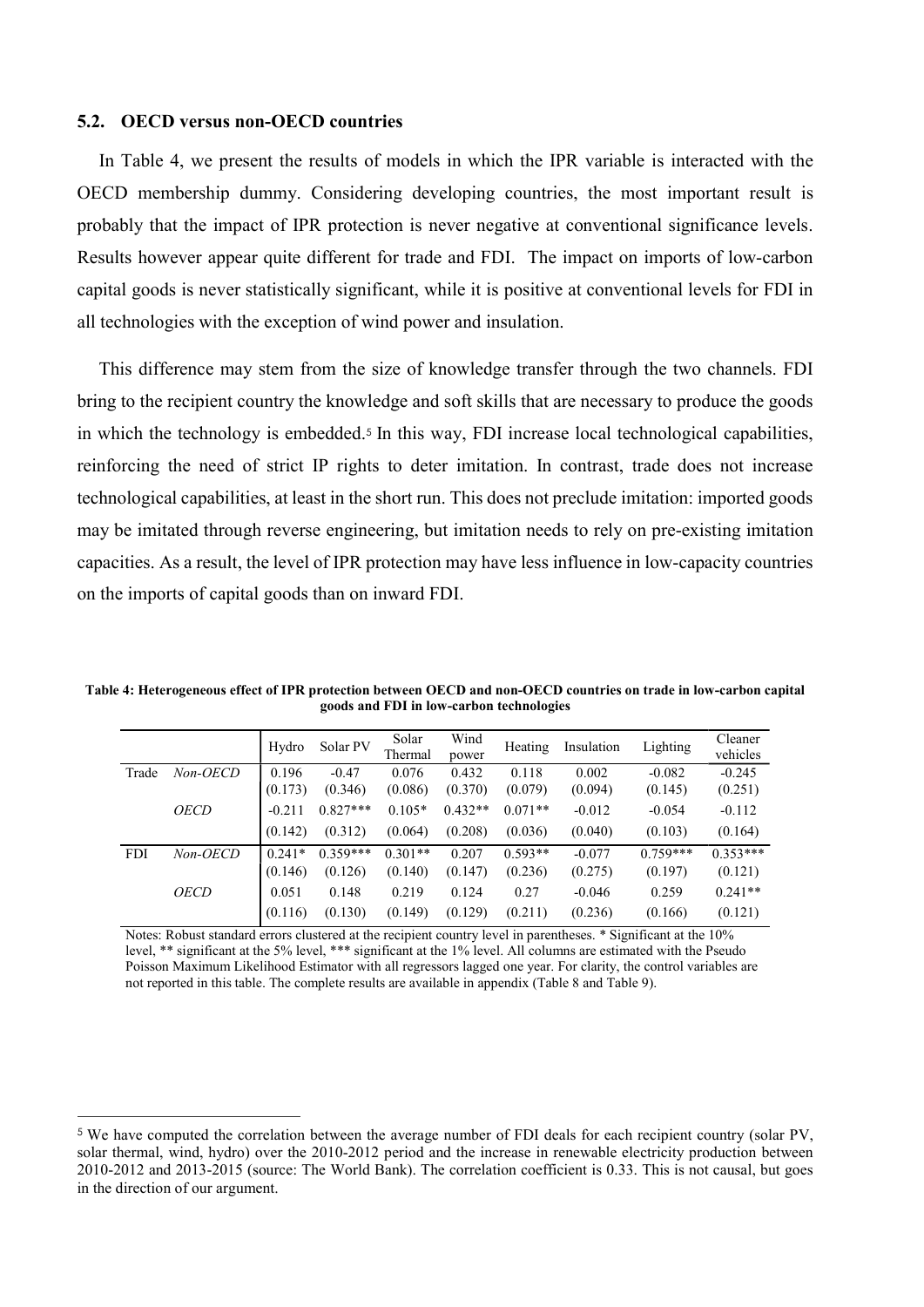#### 5.2. OECD versus non-OECD countries

 $\overline{a}$ 

In Table 4, we present the results of models in which the IPR variable is interacted with the OECD membership dummy. Considering developing countries, the most important result is probably that the impact of IPR protection is never negative at conventional significance levels. Results however appear quite different for trade and FDI. The impact on imports of low-carbon capital goods is never statistically significant, while it is positive at conventional levels for FDI in all technologies with the exception of wind power and insulation.

This difference may stem from the size of knowledge transfer through the two channels. FDI bring to the recipient country the knowledge and soft skills that are necessary to produce the goods in which the technology is embedded.5 In this way, FDI increase local technological capabilities, reinforcing the need of strict IP rights to deter imitation. In contrast, trade does not increase technological capabilities, at least in the short run. This does not preclude imitation: imported goods may be imitated through reverse engineering, but imitation needs to rely on pre-existing imitation capacities. As a result, the level of IPR protection may have less influence in low-capacity countries on the imports of capital goods than on inward FDI.

Table 4: Heterogeneous effect of IPR protection between OECD and non-OECD countries on trade in low-carbon capital goods and FDI in low-carbon technologies

|            |             | Hydro    | Solar PV   | Solar<br>Thermal | Wind<br>power | Heating   | Insulation | Lighting   | Cleaner<br>vehicles |
|------------|-------------|----------|------------|------------------|---------------|-----------|------------|------------|---------------------|
| Trade      | Non-OECD    | 0.196    | $-0.47$    | 0.076            | 0.432         | 0.118     | 0.002      | $-0.082$   | $-0.245$            |
|            |             | (0.173)  | (0.346)    | (0.086)          | (0.370)       | (0.079)   | (0.094)    | (0.145)    | (0.251)             |
|            | <b>OECD</b> | $-0.211$ | $0.827***$ | $0.105*$         | $0.432**$     | $0.071**$ | $-0.012$   | $-0.054$   | $-0.112$            |
|            |             | (0.142)  | (0.312)    | (0.064)          | (0.208)       | (0.036)   | (0.040)    | (0.103)    | (0.164)             |
| <b>FDI</b> | Non-OECD    | $0.241*$ | $0.359***$ | $0.301**$        | 0.207         | $0.593**$ | $-0.077$   | $0.759***$ | $0.353***$          |
|            |             | (0.146)  | (0.126)    | (0.140)          | (0.147)       | (0.236)   | (0.275)    | (0.197)    | (0.121)             |
|            | <b>OECD</b> | 0.051    | 0.148      | 0.219            | 0.124         | 0.27      | $-0.046$   | 0.259      | $0.241**$           |
|            |             | (0.116)  | (0.130)    | (0.149)          | (0.129)       | (0.211)   | (0.236)    | (0.166)    | (0.121)             |

Notes: Robust standard errors clustered at the recipient country level in parentheses. \* Significant at the 10% level, \*\* significant at the 5% level, \*\*\* significant at the 1% level. All columns are estimated with the Pseudo Poisson Maximum Likelihood Estimator with all regressors lagged one year. For clarity, the control variables are not reported in this table. The complete results are available in appendix (Table 8 and Table 9).

<sup>5</sup> We have computed the correlation between the average number of FDI deals for each recipient country (solar PV, solar thermal, wind, hydro) over the 2010-2012 period and the increase in renewable electricity production between 2010-2012 and 2013-2015 (source: The World Bank). The correlation coefficient is 0.33. This is not causal, but goes in the direction of our argument.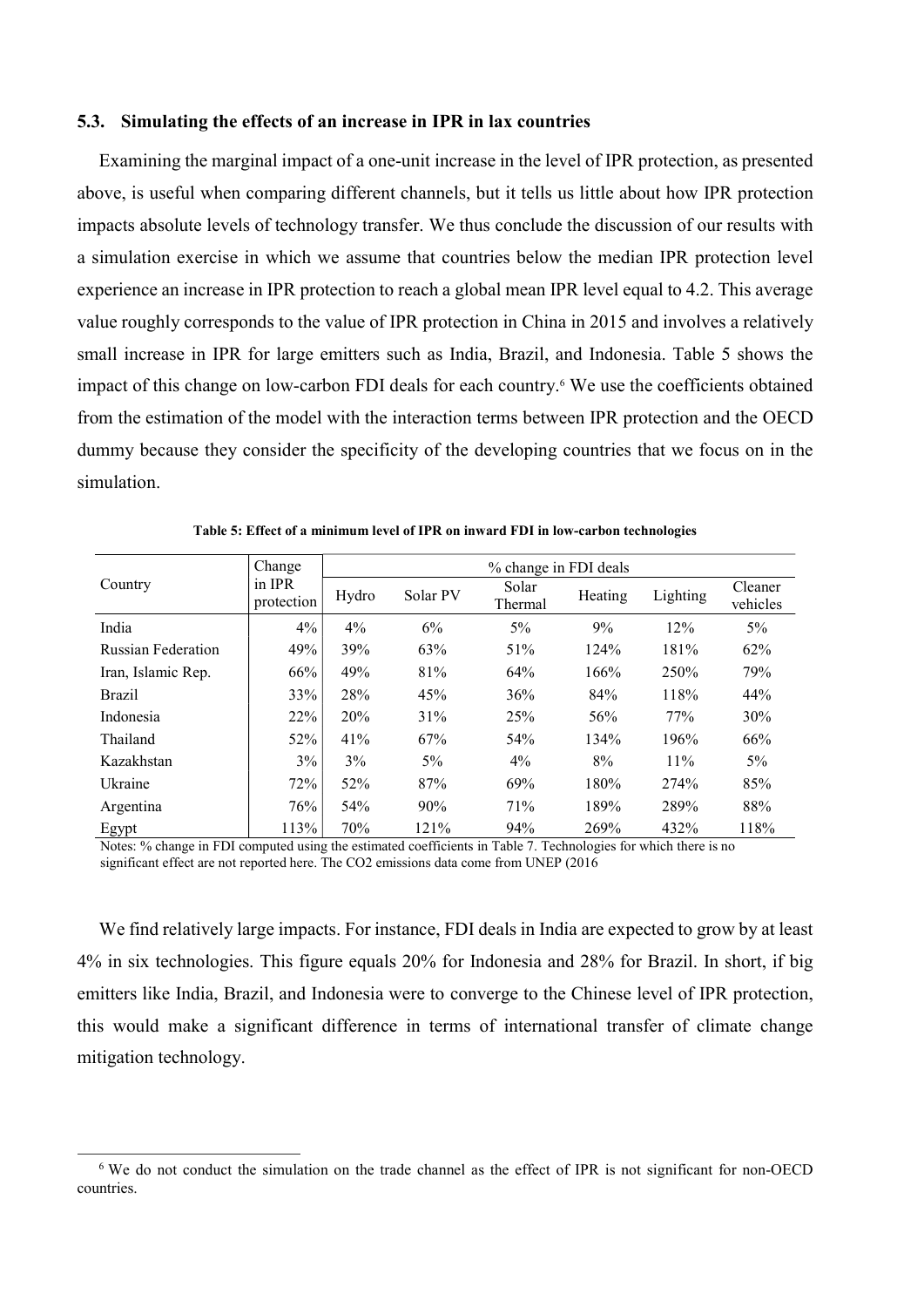## 5.3. Simulating the effects of an increase in IPR in lax countries

Examining the marginal impact of a one-unit increase in the level of IPR protection, as presented above, is useful when comparing different channels, but it tells us little about how IPR protection impacts absolute levels of technology transfer. We thus conclude the discussion of our results with a simulation exercise in which we assume that countries below the median IPR protection level experience an increase in IPR protection to reach a global mean IPR level equal to 4.2. This average value roughly corresponds to the value of IPR protection in China in 2015 and involves a relatively small increase in IPR for large emitters such as India, Brazil, and Indonesia. Table 5 shows the impact of this change on low-carbon FDI deals for each country.<sup>6</sup> We use the coefficients obtained from the estimation of the model with the interaction terms between IPR protection and the OECD dummy because they consider the specificity of the developing countries that we focus on in the simulation.

| Country                   | Change               | % change in FDI deals |          |                  |         |          |                     |  |  |  |
|---------------------------|----------------------|-----------------------|----------|------------------|---------|----------|---------------------|--|--|--|
|                           | in IPR<br>protection | Hydro                 | Solar PV | Solar<br>Thermal | Heating | Lighting | Cleaner<br>vehicles |  |  |  |
| India                     | 4%                   | $4\%$                 | 6%       | 5%               | 9%      | 12%      | $5\%$               |  |  |  |
| <b>Russian Federation</b> | 49%                  | 39%                   | 63%      | 51%              | 124%    | 181%     | 62%                 |  |  |  |
| Iran, Islamic Rep.        | 66%                  | 49%                   | 81%      | 64%              | 166%    | 250%     | 79%                 |  |  |  |
| <b>Brazil</b>             | 33%                  | 28%                   | 45%      | 36%              | 84%     | 118%     | 44%                 |  |  |  |
| Indonesia                 | 22%                  | 20%                   | 31%      | 25%              | 56%     | 77%      | 30%                 |  |  |  |
| Thailand                  | 52%                  | 41%                   | 67%      | 54%              | 134%    | 196%     | 66%                 |  |  |  |
| Kazakhstan                | 3%                   | 3%                    | $5\%$    | 4%               | 8%      | 11%      | $5\%$               |  |  |  |
| Ukraine                   | 72%                  | 52%                   | 87%      | 69%              | 180%    | 274%     | 85%                 |  |  |  |
| Argentina                 | 76%                  | 54%                   | 90%      | 71%              | 189%    | 289%     | 88%                 |  |  |  |
| Egypt                     | 113%                 | 70%                   | 121%     | 94%              | 269%    | 432%     | 118%                |  |  |  |

Table 5: Effect of a minimum level of IPR on inward FDI in low-carbon technologies

Notes: % change in FDI computed using the estimated coefficients in Table 7. Technologies for which there is no significant effect are not reported here. The CO2 emissions data come from UNEP (2016

We find relatively large impacts. For instance, FDI deals in India are expected to grow by at least 4% in six technologies. This figure equals 20% for Indonesia and 28% for Brazil. In short, if big emitters like India, Brazil, and Indonesia were to converge to the Chinese level of IPR protection, this would make a significant difference in terms of international transfer of climate change mitigation technology.

 $\overline{a}$ 

<sup>&</sup>lt;sup>6</sup> We do not conduct the simulation on the trade channel as the effect of IPR is not significant for non-OECD countries.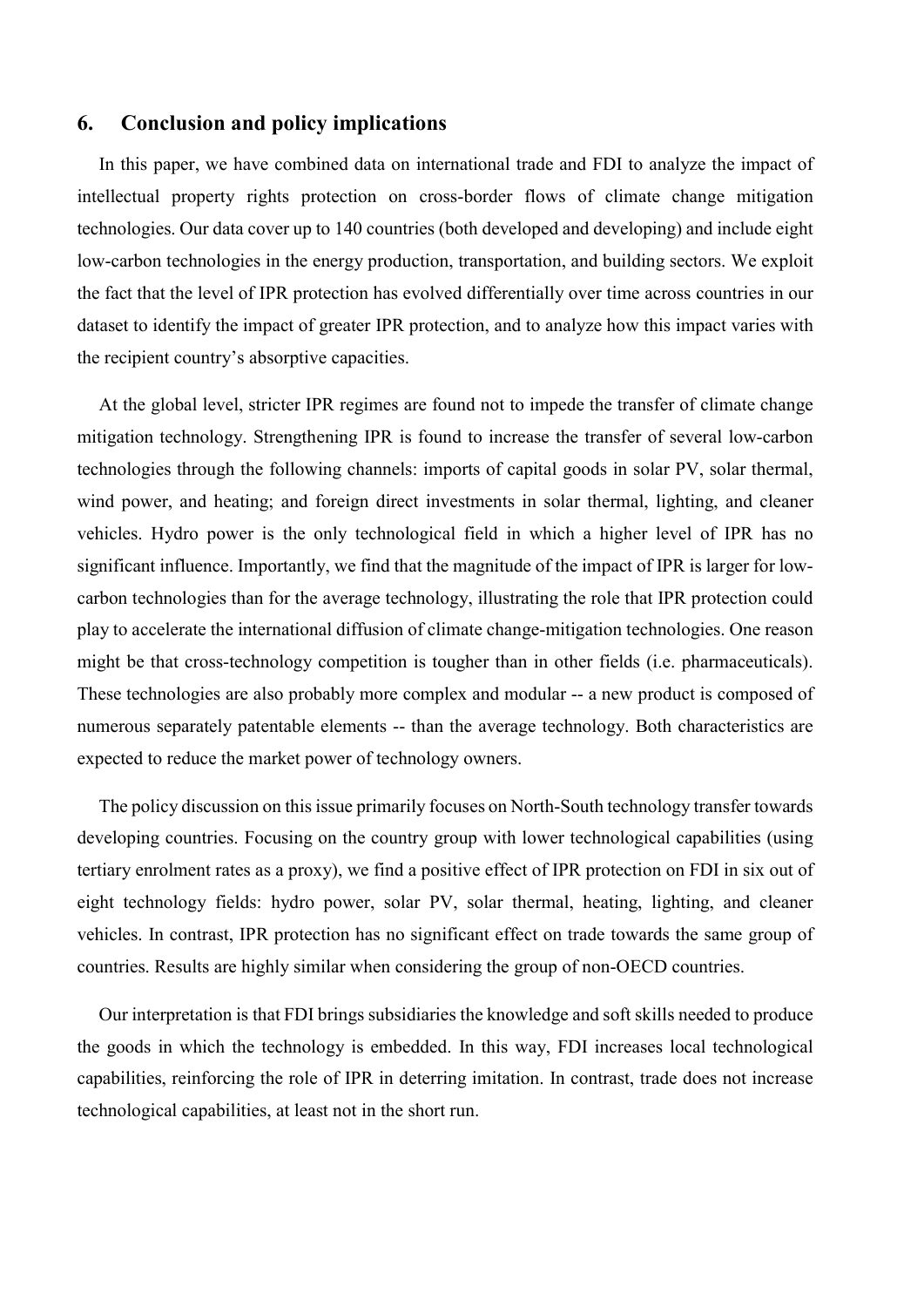# 6. Conclusion and policy implications

In this paper, we have combined data on international trade and FDI to analyze the impact of intellectual property rights protection on cross-border flows of climate change mitigation technologies. Our data cover up to 140 countries (both developed and developing) and include eight low-carbon technologies in the energy production, transportation, and building sectors. We exploit the fact that the level of IPR protection has evolved differentially over time across countries in our dataset to identify the impact of greater IPR protection, and to analyze how this impact varies with the recipient country's absorptive capacities.

At the global level, stricter IPR regimes are found not to impede the transfer of climate change mitigation technology. Strengthening IPR is found to increase the transfer of several low-carbon technologies through the following channels: imports of capital goods in solar PV, solar thermal, wind power, and heating; and foreign direct investments in solar thermal, lighting, and cleaner vehicles. Hydro power is the only technological field in which a higher level of IPR has no significant influence. Importantly, we find that the magnitude of the impact of IPR is larger for lowcarbon technologies than for the average technology, illustrating the role that IPR protection could play to accelerate the international diffusion of climate change-mitigation technologies. One reason might be that cross-technology competition is tougher than in other fields (i.e. pharmaceuticals). These technologies are also probably more complex and modular -- a new product is composed of numerous separately patentable elements -- than the average technology. Both characteristics are expected to reduce the market power of technology owners.

The policy discussion on this issue primarily focuses on North-South technology transfer towards developing countries. Focusing on the country group with lower technological capabilities (using tertiary enrolment rates as a proxy), we find a positive effect of IPR protection on FDI in six out of eight technology fields: hydro power, solar PV, solar thermal, heating, lighting, and cleaner vehicles. In contrast, IPR protection has no significant effect on trade towards the same group of countries. Results are highly similar when considering the group of non-OECD countries.

Our interpretation is that FDI brings subsidiaries the knowledge and soft skills needed to produce the goods in which the technology is embedded. In this way, FDI increases local technological capabilities, reinforcing the role of IPR in deterring imitation. In contrast, trade does not increase technological capabilities, at least not in the short run.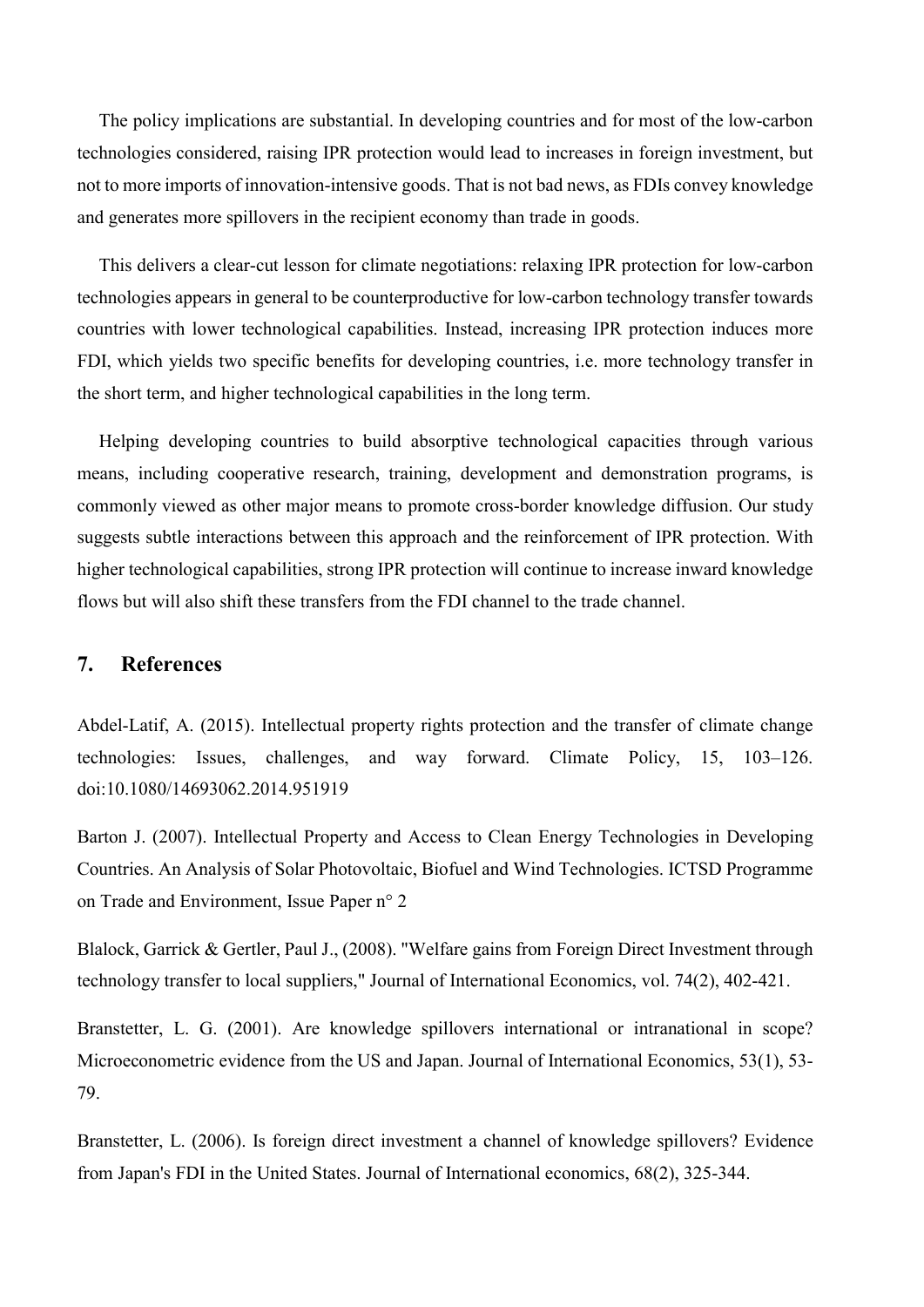The policy implications are substantial. In developing countries and for most of the low-carbon technologies considered, raising IPR protection would lead to increases in foreign investment, but not to more imports of innovation-intensive goods. That is not bad news, as FDIs convey knowledge and generates more spillovers in the recipient economy than trade in goods.

This delivers a clear-cut lesson for climate negotiations: relaxing IPR protection for low-carbon technologies appears in general to be counterproductive for low-carbon technology transfer towards countries with lower technological capabilities. Instead, increasing IPR protection induces more FDI, which yields two specific benefits for developing countries, i.e. more technology transfer in the short term, and higher technological capabilities in the long term.

Helping developing countries to build absorptive technological capacities through various means, including cooperative research, training, development and demonstration programs, is commonly viewed as other major means to promote cross-border knowledge diffusion. Our study suggests subtle interactions between this approach and the reinforcement of IPR protection. With higher technological capabilities, strong IPR protection will continue to increase inward knowledge flows but will also shift these transfers from the FDI channel to the trade channel.

# 7. References

Abdel-Latif, A. (2015). Intellectual property rights protection and the transfer of climate change technologies: Issues, challenges, and way forward. Climate Policy, 15, 103–126. doi:10.1080/14693062.2014.951919

Barton J. (2007). Intellectual Property and Access to Clean Energy Technologies in Developing Countries. An Analysis of Solar Photovoltaic, Biofuel and Wind Technologies. ICTSD Programme on Trade and Environment, Issue Paper n° 2

Blalock, Garrick & Gertler, Paul J., (2008). "Welfare gains from Foreign Direct Investment through technology transfer to local suppliers," Journal of International Economics, vol. 74(2), 402-421.

Branstetter, L. G. (2001). Are knowledge spillovers international or intranational in scope? Microeconometric evidence from the US and Japan. Journal of International Economics, 53(1), 53- 79.

Branstetter, L. (2006). Is foreign direct investment a channel of knowledge spillovers? Evidence from Japan's FDI in the United States. Journal of International economics, 68(2), 325-344.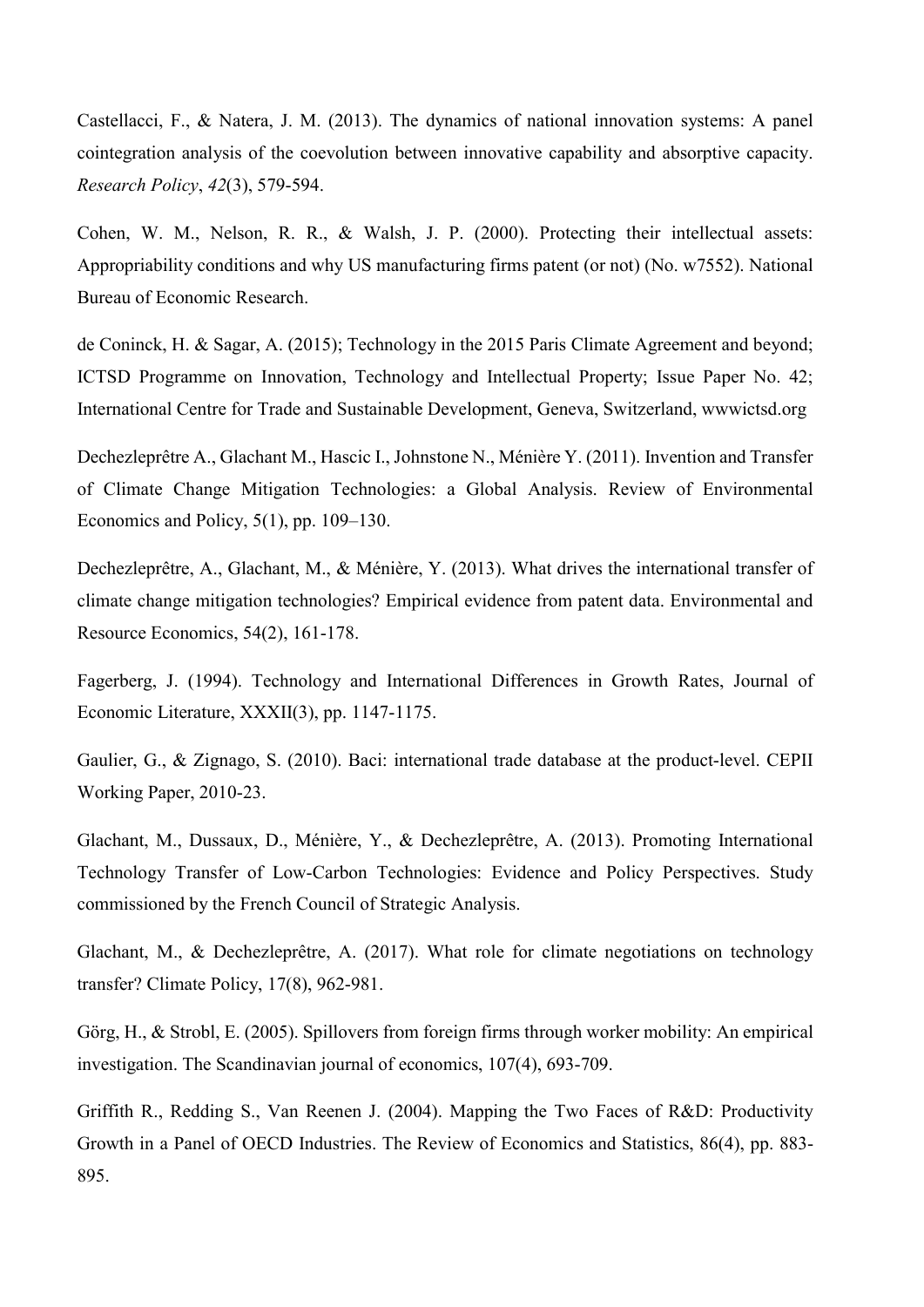Castellacci, F., & Natera, J. M. (2013). The dynamics of national innovation systems: A panel cointegration analysis of the coevolution between innovative capability and absorptive capacity. Research Policy, 42(3), 579-594.

Cohen, W. M., Nelson, R. R., & Walsh, J. P. (2000). Protecting their intellectual assets: Appropriability conditions and why US manufacturing firms patent (or not) (No. w7552). National Bureau of Economic Research.

de Coninck, H. & Sagar, A. (2015); Technology in the 2015 Paris Climate Agreement and beyond; ICTSD Programme on Innovation, Technology and Intellectual Property; Issue Paper No. 42; International Centre for Trade and Sustainable Development, Geneva, Switzerland, wwwictsd.org

Dechezleprêtre A., Glachant M., Hascic I., Johnstone N., Ménière Y. (2011). Invention and Transfer of Climate Change Mitigation Technologies: a Global Analysis. Review of Environmental Economics and Policy, 5(1), pp. 109–130.

Dechezleprêtre, A., Glachant, M., & Ménière, Y. (2013). What drives the international transfer of climate change mitigation technologies? Empirical evidence from patent data. Environmental and Resource Economics, 54(2), 161-178.

Fagerberg, J. (1994). Technology and International Differences in Growth Rates, Journal of Economic Literature, XXXII(3), pp. 1147-1175.

Gaulier, G., & Zignago, S. (2010). Baci: international trade database at the product-level. CEPII Working Paper, 2010-23.

Glachant, M., Dussaux, D., Ménière, Y., & Dechezleprêtre, A. (2013). Promoting International Technology Transfer of Low-Carbon Technologies: Evidence and Policy Perspectives. Study commissioned by the French Council of Strategic Analysis.

Glachant, M., & Dechezleprêtre, A. (2017). What role for climate negotiations on technology transfer? Climate Policy, 17(8), 962-981.

Görg, H., & Strobl, E. (2005). Spillovers from foreign firms through worker mobility: An empirical investigation. The Scandinavian journal of economics, 107(4), 693-709.

Griffith R., Redding S., Van Reenen J. (2004). Mapping the Two Faces of R&D: Productivity Growth in a Panel of OECD Industries. The Review of Economics and Statistics, 86(4), pp. 883- 895.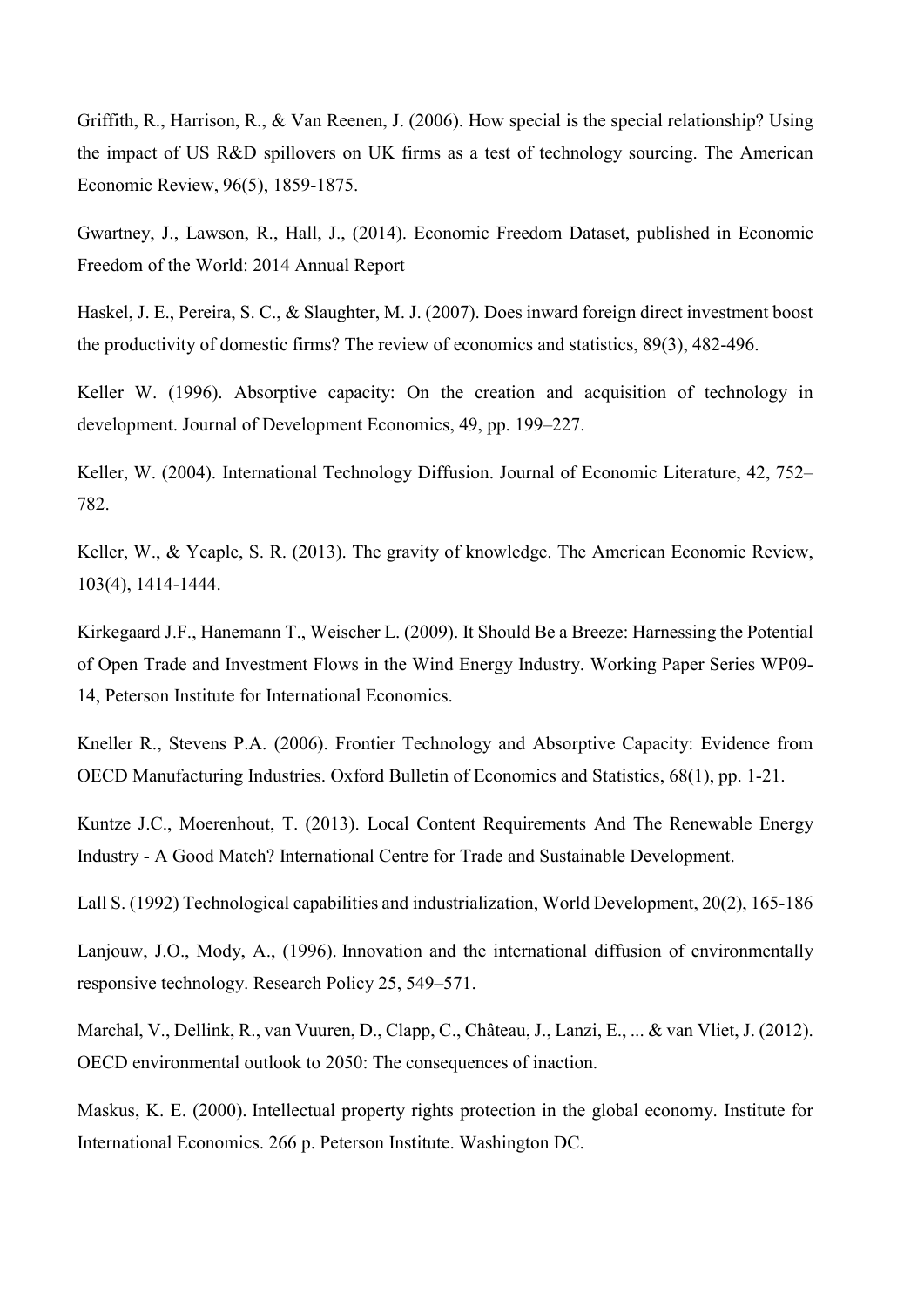Griffith, R., Harrison, R., & Van Reenen, J. (2006). How special is the special relationship? Using the impact of US R&D spillovers on UK firms as a test of technology sourcing. The American Economic Review, 96(5), 1859-1875.

Gwartney, J., Lawson, R., Hall, J., (2014). Economic Freedom Dataset, published in Economic Freedom of the World: 2014 Annual Report

Haskel, J. E., Pereira, S. C., & Slaughter, M. J. (2007). Does inward foreign direct investment boost the productivity of domestic firms? The review of economics and statistics, 89(3), 482-496.

Keller W. (1996). Absorptive capacity: On the creation and acquisition of technology in development. Journal of Development Economics, 49, pp. 199–227.

Keller, W. (2004). International Technology Diffusion. Journal of Economic Literature, 42, 752– 782.

Keller, W., & Yeaple, S. R. (2013). The gravity of knowledge. The American Economic Review, 103(4), 1414-1444.

Kirkegaard J.F., Hanemann T., Weischer L. (2009). It Should Be a Breeze: Harnessing the Potential of Open Trade and Investment Flows in the Wind Energy Industry. Working Paper Series WP09- 14, Peterson Institute for International Economics.

Kneller R., Stevens P.A. (2006). Frontier Technology and Absorptive Capacity: Evidence from OECD Manufacturing Industries. Oxford Bulletin of Economics and Statistics, 68(1), pp. 1-21.

Kuntze J.C., Moerenhout, T. (2013). Local Content Requirements And The Renewable Energy Industry - A Good Match? International Centre for Trade and Sustainable Development.

Lall S. (1992) Technological capabilities and industrialization, World Development, 20(2), 165-186

Lanjouw, J.O., Mody, A., (1996). Innovation and the international diffusion of environmentally responsive technology. Research Policy 25, 549–571.

Marchal, V., Dellink, R., van Vuuren, D., Clapp, C., Château, J., Lanzi, E., ... & van Vliet, J. (2012). OECD environmental outlook to 2050: The consequences of inaction.

Maskus, K. E. (2000). Intellectual property rights protection in the global economy. Institute for International Economics. 266 p. Peterson Institute. Washington DC.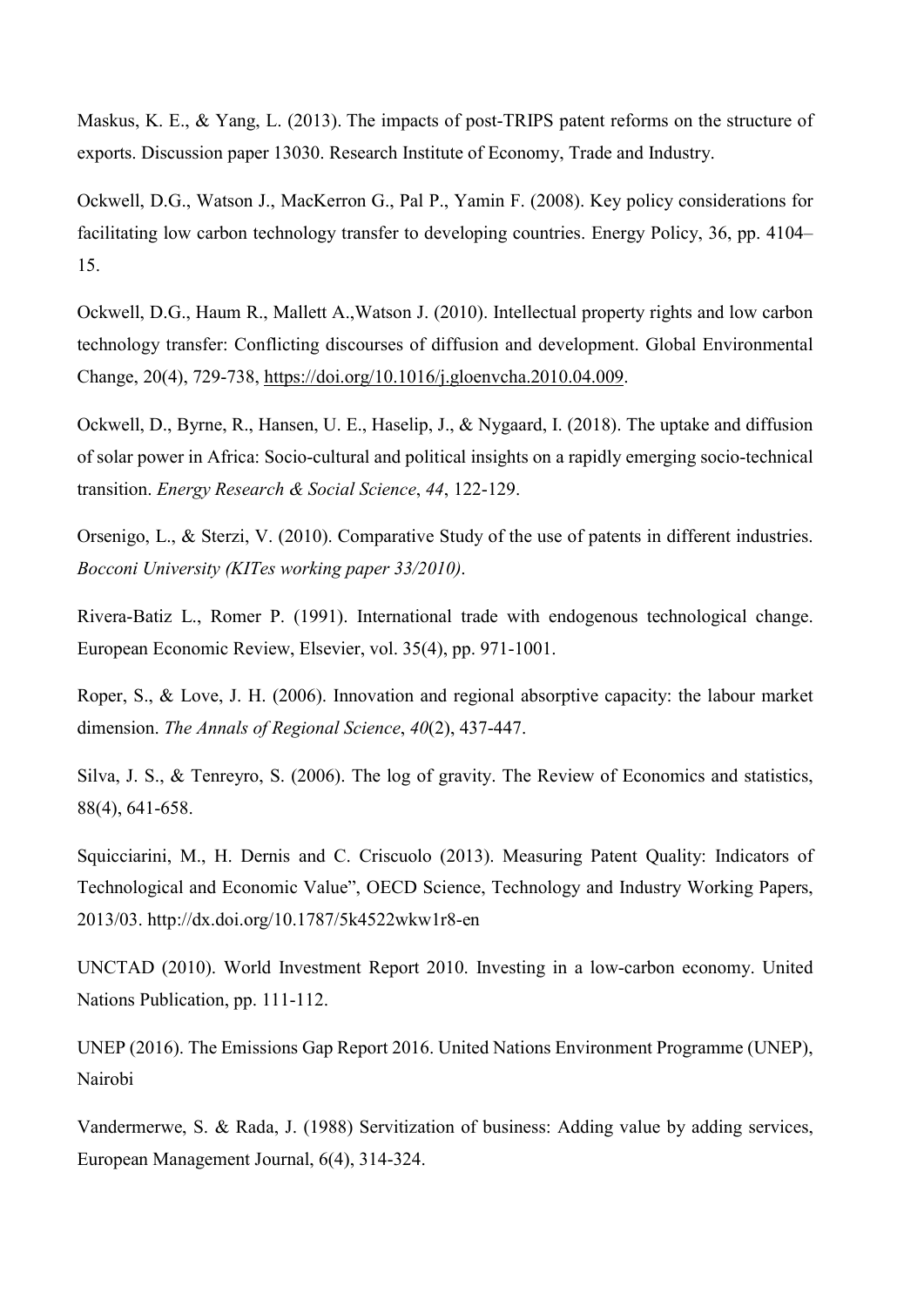Maskus, K. E., & Yang, L. (2013). The impacts of post-TRIPS patent reforms on the structure of exports. Discussion paper 13030. Research Institute of Economy, Trade and Industry.

Ockwell, D.G., Watson J., MacKerron G., Pal P., Yamin F. (2008). Key policy considerations for facilitating low carbon technology transfer to developing countries. Energy Policy, 36, pp. 4104– 15.

Ockwell, D.G., Haum R., Mallett A.,Watson J. (2010). Intellectual property rights and low carbon technology transfer: Conflicting discourses of diffusion and development. Global Environmental Change, 20(4), 729-738, https://doi.org/10.1016/j.gloenvcha.2010.04.009.

Ockwell, D., Byrne, R., Hansen, U. E., Haselip, J., & Nygaard, I. (2018). The uptake and diffusion of solar power in Africa: Socio-cultural and political insights on a rapidly emerging socio-technical transition. Energy Research & Social Science, 44, 122-129.

Orsenigo, L., & Sterzi, V. (2010). Comparative Study of the use of patents in different industries. Bocconi University (KITes working paper 33/2010).

Rivera-Batiz L., Romer P. (1991). International trade with endogenous technological change. European Economic Review, Elsevier, vol. 35(4), pp. 971-1001.

Roper, S., & Love, J. H. (2006). Innovation and regional absorptive capacity: the labour market dimension. The Annals of Regional Science, 40(2), 437-447.

Silva, J. S., & Tenreyro, S. (2006). The log of gravity. The Review of Economics and statistics, 88(4), 641-658.

Squicciarini, M., H. Dernis and C. Criscuolo (2013). Measuring Patent Quality: Indicators of Technological and Economic Value", OECD Science, Technology and Industry Working Papers, 2013/03. http://dx.doi.org/10.1787/5k4522wkw1r8-en

UNCTAD (2010). World Investment Report 2010. Investing in a low-carbon economy. United Nations Publication, pp. 111-112.

UNEP (2016). The Emissions Gap Report 2016. United Nations Environment Programme (UNEP), Nairobi

Vandermerwe, S. & Rada, J. (1988) Servitization of business: Adding value by adding services, European Management Journal, 6(4), 314-324.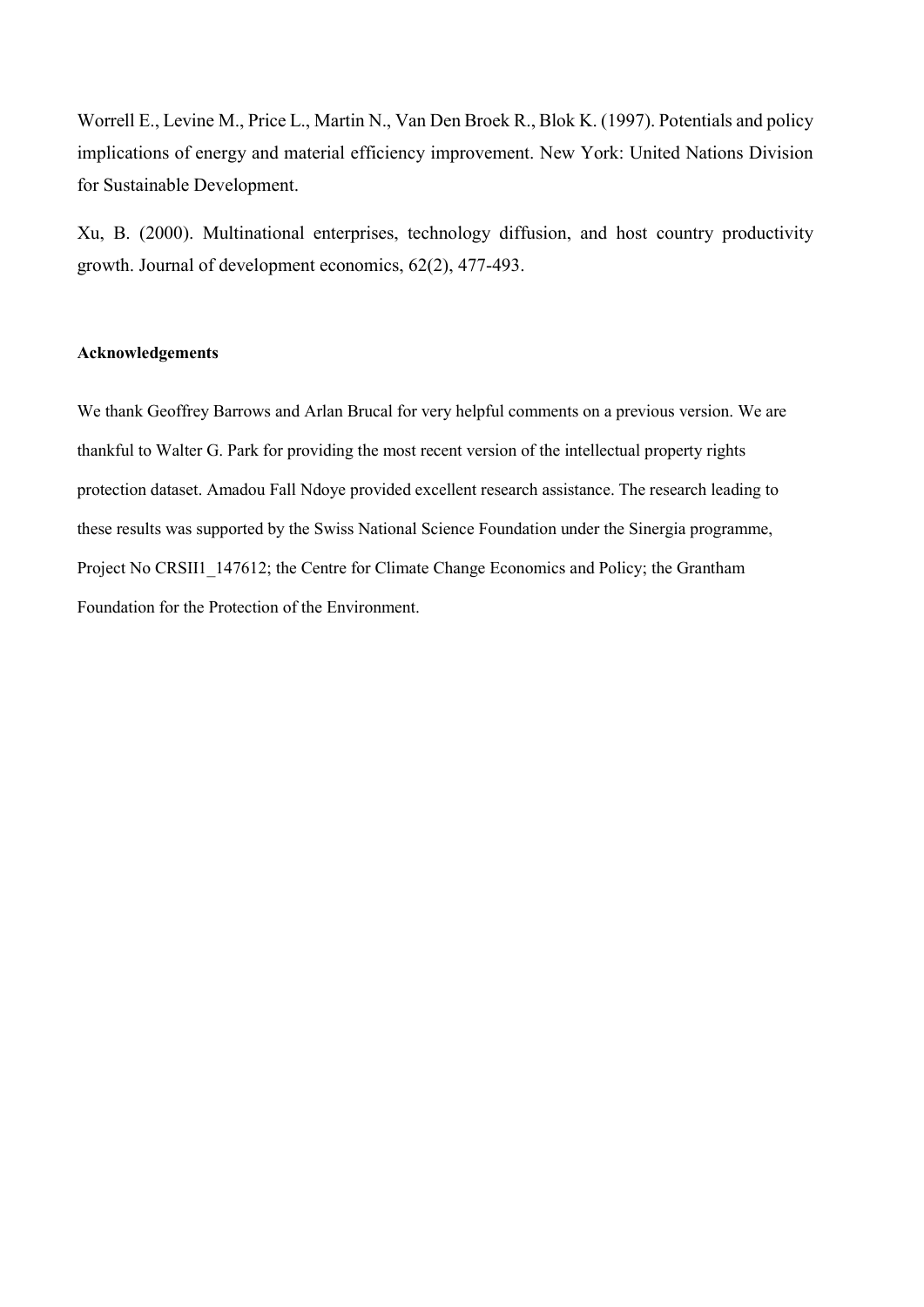Worrell E., Levine M., Price L., Martin N., Van Den Broek R., Blok K. (1997). Potentials and policy implications of energy and material efficiency improvement. New York: United Nations Division for Sustainable Development.

Xu, B. (2000). Multinational enterprises, technology diffusion, and host country productivity growth. Journal of development economics, 62(2), 477-493.

## Acknowledgements

We thank Geoffrey Barrows and Arlan Brucal for very helpful comments on a previous version. We are thankful to Walter G. Park for providing the most recent version of the intellectual property rights protection dataset. Amadou Fall Ndoye provided excellent research assistance. The research leading to these results was supported by the Swiss National Science Foundation under the Sinergia programme, Project No CRSII1 147612; the Centre for Climate Change Economics and Policy; the Grantham Foundation for the Protection of the Environment.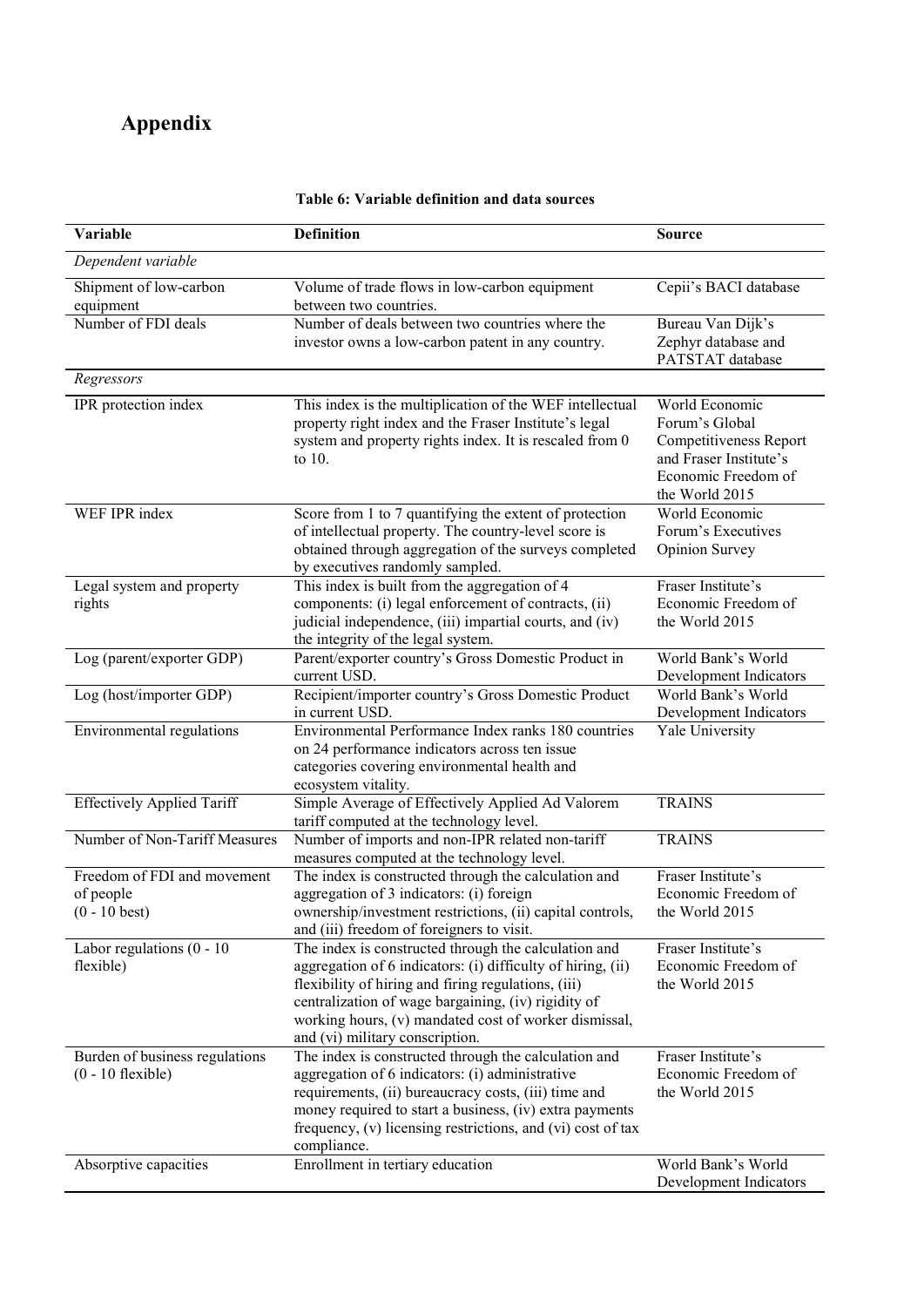# Appendix

| Variable                                                    | <b>Definition</b>                                                                                                                                                                                                                                                                                                             | <b>Source</b>                                                                                                                 |
|-------------------------------------------------------------|-------------------------------------------------------------------------------------------------------------------------------------------------------------------------------------------------------------------------------------------------------------------------------------------------------------------------------|-------------------------------------------------------------------------------------------------------------------------------|
| Dependent variable                                          |                                                                                                                                                                                                                                                                                                                               |                                                                                                                               |
| Shipment of low-carbon<br>equipment                         | Volume of trade flows in low-carbon equipment<br>between two countries.                                                                                                                                                                                                                                                       | Cepii's BACI database                                                                                                         |
| Number of FDI deals                                         | Number of deals between two countries where the<br>investor owns a low-carbon patent in any country.                                                                                                                                                                                                                          | Bureau Van Dijk's<br>Zephyr database and<br>PATSTAT database                                                                  |
| Regressors                                                  |                                                                                                                                                                                                                                                                                                                               |                                                                                                                               |
| IPR protection index                                        | This index is the multiplication of the WEF intellectual<br>property right index and the Fraser Institute's legal<br>system and property rights index. It is rescaled from 0<br>to $10$ .                                                                                                                                     | World Economic<br>Forum's Global<br>Competitiveness Report<br>and Fraser Institute's<br>Economic Freedom of<br>the World 2015 |
| WEF IPR index                                               | Score from 1 to 7 quantifying the extent of protection<br>of intellectual property. The country-level score is<br>obtained through aggregation of the surveys completed<br>by executives randomly sampled.                                                                                                                    | World Economic<br>Forum's Executives<br>Opinion Survey                                                                        |
| Legal system and property<br>rights                         | This index is built from the aggregation of 4<br>components: (i) legal enforcement of contracts, (ii)<br>judicial independence, (iii) impartial courts, and (iv)<br>the integrity of the legal system.                                                                                                                        | Fraser Institute's<br>Economic Freedom of<br>the World 2015                                                                   |
| Log (parent/exporter GDP)                                   | Parent/exporter country's Gross Domestic Product in<br>current USD.                                                                                                                                                                                                                                                           | World Bank's World<br>Development Indicators                                                                                  |
| Log (host/importer GDP)                                     | Recipient/importer country's Gross Domestic Product<br>in current USD.                                                                                                                                                                                                                                                        | World Bank's World<br>Development Indicators                                                                                  |
| Environmental regulations                                   | Environmental Performance Index ranks 180 countries<br>on 24 performance indicators across ten issue<br>categories covering environmental health and<br>ecosystem vitality.                                                                                                                                                   | Yale University                                                                                                               |
| <b>Effectively Applied Tariff</b>                           | Simple Average of Effectively Applied Ad Valorem<br>tariff computed at the technology level.                                                                                                                                                                                                                                  | <b>TRAINS</b>                                                                                                                 |
| Number of Non-Tariff Measures                               | Number of imports and non-IPR related non-tariff<br>measures computed at the technology level.                                                                                                                                                                                                                                | <b>TRAINS</b>                                                                                                                 |
| Freedom of FDI and movement<br>of people<br>$(0 - 10$ best) | The index is constructed through the calculation and<br>aggregation of 3 indicators: (i) foreign<br>ownership/investment restrictions, (ii) capital controls,<br>and (iii) freedom of foreigners to visit.                                                                                                                    | Fraser Institute's<br>Economic Freedom of<br>the World 2015                                                                   |
| Labor regulations $(0 - 10)$<br>flexible)                   | The index is constructed through the calculation and<br>aggregation of 6 indicators: (i) difficulty of hiring, (ii)<br>flexibility of hiring and firing regulations, (iii)<br>centralization of wage bargaining, (iv) rigidity of<br>working hours, (v) mandated cost of worker dismissal,<br>and (vi) military conscription. | Fraser Institute's<br>Economic Freedom of<br>the World 2015                                                                   |
| Burden of business regulations<br>$(0 - 10$ flexible)       | The index is constructed through the calculation and<br>aggregation of 6 indicators: (i) administrative<br>requirements, (ii) bureaucracy costs, (iii) time and<br>money required to start a business, (iv) extra payments<br>frequency, (v) licensing restrictions, and (vi) cost of tax<br>compliance.                      | Fraser Institute's<br>Economic Freedom of<br>the World 2015                                                                   |
| Absorptive capacities                                       | Enrollment in tertiary education                                                                                                                                                                                                                                                                                              | World Bank's World<br>Development Indicators                                                                                  |

## Table 6: Variable definition and data sources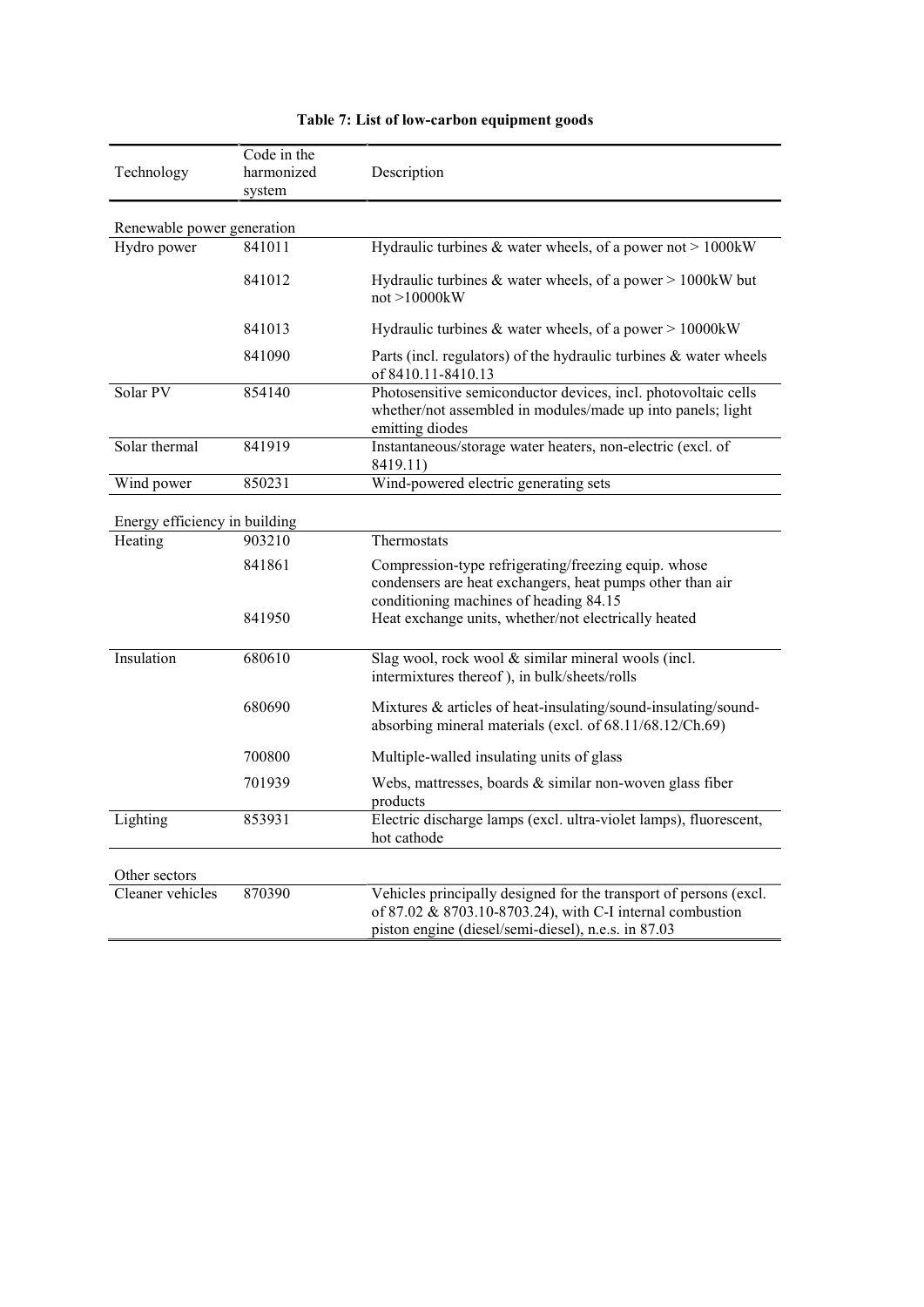| Technology                               | Code in the<br>harmonized<br>system | Description                                                                                                                                                 |
|------------------------------------------|-------------------------------------|-------------------------------------------------------------------------------------------------------------------------------------------------------------|
| Renewable power generation               |                                     |                                                                                                                                                             |
| Hydro power                              | 841011                              | Hydraulic turbines & water wheels, of a power not $> 1000$ kW                                                                                               |
|                                          | 841012                              | Hydraulic turbines $&$ water wheels, of a power $> 1000 \text{kW}$ but<br>not > 10000kW                                                                     |
|                                          | 841013                              | Hydraulic turbines & water wheels, of a power $> 10000$ kW                                                                                                  |
|                                          | 841090                              | Parts (incl. regulators) of the hydraulic turbines & water wheels<br>of 8410.11-8410.13                                                                     |
| Solar PV                                 | 854140                              | Photosensitive semiconductor devices, incl. photovoltaic cells<br>whether/not assembled in modules/made up into panels; light<br>emitting diodes            |
| Solar thermal                            | 841919                              | Instantaneous/storage water heaters, non-electric (excl. of<br>8419.11)                                                                                     |
| Wind power                               | 850231                              | Wind-powered electric generating sets                                                                                                                       |
| Energy efficiency in building<br>Heating | 903210                              | Thermostats                                                                                                                                                 |
|                                          | 841861                              |                                                                                                                                                             |
|                                          |                                     | Compression-type refrigerating/freezing equip. whose<br>condensers are heat exchangers, heat pumps other than air<br>conditioning machines of heading 84.15 |
|                                          | 841950                              | Heat exchange units, whether/not electrically heated                                                                                                        |
| Insulation                               | 680610                              | Slag wool, rock wool & similar mineral wools (incl.<br>intermixtures thereof), in bulk/sheets/rolls                                                         |
|                                          | 680690                              | Mixtures & articles of heat-insulating/sound-insulating/sound-<br>absorbing mineral materials (excl. of 68.11/68.12/Ch.69)                                  |
|                                          | 700800                              | Multiple-walled insulating units of glass                                                                                                                   |
|                                          | 701939                              | Webs, mattresses, boards & similar non-woven glass fiber<br>products                                                                                        |
| Lighting                                 | 853931                              | Electric discharge lamps (excl. ultra-violet lamps), fluorescent,<br>hot cathode                                                                            |
|                                          |                                     |                                                                                                                                                             |
| Other sectors                            |                                     |                                                                                                                                                             |

Table 7: List of low-carbon equipment goods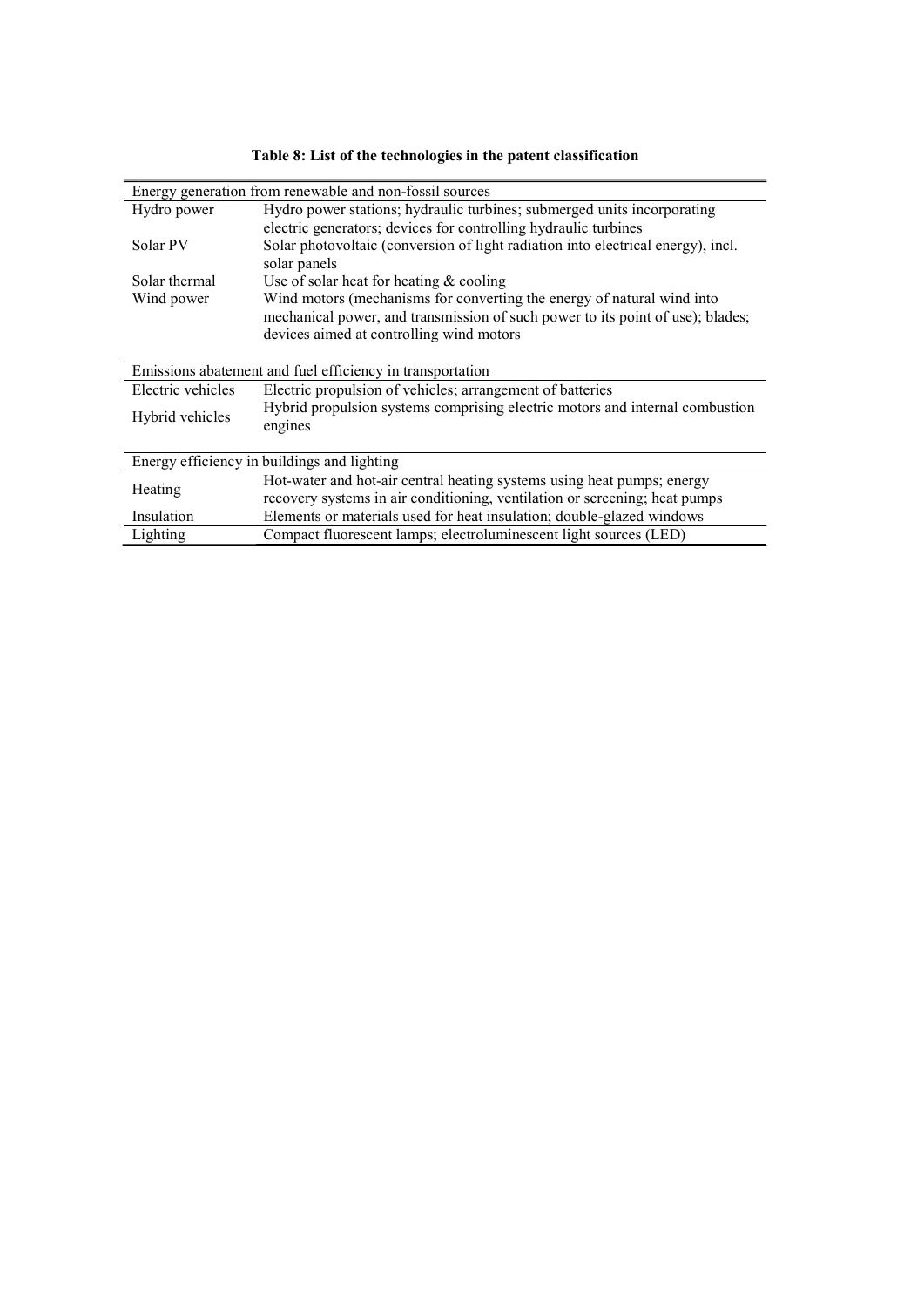|                   | Energy generation from renewable and non-fossil sources                                          |  |  |  |
|-------------------|--------------------------------------------------------------------------------------------------|--|--|--|
| Hydro power       | Hydro power stations; hydraulic turbines; submerged units incorporating                          |  |  |  |
|                   | electric generators; devices for controlling hydraulic turbines                                  |  |  |  |
| Solar PV          | Solar photovoltaic (conversion of light radiation into electrical energy), incl.<br>solar panels |  |  |  |
| Solar thermal     | Use of solar heat for heating $&$ cooling                                                        |  |  |  |
| Wind power        | Wind motors (mechanisms for converting the energy of natural wind into                           |  |  |  |
|                   | mechanical power, and transmission of such power to its point of use); blades;                   |  |  |  |
|                   | devices aimed at controlling wind motors                                                         |  |  |  |
|                   |                                                                                                  |  |  |  |
|                   | Emissions abatement and fuel efficiency in transportation                                        |  |  |  |
| Electric vehicles | Electric propulsion of vehicles; arrangement of batteries                                        |  |  |  |
| Hybrid vehicles   | Hybrid propulsion systems comprising electric motors and internal combustion<br>engines          |  |  |  |
|                   |                                                                                                  |  |  |  |
|                   | Energy efficiency in buildings and lighting                                                      |  |  |  |
| Heating           | Hot-water and hot-air central heating systems using heat pumps; energy                           |  |  |  |
|                   | recovery systems in air conditioning, ventilation or screening; heat pumps                       |  |  |  |
| Insulation        | Elements or materials used for heat insulation; double-glazed windows                            |  |  |  |
| Lighting          | Compact fluorescent lamps; electroluminescent light sources (LED)                                |  |  |  |

Table 8: List of the technologies in the patent classification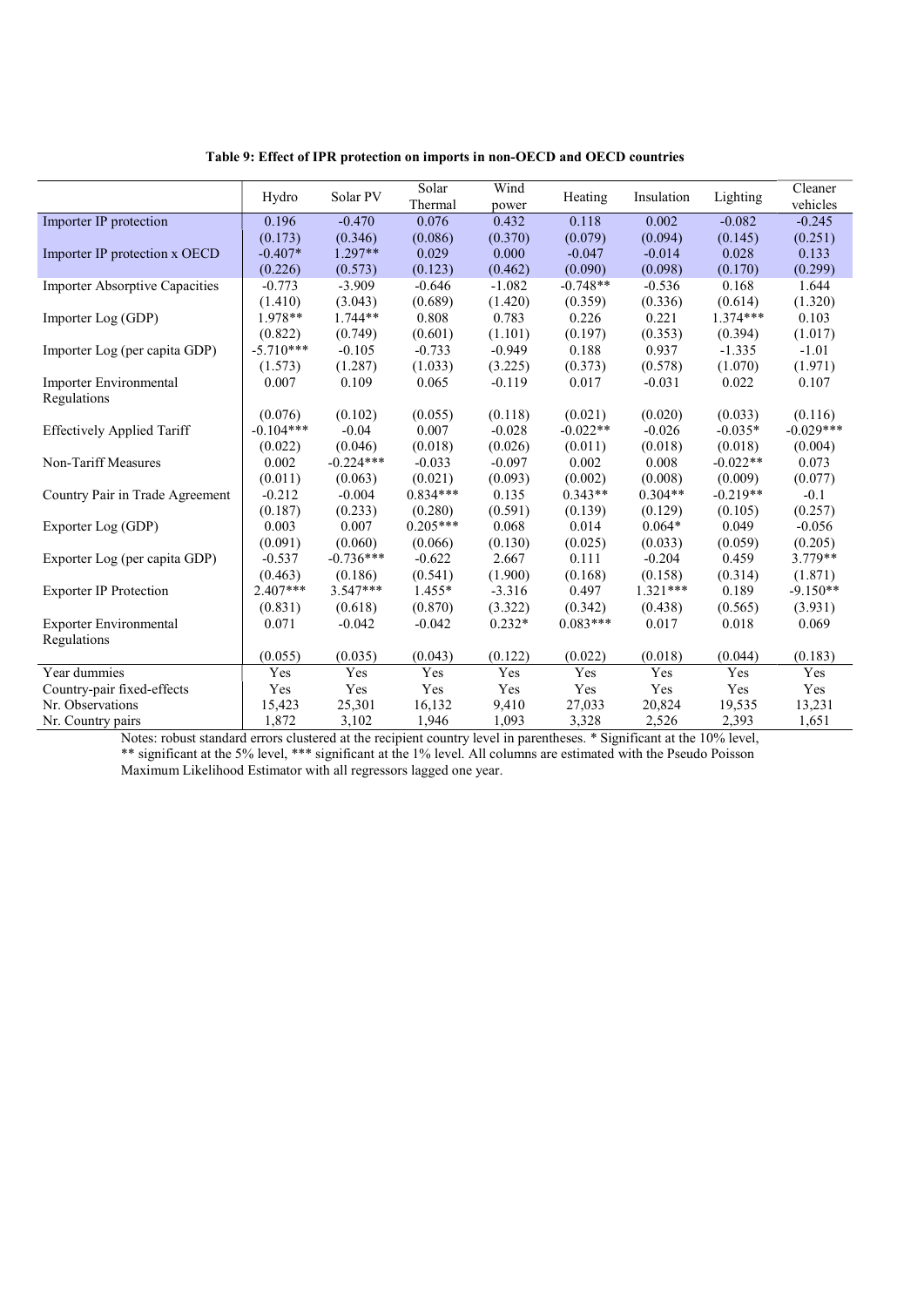|                                       | Hydro       | Solar PV    | Solar<br>Thermal | Wind<br>power | Heating    | Insulation | Lighting   | Cleaner<br>vehicles |
|---------------------------------------|-------------|-------------|------------------|---------------|------------|------------|------------|---------------------|
| Importer IP protection                | 0.196       | $-0.470$    | 0.076            | 0.432         | 0.118      | 0.002      | $-0.082$   | $-0.245$            |
|                                       | (0.173)     | (0.346)     | (0.086)          | (0.370)       | (0.079)    | (0.094)    | (0.145)    | (0.251)             |
| Importer IP protection x OECD         | $-0.407*$   | $1.297**$   | 0.029            | 0.000         | $-0.047$   | $-0.014$   | 0.028      | 0.133               |
|                                       | (0.226)     | (0.573)     | (0.123)          | (0.462)       | (0.090)    | (0.098)    | (0.170)    | (0.299)             |
| <b>Importer Absorptive Capacities</b> | $-0.773$    | $-3.909$    | $-0.646$         | $-1.082$      | $-0.748**$ | $-0.536$   | 0.168      | 1.644               |
|                                       | (1.410)     | (3.043)     | (0.689)          | (1.420)       | (0.359)    | (0.336)    | (0.614)    | (1.320)             |
| Importer Log (GDP)                    | 1.978**     | $1.744**$   | 0.808            | 0.783         | 0.226      | 0.221      | $1.374***$ | 0.103               |
|                                       | (0.822)     | (0.749)     | (0.601)          | (1.101)       | (0.197)    | (0.353)    | (0.394)    | (1.017)             |
| Importer Log (per capita GDP)         | $-5.710***$ | $-0.105$    | $-0.733$         | $-0.949$      | 0.188      | 0.937      | $-1.335$   | $-1.01$             |
|                                       | (1.573)     | (1.287)     | (1.033)          | (3.225)       | (0.373)    | (0.578)    | (1.070)    | (1.971)             |
| Importer Environmental                | 0.007       | 0.109       | 0.065            | $-0.119$      | 0.017      | $-0.031$   | 0.022      | 0.107               |
| Regulations                           |             |             |                  |               |            |            |            |                     |
|                                       | (0.076)     | (0.102)     | (0.055)          | (0.118)       | (0.021)    | (0.020)    | (0.033)    | (0.116)             |
| <b>Effectively Applied Tariff</b>     | $-0.104***$ | $-0.04$     | 0.007            | $-0.028$      | $-0.022**$ | $-0.026$   | $-0.035*$  | $-0.029***$         |
|                                       | (0.022)     | (0.046)     | (0.018)          | (0.026)       | (0.011)    | (0.018)    | (0.018)    | (0.004)             |
| Non-Tariff Measures                   | 0.002       | $-0.224***$ | $-0.033$         | $-0.097$      | 0.002      | 0.008      | $-0.022**$ | 0.073               |
|                                       | (0.011)     | (0.063)     | (0.021)          | (0.093)       | (0.002)    | (0.008)    | (0.009)    | (0.077)             |
| Country Pair in Trade Agreement       | $-0.212$    | $-0.004$    | $0.834***$       | 0.135         | $0.343**$  | $0.304**$  | $-0.219**$ | $-0.1$              |
|                                       | (0.187)     | (0.233)     | (0.280)          | (0.591)       | (0.139)    | (0.129)    | (0.105)    | (0.257)             |
| Exporter Log (GDP)                    | 0.003       | 0.007       | $0.205***$       | 0.068         | 0.014      | $0.064*$   | 0.049      | $-0.056$            |
|                                       | (0.091)     | (0.060)     | (0.066)          | (0.130)       | (0.025)    | (0.033)    | (0.059)    | (0.205)             |
| Exporter Log (per capita GDP)         | $-0.537$    | $-0.736***$ | $-0.622$         | 2.667         | 0.111      | $-0.204$   | 0.459      | $3.779**$           |
|                                       | (0.463)     | (0.186)     | (0.541)          | (1.900)       | (0.168)    | (0.158)    | (0.314)    | (1.871)             |
| <b>Exporter IP Protection</b>         | $2.407***$  | $3.547***$  | $1.455*$         | $-3.316$      | 0.497      | $1.321***$ | 0.189      | $-9.150**$          |
|                                       | (0.831)     | (0.618)     | (0.870)          | (3.322)       | (0.342)    | (0.438)    | (0.565)    | (3.931)             |
| Exporter Environmental                | 0.071       | $-0.042$    | $-0.042$         | $0.232*$      | $0.083***$ | 0.017      | 0.018      | 0.069               |
| Regulations                           |             |             |                  |               |            |            |            |                     |
|                                       | (0.055)     | (0.035)     | (0.043)          | (0.122)       | (0.022)    | (0.018)    | (0.044)    | (0.183)             |
| Year dummies                          | Yes         | Yes         | Yes              | Yes           | Yes        | Yes        | Yes        | Yes                 |
| Country-pair fixed-effects            | Yes         | Yes         | Yes              | Yes           | Yes        | Yes        | Yes        | Yes                 |
| Nr. Observations                      | 15,423      | 25,301      | 16,132           | 9,410         | 27,033     | 20,824     | 19,535     | 13,231              |
| Nr. Country pairs                     | 1,872       | 3,102       | 1,946            | 1,093         | 3,328      | 2,526      | 2,393      | 1,651               |

Table 9: Effect of IPR protection on imports in non-OECD and OECD countries

Notes: robust standard errors clustered at the recipient country level in parentheses. \* Significant at the 10% level, \*\* significant at the 5% level, \*\*\* significant at the 1% level. All columns are estimated with the Pseudo Poisson Maximum Likelihood Estimator with all regressors lagged one year.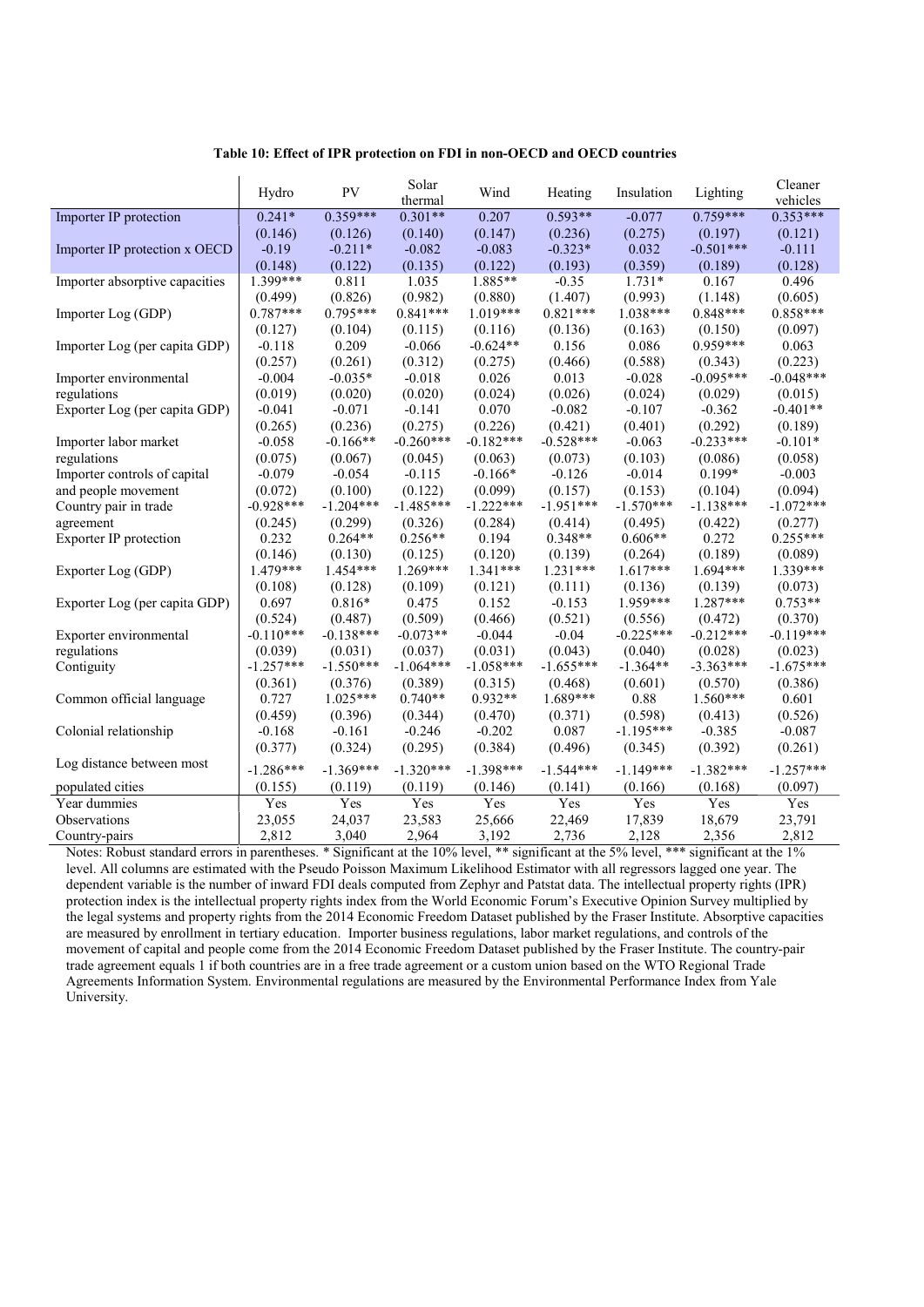#### Table 10: Effect of IPR protection on FDI in non-OECD and OECD countries

|                                | Hydro       | PV          | Solar<br>thermal | Wind        | Heating     | Insulation  | Lighting    | Cleaner<br>vehicles |
|--------------------------------|-------------|-------------|------------------|-------------|-------------|-------------|-------------|---------------------|
| Importer IP protection         | $0.241*$    | $0.359***$  | $0.301**$        | 0.207       | $0.593**$   | $-0.077$    | $0.759***$  | $0.353***$          |
|                                | (0.146)     | (0.126)     | (0.140)          | (0.147)     | (0.236)     | (0.275)     | (0.197)     | (0.121)             |
| Importer IP protection x OECD  | $-0.19$     | $-0.211*$   | $-0.082$         | $-0.083$    | $-0.323*$   | 0.032       | $-0.501***$ | $-0.111$            |
|                                | (0.148)     | (0.122)     | (0.135)          | (0.122)     | (0.193)     | (0.359)     | (0.189)     | (0.128)             |
| Importer absorptive capacities | 1.399***    | 0.811       | 1.035            | 1.885**     | $-0.35$     | $1.731*$    | 0.167       | 0.496               |
|                                | (0.499)     | (0.826)     | (0.982)          | (0.880)     | (1.407)     | (0.993)     | (1.148)     | (0.605)             |
| Importer Log (GDP)             | $0.787***$  | $0.795***$  | $0.841***$       | $1.019***$  | $0.821***$  | $1.038***$  | $0.848***$  | $0.858***$          |
|                                | (0.127)     | (0.104)     | (0.115)          | (0.116)     | (0.136)     | (0.163)     | (0.150)     | (0.097)             |
| Importer Log (per capita GDP)  | $-0.118$    | 0.209       | $-0.066$         | $-0.624**$  | 0.156       | 0.086       | $0.959***$  | 0.063               |
|                                | (0.257)     | (0.261)     | (0.312)          | (0.275)     | (0.466)     | (0.588)     | (0.343)     | (0.223)             |
| Importer environmental         | $-0.004$    | $-0.035*$   | $-0.018$         | 0.026       | 0.013       | $-0.028$    | $-0.095***$ | $-0.048***$         |
| regulations                    | (0.019)     | (0.020)     | (0.020)          | (0.024)     | (0.026)     | (0.024)     | (0.029)     | (0.015)             |
| Exporter Log (per capita GDP)  | $-0.041$    | $-0.071$    | $-0.141$         | 0.070       | $-0.082$    | $-0.107$    | $-0.362$    | $-0.401**$          |
|                                | (0.265)     | (0.236)     | (0.275)          | (0.226)     | (0.421)     | (0.401)     | (0.292)     | (0.189)             |
| Importer labor market          | $-0.058$    | $-0.166**$  | $-0.260***$      | $-0.182***$ | $-0.528***$ | $-0.063$    | $-0.233***$ | $-0.101*$           |
| regulations                    | (0.075)     | (0.067)     | (0.045)          | (0.063)     | (0.073)     | (0.103)     | (0.086)     | (0.058)             |
| Importer controls of capital   | $-0.079$    | $-0.054$    | $-0.115$         | $-0.166*$   | $-0.126$    | $-0.014$    | $0.199*$    | $-0.003$            |
| and people movement            | (0.072)     | (0.100)     | (0.122)          | (0.099)     | (0.157)     | (0.153)     | (0.104)     | (0.094)             |
| Country pair in trade          | $-0.928***$ | $-1.204***$ | $-1.485***$      | $-1.222***$ | $-1.951***$ | $-1.570***$ | $-1.138***$ | $-1.072***$         |
| agreement                      | (0.245)     | (0.299)     | (0.326)          | (0.284)     | (0.414)     | (0.495)     | (0.422)     | (0.277)             |
| Exporter IP protection         | 0.232       | $0.264**$   | $0.256**$        | 0.194       | $0.348**$   | $0.606**$   | 0.272       | $0.255***$          |
|                                | (0.146)     | (0.130)     | (0.125)          | (0.120)     | (0.139)     | (0.264)     | (0.189)     | (0.089)             |
| Exporter Log (GDP)             | 1.479***    | $1.454***$  | $1.269***$       | $1.341***$  | $1.231***$  | $1.617***$  | $1.694***$  | 1.339***            |
|                                | (0.108)     | (0.128)     | (0.109)          | (0.121)     | (0.111)     | (0.136)     | (0.139)     | (0.073)             |
| Exporter Log (per capita GDP)  | 0.697       | $0.816*$    | 0.475            | 0.152       | $-0.153$    | 1.959***    | $1.287***$  | $0.753**$           |
|                                | (0.524)     | (0.487)     | (0.509)          | (0.466)     | (0.521)     | (0.556)     | (0.472)     | (0.370)             |
| Exporter environmental         | $-0.110***$ | $-0.138***$ | $-0.073**$       | $-0.044$    | $-0.04$     | $-0.225***$ | $-0.212***$ | $-0.119***$         |
| regulations                    | (0.039)     | (0.031)     | (0.037)          | (0.031)     | (0.043)     | (0.040)     | (0.028)     | (0.023)             |
| Contiguity                     | $-1.257***$ | $-1.550***$ | $-1.064***$      | $-1.058***$ | $-1.655***$ | $-1.364**$  | $-3.363***$ | $-1.675***$         |
|                                | (0.361)     | (0.376)     | (0.389)          | (0.315)     | (0.468)     | (0.601)     | (0.570)     | (0.386)             |
| Common official language       | 0.727       | $1.025***$  | $0.740**$        | $0.932**$   | $1.689***$  | 0.88        | $1.560***$  | 0.601               |
|                                | (0.459)     | (0.396)     | (0.344)          | (0.470)     | (0.371)     | (0.598)     | (0.413)     | (0.526)             |
| Colonial relationship          | $-0.168$    | $-0.161$    | $-0.246$         | $-0.202$    | 0.087       | $-1.195***$ | $-0.385$    | $-0.087$            |
|                                | (0.377)     | (0.324)     | (0.295)          | (0.384)     | (0.496)     | (0.345)     | (0.392)     | (0.261)             |
| Log distance between most      | $-1.286***$ | $-1.369***$ | $-1.320***$      | $-1.398***$ | $-1.544***$ | $-1.149***$ | $-1.382***$ | $-1.257***$         |
| populated cities               | (0.155)     | (0.119)     | (0.119)          | (0.146)     | (0.141)     | (0.166)     | (0.168)     | (0.097)             |
| Year dummies                   | Yes         | Yes         | Yes              | Yes         | Yes         | Yes         | Yes         | Yes                 |
| Observations                   |             | 24,037      | 23,583           | 25,666      |             | 17,839      |             | 23,791              |
|                                | 23,055      |             |                  |             | 22,469      |             | 18,679      |                     |
| Country-pairs                  | 2,812       | 3,040       | 2,964            | 3,192       | 2,736       | 2,128       | 2,356       | 2,812               |

Notes: Robust standard errors in parentheses. \* Significant at the 10% level, \*\* significant at the 5% level, \*\*\* significant at the 1% level. All columns are estimated with the Pseudo Poisson Maximum Likelihood Estimator with all regressors lagged one year. The dependent variable is the number of inward FDI deals computed from Zephyr and Patstat data. The intellectual property rights (IPR) protection index is the intellectual property rights index from the World Economic Forum's Executive Opinion Survey multiplied by the legal systems and property rights from the 2014 Economic Freedom Dataset published by the Fraser Institute. Absorptive capacities are measured by enrollment in tertiary education. Importer business regulations, labor market regulations, and controls of the movement of capital and people come from the 2014 Economic Freedom Dataset published by the Fraser Institute. The country-pair trade agreement equals 1 if both countries are in a free trade agreement or a custom union based on the WTO Regional Trade Agreements Information System. Environmental regulations are measured by the Environmental Performance Index from Yale University.